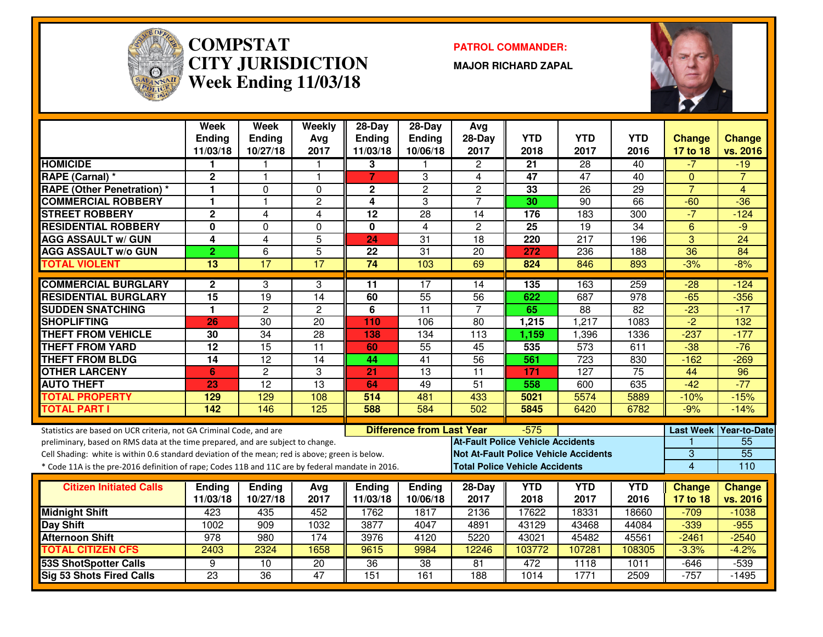

#### **COMPSTAT PATROL COMMANDER: CITY JURISDICTIONWeek Ending 11/03/18**

**MAJOR RICHARD ZAPAL**



|                                                                                                  | <b>Week</b>     | <b>Week</b>     | Weekly          | $28 - Day$      | $28-Day$                         | Avg                                      |                 |                                              |                  |                 |                          |
|--------------------------------------------------------------------------------------------------|-----------------|-----------------|-----------------|-----------------|----------------------------------|------------------------------------------|-----------------|----------------------------------------------|------------------|-----------------|--------------------------|
|                                                                                                  | <b>Ending</b>   | <b>Ending</b>   | Avg             | <b>Ending</b>   | Ending                           | 28-Day                                   | <b>YTD</b>      | <b>YTD</b>                                   | <b>YTD</b>       | <b>Change</b>   | <b>Change</b>            |
|                                                                                                  | 11/03/18        | 10/27/18        | 2017            | 11/03/18        | 10/06/18                         | 2017                                     | 2018            | 2017                                         | 2016             | 17 to 18        | vs. 2016                 |
| <b>HOMICIDE</b>                                                                                  | 1               |                 |                 | 3               |                                  | $\overline{c}$                           | $\overline{21}$ | 28                                           | $\overline{40}$  | $-7$            | $-19$                    |
| RAPE (Carnal) *                                                                                  | $\overline{2}$  | $\mathbf{1}$    | 1               | $\overline{7}$  | 3                                | 4                                        | 47              | 47                                           | 40               | $\Omega$        | $\overline{7}$           |
| <b>RAPE (Other Penetration) *</b>                                                                | 1               | $\Omega$        | $\Omega$        | $\mathbf 2$     | $\overline{2}$                   | $\overline{2}$                           | 33              | 26                                           | $\overline{29}$  | $\overline{7}$  | $\overline{4}$           |
| <b>COMMERCIAL ROBBERY</b>                                                                        | 1               | $\mathbf{1}$    | $\overline{c}$  | 4               | 3                                | $\overline{7}$                           | 30              | $\overline{90}$                              | 66               | $-60$           | $-36$                    |
| <b>STREET ROBBERY</b>                                                                            | $\mathbf 2$     | 4               | 4               | 12              | 28                               | 14                                       | 176             | 183                                          | 300              | $-7$            | $-124$                   |
| <b>RESIDENTIAL ROBBERY</b>                                                                       | 0               | $\mathbf{0}$    | 0               | 0               | 4                                | $\overline{c}$                           | 25              | 19                                           | 34               | 6               | $-9$                     |
| <b>AGG ASSAULT w/ GUN</b>                                                                        | 4               | $\overline{4}$  | 5               | 24              | 31                               | 18                                       | 220             | 217                                          | 196              | 3               | $\overline{24}$          |
| <b>AGG ASSAULT w/o GUN</b>                                                                       | $\overline{2}$  | $6\phantom{1}$  | $\overline{5}$  | 22              | $\overline{31}$                  | 20                                       | 272             | 236                                          | 188              | $\overline{36}$ | $\overline{84}$          |
| <b>TOTAL VIOLENT</b>                                                                             | 13              | 17              | $\overline{17}$ | $\overline{74}$ | 103                              | 69                                       | 824             | 846                                          | 893              | $-3%$           | $-8%$                    |
| <b>COMMERCIAL BURGLARY</b>                                                                       | $\mathbf{2}$    | 3               | 3               | 11              | 17                               | 14                                       | 135             | 163                                          | 259              | $-28$           | $-124$                   |
| <b>RESIDENTIAL BURGLARY</b>                                                                      | $\overline{15}$ | $\overline{19}$ | $\overline{14}$ | 60              | 55                               | 56                                       | 622             | 687                                          | $\overline{978}$ | $-65$           | $-356$                   |
| <b>SUDDEN SNATCHING</b>                                                                          | 1               | $\overline{2}$  | $\mathbf{2}$    | 6               | $\overline{11}$                  | $\overline{7}$                           | 65              | 88                                           | 82               | $-23$           | $-17$                    |
| <b>SHOPLIFTING</b>                                                                               | 26              | 30              | 20              | 110             | 106                              | 80                                       | 1,215           | 1,217                                        | 1083             | $\overline{2}$  | 132                      |
| <b>THEFT FROM VEHICLE</b>                                                                        | 30              | $\overline{34}$ | $\overline{28}$ | 138             | 134                              | 113                                      | 1,159           | 1,396                                        | 1336             | $-237$          | $-177$                   |
| <b>THEFT FROM YARD</b>                                                                           | 12              | $\overline{15}$ | $\overline{11}$ | 60              | $\overline{55}$                  | $\overline{45}$                          | 535             | $\overline{573}$                             | 611              | $-38$           | $-76$                    |
| <b>THEFT FROM BLDG</b>                                                                           | $\overline{14}$ | $\overline{12}$ | $\overline{14}$ | 44              | $\overline{41}$                  | 56                                       | 561             | 723                                          | 830              | $-162$          | $-269$                   |
| <b>OTHER LARCENY</b>                                                                             | 6               | $\overline{2}$  | 3               | 21              | $\overline{13}$                  | $\overline{11}$                          | 171             | $\overline{127}$                             | 75               | 44              | $\overline{96}$          |
| <b>AUTO THEFT</b>                                                                                | 23              | $\overline{12}$ | $\overline{13}$ | 64              | 49                               | $\overline{51}$                          | 558             | 600                                          | 635              | $-42$           | $-77$                    |
| <b>TOTAL PROPERTY</b>                                                                            | 129             | 129             | 108             | 514             | 481                              | 433                                      | 5021            | 5574                                         | 5889             | $-10%$          | $-15%$                   |
| <b>TOTAL PART I</b>                                                                              | 142             | 146             | 125             | 588             | 584                              | 502                                      | 5845            | 6420                                         | 6782             | $-9%$           | $-14%$                   |
| Statistics are based on UCR criteria, not GA Criminal Code, and are                              |                 |                 |                 |                 | <b>Difference from Last Year</b> |                                          | $-575$          |                                              |                  |                 | Last Week   Year-to-Date |
| preliminary, based on RMS data at the time prepared, and are subject to change.                  |                 |                 |                 |                 |                                  | <b>At-Fault Police Vehicle Accidents</b> |                 |                                              |                  |                 | 55                       |
| Cell Shading: white is within 0.6 standard deviation of the mean; red is above; green is below.  |                 |                 |                 |                 |                                  |                                          |                 | <b>Not At-Fault Police Vehicle Accidents</b> |                  | 3               | $\overline{55}$          |
| * Code 11A is the pre-2016 definition of rape; Codes 11B and 11C are by federal mandate in 2016. |                 |                 |                 |                 |                                  | <b>Total Police Vehicle Accidents</b>    |                 |                                              |                  | $\overline{4}$  | 110                      |
| <b>Citizen Initiated Calls</b>                                                                   | <b>Ending</b>   | Ending          | Avg             | Ending          | Ending                           | 28-Day                                   | <b>YTD</b>      | <b>YTD</b>                                   | <b>YTD</b>       | <b>Change</b>   | <b>Change</b>            |
|                                                                                                  | 11/03/18        | 10/27/18        | 2017            | 11/03/18        | 10/06/18                         | 2017                                     | 2018            | 2017                                         | 2016             | 17 to 18        | vs. 2016                 |
| <b>Midnight Shift</b>                                                                            | 423             | 435             | 452             | 1762            | 1817                             | 2136                                     | 17622           | 18331                                        | 18660            | $-709$          | $-1038$                  |
| Day Shift                                                                                        | 1002            | 909             | 1032            | 3877            | 4047                             | 4891                                     | 43129           | 43468                                        | 44084            | $-339$          | $-955$                   |
| <b>Afternoon Shift</b>                                                                           | 978             | 980             | 174             | 3976            | 4120                             | 5220                                     | 43021           | 45482                                        | 45561            | $-2461$         | $-2540$                  |
| <b>TOTAL CITIZEN CFS</b>                                                                         | 2403            | 2324            | 1658            | 9615            | 9984                             | 12246                                    | 103772          | 107281                                       | 108305           | $-3.3%$         | $-4.2%$                  |
| <b>53S ShotSpotter Calls</b>                                                                     | 9               | 10              | $\overline{20}$ | 36              | 38                               | 81                                       | 472             | 1118                                         | 1011             | $-646$          | $-539$                   |
| <b>Sig 53 Shots Fired Calls</b>                                                                  | $\overline{23}$ | $\overline{36}$ | 47              | 151             | 161                              | 188                                      | 1014            | 1771                                         | 2509             | $-757$          | $-1495$                  |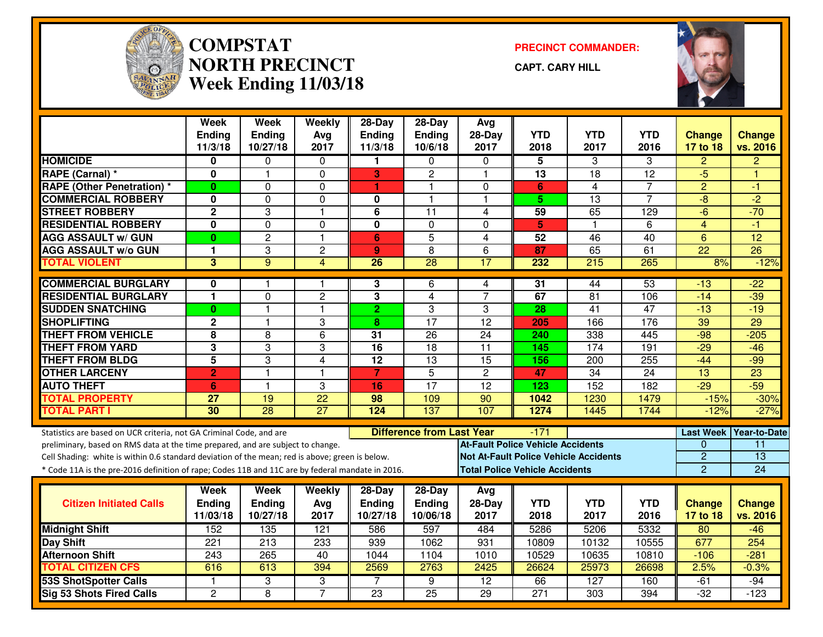

#### **COMPSTAT PRECINCT COMMANDER: NORTH PRECINCTWeek Ending 11/03/18**

**CAPT. CARY HILL**



|                                                                                                  | <b>Week</b><br><b>Ending</b><br>11/3/18 | <b>Week</b><br>Ending<br>10/27/18 | Weekly<br>Avg<br>2017 | $28-Day$<br><b>Ending</b><br>11/3/18 | 28-Day<br>Ending<br>10/6/18      | Avg<br>$28-Day$<br>2017 | <b>YTD</b><br>2018                       | <b>YTD</b><br>2017                           | YTD<br>2016     | <b>Change</b><br>17 to 18 | <b>Change</b><br>vs. 2016 |
|--------------------------------------------------------------------------------------------------|-----------------------------------------|-----------------------------------|-----------------------|--------------------------------------|----------------------------------|-------------------------|------------------------------------------|----------------------------------------------|-----------------|---------------------------|---------------------------|
| <b>HOMICIDE</b>                                                                                  | 0                                       | $\Omega$                          | 0                     | 1                                    | $\Omega$                         | $\Omega$                | 5                                        | 3                                            | 3               | $\overline{c}$            | $\overline{2}$            |
| RAPE (Carnal) *                                                                                  | $\mathbf 0$                             | $\mathbf 1$                       | 0                     | 3                                    | $\overline{2}$                   | $\mathbf{1}$            | 13                                       | 18                                           | 12              | $-5$                      | н                         |
| <b>RAPE (Other Penetration) *</b>                                                                | $\mathbf{0}$                            | $\mathbf 0$                       | $\Omega$              | $\blacktriangleleft$                 | $\mathbf{1}$                     | $\mathbf 0$             | 6                                        | 4                                            | 7               | $\overline{2}$            | $-1$                      |
| <b>COMMERCIAL ROBBERY</b>                                                                        | 0                                       | 0                                 | 0                     | 0                                    | 1                                | $\mathbf{1}$            | 5                                        | 13                                           | 7               | $-8$                      | $\overline{2}$            |
| <b>STREET ROBBERY</b>                                                                            | $\overline{2}$                          | 3                                 | $\mathbf{1}$          | $6\phantom{1}6$                      | $\overline{11}$                  | 4                       | 59                                       | 65                                           | 129             | $-6$                      | $-70$                     |
| <b>RESIDENTIAL ROBBERY</b>                                                                       | $\mathbf 0$                             | $\mathbf 0$                       | 0                     | $\mathbf 0$                          | $\mathbf 0$                      | $\Omega$                | 5                                        | 1                                            | 6               | $\overline{4}$            | $-1$                      |
| <b>AGG ASSAULT w/ GUN</b>                                                                        | $\mathbf{0}$                            | $\overline{2}$                    | $\mathbf{1}$          | $6\phantom{1}$                       | $\overline{5}$                   | $\overline{4}$          | 52                                       | 46                                           | 40              | $6\phantom{1}$            | $\overline{12}$           |
| <b>AGG ASSAULT w/o GUN</b>                                                                       | 1                                       | 3                                 | $\overline{c}$        | $\boldsymbol{9}$                     | 8                                | 6                       | 87                                       | 65                                           | 61              | $\overline{22}$           | $\overline{26}$           |
| <b>TOTAL VIOLENT</b>                                                                             | 3                                       | 9                                 | $\overline{4}$        | 26                                   | 28                               | $\overline{17}$         | 232                                      | 215                                          | 265             | 8%                        | $-12%$                    |
| <b>COMMERCIAL BURGLARY</b>                                                                       | $\bf{0}$                                |                                   | 1                     | 3                                    | 6                                | 4                       | $\overline{31}$                          | 44                                           | 53              | $-13$                     | $-22$                     |
| <b>RESIDENTIAL BURGLARY</b>                                                                      | 1                                       | $\mathbf 0$                       | $\overline{c}$        | $\mathbf{3}$                         | $\overline{4}$                   | $\overline{7}$          | 67                                       | 81                                           | 106             | $-14$                     | $-39$                     |
| <b>SUDDEN SNATCHING</b>                                                                          | $\mathbf{0}$                            | 1                                 | $\mathbf{1}$          | $\overline{2}$                       | 3                                | 3                       | 28                                       | $\overline{41}$                              | 47              | $-13$                     | $-19$                     |
| <b>SHOPLIFTING</b>                                                                               | $\overline{2}$                          | 1                                 | 3                     | 8                                    | $\overline{17}$                  | $\overline{12}$         | 205                                      | 166                                          | 176             | 39                        | 29                        |
| <b>THEFT FROM VEHICLE</b>                                                                        | 8                                       | 8                                 | 6                     | 31                                   | 26                               | 24                      | 240                                      | 338                                          | 445             | $-98$                     | $-205$                    |
| <b>THEFT FROM YARD</b>                                                                           | 3                                       | 3                                 | 3                     | 16                                   | $\overline{18}$                  | $\overline{11}$         | 145                                      | $\overline{174}$                             | 191             | $-29$                     | $-46$                     |
| <b>THEFT FROM BLDG</b>                                                                           | $\overline{5}$                          | 3                                 | $\overline{4}$        | $\overline{12}$                      | 13                               | 15                      | 156                                      | $\overline{200}$                             | 255             | $-44$                     | $-99$                     |
| <b>OTHER LARCENY</b>                                                                             | $\overline{2}$                          | $\mathbf{1}$                      | $\mathbf{1}$          | $\overline{7}$                       | $\overline{5}$                   | $\overline{2}$          | 47                                       | 34                                           | $\overline{24}$ | $\overline{13}$           | $\overline{23}$           |
| <b>AUTO THEFT</b>                                                                                | 6                                       | $\mathbf{1}$                      | 3                     | 16                                   | 17                               | $\overline{12}$         | $\overline{123}$                         | 152                                          | 182             | $-29$                     | $-59$                     |
| <b>TOTAL PROPERTY</b>                                                                            | 27                                      | 19                                | $\overline{22}$       | 98                                   | 109                              | 90                      | 1042                                     | 1230                                         | 1479            | $-15%$                    | $-30%$                    |
| <b>TOTAL PART I</b>                                                                              | 30                                      | $\overline{28}$                   | $\overline{27}$       | 124                                  | 137                              | 107                     | 1274                                     | 1445                                         | 1744            | $-12%$                    | $-27%$                    |
| Statistics are based on UCR criteria, not GA Criminal Code, and are                              |                                         |                                   |                       |                                      | <b>Difference from Last Year</b> |                         | $-171$                                   |                                              |                 |                           | Last Week Year-to-Date    |
| preliminary, based on RMS data at the time prepared, and are subject to change.                  |                                         |                                   |                       |                                      |                                  |                         | <b>At-Fault Police Vehicle Accidents</b> |                                              |                 | $\Omega$                  | 11                        |
| Cell Shading: white is within 0.6 standard deviation of the mean; red is above; green is below.  |                                         |                                   |                       |                                      |                                  |                         |                                          | <b>Not At-Fault Police Vehicle Accidents</b> |                 | $\overline{2}$            | $\overline{13}$           |
| * Code 11A is the pre-2016 definition of rape; Codes 11B and 11C are by federal mandate in 2016. |                                         |                                   |                       |                                      |                                  |                         | <b>Total Police Vehicle Accidents</b>    |                                              |                 | 2                         | 24                        |
|                                                                                                  | Week                                    | <b>Week</b>                       | Weekly                | $28$ -Day                            | 28-Day                           | Avg                     |                                          |                                              |                 |                           |                           |
| <b>Citizen Initiated Calls</b>                                                                   | <b>Ending</b>                           | <b>Ending</b>                     | Avg                   | <b>Ending</b>                        | Ending                           | 28-Day                  | <b>YTD</b>                               | <b>YTD</b>                                   | <b>YTD</b>      | <b>Change</b>             | <b>Change</b>             |
|                                                                                                  | 11/03/18                                | 10/27/18                          | 2017                  | 10/27/18                             | 10/06/18                         | 2017                    | 2018                                     | 2017                                         | 2016            | 17 to 18                  | vs. 2016                  |
| <b>Midnight Shift</b>                                                                            | 152                                     | 135                               | 121                   | 586                                  | 597                              | 484                     | 5286                                     | 5206                                         | 5332            | 80                        | $-46$                     |
| Day Shift                                                                                        | $\overline{221}$                        | 213                               | 233                   | 939                                  | 1062                             | 931                     | 10809                                    | 10132                                        | 10555           | 677                       | 254                       |
| <b>Afternoon Shift</b>                                                                           | 243                                     | 265                               | 40                    | 1044                                 | 1104                             | 1010                    | 10529                                    | 10635                                        | 10810           | $-106$                    | $-281$                    |
| <b>TOTAL CITIZEN CFS</b>                                                                         | 616                                     | 613                               | 394                   | 2569                                 | 2763                             | 2425                    | 26624                                    | 25973                                        | 26698           | 2.5%                      | $-0.3%$                   |
| <b>53S ShotSpotter Calls</b>                                                                     | 1                                       | 3                                 | 3                     | $\overline{7}$                       | $\overline{9}$                   | $\overline{12}$         | 66                                       | 127                                          | 160             | $-61$                     | $-94$                     |
| <b>Sig 53 Shots Fired Calls</b>                                                                  | $\overline{2}$                          | 8                                 | $\overline{7}$        | $\overline{23}$                      | $\overline{25}$                  | $\overline{29}$         | $\overline{271}$                         | 303                                          | 394             | $-32$                     | $-123$                    |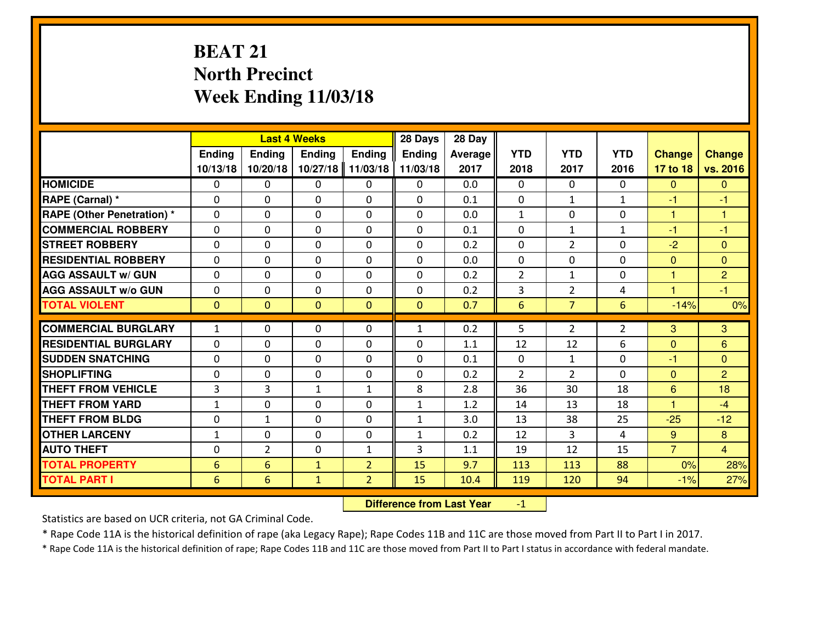# **BEAT 21 North PrecinctWeek Ending 11/03/18**

|                                  |                     |                | <b>Last 4 Weeks</b> |                | 28 Days       | 28 Day     |                |                |                |                     |                |
|----------------------------------|---------------------|----------------|---------------------|----------------|---------------|------------|----------------|----------------|----------------|---------------------|----------------|
|                                  | Ending              | Ending         | Ending              | <b>Ending</b>  | <b>Ending</b> | Average    | <b>YTD</b>     | <b>YTD</b>     | <b>YTD</b>     | <b>Change</b>       | <b>Change</b>  |
|                                  | 10/13/18            | 10/20/18       | 10/27/18            | 11/03/18       | 11/03/18      | 2017       | 2018           | 2017           | 2016           | 17 to 18            | vs. 2016       |
| <b>HOMICIDE</b>                  | 0                   | 0              | 0                   | 0              | 0             | 0.0        | 0              | $\Omega$       | 0              | $\mathbf{0}$        | $\Omega$       |
| RAPE (Carnal) *                  | $\Omega$            | 0              | 0                   | $\Omega$       | 0             | 0.1        | 0              | $\mathbf{1}$   | $\mathbf{1}$   | -1                  | -1             |
| <b>RAPE (Other Penetration)*</b> | $\Omega$            | $\Omega$       | $\mathbf 0$         | $\Omega$       | $\Omega$      | 0.0        | $\mathbf{1}$   | 0              | $\Omega$       | $\mathbf{1}$        | 1              |
| <b>COMMERCIAL ROBBERY</b>        | $\Omega$            | $\Omega$       | $\mathbf 0$         | $\Omega$       | $\Omega$      | 0.1        | $\Omega$       | $\mathbf{1}$   | $\mathbf{1}$   | $-1$                | $-1$           |
| <b>ISTREET ROBBERY</b>           | $\mathbf{0}$        | 0              | $\mathbf{0}$        | 0              | $\Omega$      | 0.2        | $\mathbf{0}$   | $\overline{2}$ | 0              | $-2$                | $\mathbf{0}$   |
| <b>RESIDENTIAL ROBBERY</b>       | 0                   | 0              | $\mathbf 0$         | 0              | 0             | 0.0        | 0              | 0              | 0              | $\mathbf{0}$        | $\overline{0}$ |
| <b>AGG ASSAULT w/ GUN</b>        | 0                   | 0              | $\mathbf 0$         | 0              | 0             | 0.2        | $\overline{2}$ | $\mathbf{1}$   | 0              | $\mathbf{1}$        | $\overline{2}$ |
| <b>AGG ASSAULT W/o GUN</b>       | 0                   | 0              | $\mathbf 0$         | $\mathbf{0}$   | 0             | 0.2        | 3              | $\overline{2}$ | 4              | $\overline{1}$      | $-1$           |
| <b>TOTAL VIOLENT</b>             | $\mathbf{0}$        | $\overline{0}$ | $\overline{0}$      | $\mathbf{0}$   | $\mathbf{0}$  | 0.7        | $6\phantom{1}$ | $\overline{7}$ | 6              | $-14%$              | 0%             |
| <b>COMMERCIAL BURGLARY</b>       | $\mathbf{1}$        | 0              | $\mathbf{0}$        | $\Omega$       | $\mathbf{1}$  | 0.2        | 5              | $\overline{2}$ | $\overline{2}$ | 3                   | 3              |
| <b>RESIDENTIAL BURGLARY</b>      | $\Omega$            | $\Omega$       |                     | $\Omega$       |               |            |                | 12             |                |                     |                |
| <b>SUDDEN SNATCHING</b>          |                     |                | $\mathbf 0$         |                | 0             | 1.1        | 12             |                | 6              | $\mathbf{0}$        | 6              |
| <b>SHOPLIFTING</b>               | 0                   | $\Omega$       | $\mathbf 0$         | $\Omega$       | 0             | 0.1<br>0.2 | 0              | $\mathbf{1}$   | 0              | $-1$                | $\Omega$       |
| <b>THEFT FROM VEHICLE</b>        | 0<br>$\overline{3}$ | 0              | $\mathbf 0$         | 0              | 0<br>8        |            | $\overline{2}$ | $\overline{2}$ | 0<br>18        | $\mathbf{0}$        | $\overline{2}$ |
|                                  |                     | 3              | $\mathbf{1}$        | $\mathbf{1}$   |               | 2.8        | 36             | 30             |                | 6<br>$\overline{1}$ | 18             |
| <b>THEFT FROM YARD</b>           | $1\,$               | 0              | $\mathbf 0$         | 0              | $\mathbf{1}$  | 1.2        | 14             | 13             | 18             |                     | $-4$           |
| <b>THEFT FROM BLDG</b>           | 0                   | $\mathbf{1}$   | 0                   | $\mathbf{0}$   | $\mathbf{1}$  | 3.0        | 13             | 38             | 25             | $-25$               | $-12$          |
| <b>OTHER LARCENY</b>             | $\mathbf{1}$        | 0              | $\mathbf 0$         | 0              | $\mathbf{1}$  | 0.2        | 12             | 3              | 4              | 9 <sup>°</sup>      | 8              |
| <b>AUTO THEFT</b>                | 0                   | $\overline{2}$ | 0                   | $\mathbf{1}$   | 3             | 1.1        | 19             | 12             | 15             | $\overline{7}$      | $\overline{4}$ |
| <b>TOTAL PROPERTY</b>            | $6\phantom{1}6$     | 6              | $\mathbf{1}$        | $\overline{2}$ | 15            | 9.7        | 113            | 113            | 88             | 0%                  | 28%            |
| <b>TOTAL PART I</b>              | 6                   | 6              | $\mathbf{1}$        | $\overline{2}$ | 15            | 10.4       | 119            | 120            | 94             | $-1%$               | 27%            |

 **Difference from Last Year**-1

Statistics are based on UCR criteria, not GA Criminal Code.

\* Rape Code 11A is the historical definition of rape (aka Legacy Rape); Rape Codes 11B and 11C are those moved from Part II to Part I in 2017.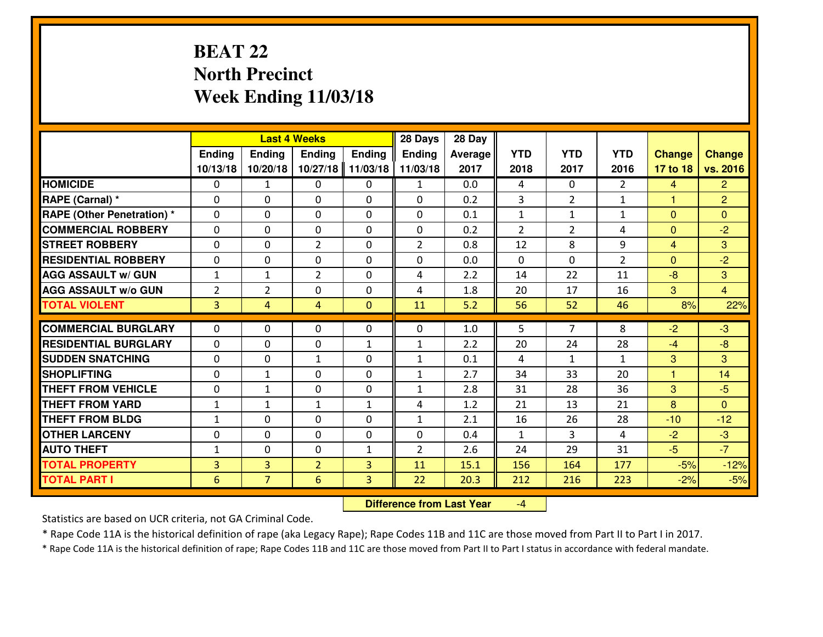# **BEAT 22 North PrecinctWeek Ending 11/03/18**

|                                  |                |                | <b>Last 4 Weeks</b> |              | 28 Days        | 28 Day  |              |                |                |                |                |
|----------------------------------|----------------|----------------|---------------------|--------------|----------------|---------|--------------|----------------|----------------|----------------|----------------|
|                                  | Ending         | Ending         | <b>Ending</b>       | Ending       | <b>Ending</b>  | Average | <b>YTD</b>   | <b>YTD</b>     | <b>YTD</b>     | <b>Change</b>  | <b>Change</b>  |
|                                  | 10/13/18       | 10/20/18       | 10/27/18            | 11/03/18     | 11/03/18       | 2017    | 2018         | 2017           | 2016           | 17 to 18       | vs. 2016       |
| <b>HOMICIDE</b>                  | $\Omega$       | $\mathbf{1}$   | 0                   | 0            | 1              | 0.0     | 4            | $\Omega$       | $\mathfrak{D}$ | 4              | $\overline{2}$ |
| RAPE (Carnal) *                  | $\Omega$       | 0              | $\Omega$            | 0            | $\Omega$       | 0.2     | 3            | $\overline{2}$ | $\mathbf{1}$   | $\mathbf{1}$   | $\overline{2}$ |
| <b>RAPE (Other Penetration)*</b> | 0              | 0              | $\mathbf 0$         | 0            | 0              | 0.1     | $\mathbf{1}$ | $\mathbf{1}$   | $\mathbf{1}$   | $\overline{0}$ | $\overline{0}$ |
| <b>COMMERCIAL ROBBERY</b>        | 0              | 0              | $\mathbf 0$         | 0            | 0              | 0.2     | 2            | $\overline{2}$ | 4              | $\mathbf{0}$   | $-2$           |
| <b>STREET ROBBERY</b>            | $\mathbf{0}$   | 0              | $\overline{2}$      | 0            | $\overline{2}$ | 0.8     | 12           | 8              | 9              | $\overline{4}$ | 3              |
| <b>RESIDENTIAL ROBBERY</b>       | 0              | 0              | $\mathbf 0$         | 0            | 0              | 0.0     | $\mathbf{0}$ | 0              | $\overline{2}$ | $\Omega$       | $-2$           |
| <b>AGG ASSAULT w/ GUN</b>        | $1\,$          | $\mathbf{1}$   | $\overline{2}$      | 0            | 4              | 2.2     | 14           | 22             | 11             | $-8$           | 3              |
| <b>AGG ASSAULT W/o GUN</b>       | $\overline{2}$ | $\overline{2}$ | 0                   | $\mathbf{0}$ | 4              | 1.8     | 20           | 17             | 16             | 3              | $\overline{4}$ |
| <b>TOTAL VIOLENT</b>             | 3              | $\overline{4}$ | 4                   | $\mathbf{0}$ | 11             | 5.2     | 56           | 52             | 46             | 8%             | 22%            |
| <b>COMMERCIAL BURGLARY</b>       | $\Omega$       | 0              | $\mathbf{0}$        | 0            | $\Omega$       | 1.0     | 5.           | $\overline{7}$ | 8              | $-2$           | $-3$           |
| <b>RESIDENTIAL BURGLARY</b>      | $\mathbf{0}$   | 0              | 0                   | $\mathbf{1}$ | $\mathbf{1}$   | 2.2     | 20           | 24             | 28             | $-4$           | $-8$           |
| <b>SUDDEN SNATCHING</b>          | $\mathbf{0}$   | 0              | 1                   | 0            | $\mathbf{1}$   | 0.1     | 4            | $\mathbf{1}$   | $\mathbf{1}$   | 3              | $\mathbf{3}$   |
| <b>SHOPLIFTING</b>               | 0              | $\mathbf{1}$   | $\mathbf 0$         | 0            | $\mathbf{1}$   | 2.7     | 34           | 33             | 20             | $\mathbf{1}$   | 14             |
| <b>THEFT FROM VEHICLE</b>        | 0              | $\mathbf{1}$   | $\mathbf 0$         | 0            | $\mathbf{1}$   | 2.8     | 31           | 28             | 36             | 3              | $-5$           |
| <b>THEFT FROM YARD</b>           | $\mathbf{1}$   | 1              | 1                   | $\mathbf{1}$ | 4              | 1.2     | 21           | 13             | 21             | 8              | $\overline{0}$ |
| <b>THEFT FROM BLDG</b>           | $\mathbf{1}$   | 0              | $\mathbf 0$         | $\mathbf{0}$ | $\mathbf{1}$   | 2.1     | 16           | 26             | 28             | $-10$          | $-12$          |
| <b>OTHER LARCENY</b>             | 0              | 0              | $\mathbf 0$         | $\mathbf 0$  | 0              | 0.4     | $\mathbf{1}$ | 3              | 4              | $-2$           | $-3$           |
| <b>AUTO THEFT</b>                | $\mathbf{1}$   | 0              | $\mathbf 0$         | $\mathbf{1}$ | $\overline{2}$ | 2.6     | 24           | 29             | 31             | $-5$           | $-7$           |
| <b>TOTAL PROPERTY</b>            | $\overline{3}$ | 3              | $\overline{2}$      | 3            | 11             | 15.1    | 156          | 164            | 177            | $-5%$          | $-12%$         |
| <b>TOTAL PART I</b>              | 6              | $\overline{7}$ | $6\overline{6}$     | 3            | 22             | 20.3    | 212          | 216            | 223            | $-2%$          | $-5%$          |
|                                  |                |                |                     |              |                |         |              |                |                |                |                |

 **Difference from Last Year**-4

Statistics are based on UCR criteria, not GA Criminal Code.

\* Rape Code 11A is the historical definition of rape (aka Legacy Rape); Rape Codes 11B and 11C are those moved from Part II to Part I in 2017.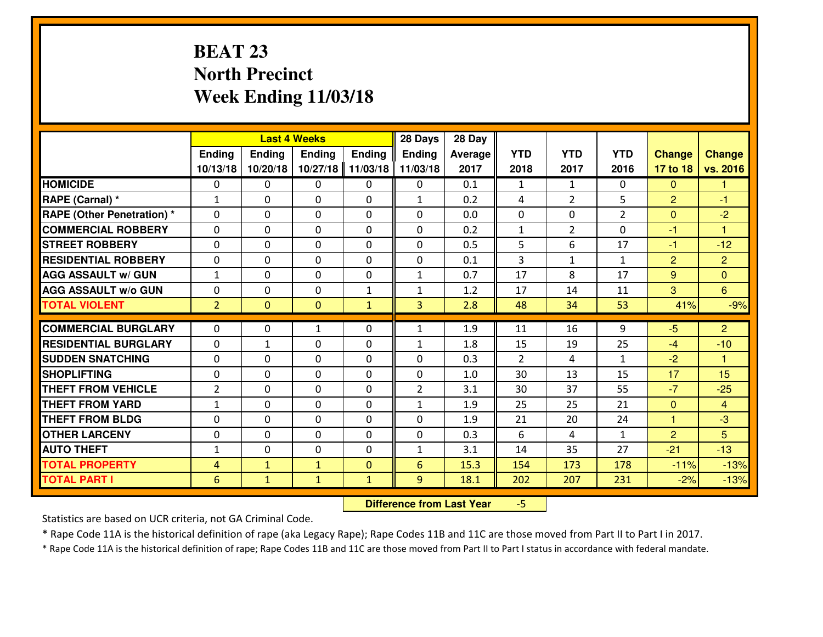# **BEAT 23 North PrecinctWeek Ending 11/03/18**

|                             |                 |                | <b>Last 4 Weeks</b> |               | 28 Days        | 28 Day  |                |                |                |                |                      |
|-----------------------------|-----------------|----------------|---------------------|---------------|----------------|---------|----------------|----------------|----------------|----------------|----------------------|
|                             | Ending          | Ending         | <b>Ending</b>       | <b>Ending</b> | <b>Ending</b>  | Average | <b>YTD</b>     | <b>YTD</b>     | <b>YTD</b>     | <b>Change</b>  | <b>Change</b>        |
|                             | 10/13/18        | 10/20/18       | 10/27/18            | 11/03/18      | 11/03/18       | 2017    | 2018           | 2017           | 2016           | 17 to 18       | vs. 2016             |
| <b>HOMICIDE</b>             | $\Omega$        | 0              | 0                   | 0             | 0              | 0.1     | 1              | $\mathbf{1}$   | 0              | $\Omega$       | 1                    |
| RAPE (Carnal) *             | $\mathbf{1}$    | 0              | $\mathbf{0}$        | 0             | $\mathbf{1}$   | 0.2     | 4              | $\overline{2}$ | 5              | 2              | $-1$                 |
| RAPE (Other Penetration) *  | $\Omega$        | 0              | $\mathbf{0}$        | $\Omega$      | $\Omega$       | 0.0     | $\mathbf{0}$   | 0              | $\overline{2}$ | $\mathbf{0}$   | $-2$                 |
| <b>COMMERCIAL ROBBERY</b>   | 0               | 0              | 0                   | 0             | $\Omega$       | 0.2     | $\mathbf{1}$   | $\overline{2}$ | 0              | $-1$           | 1                    |
| <b>STREET ROBBERY</b>       | 0               | 0              | $\mathbf 0$         | $\Omega$      | 0              | 0.5     | 5              | 6              | 17             | $-1$           | $-12$                |
| <b>RESIDENTIAL ROBBERY</b>  | $\Omega$        | $\Omega$       | $\mathbf 0$         | $\Omega$      | 0              | 0.1     | $\overline{3}$ | $\mathbf{1}$   | $\mathbf{1}$   | $\overline{2}$ | $\overline{2}$       |
| <b>AGG ASSAULT w/ GUN</b>   | $\mathbf{1}$    | 0              | $\mathbf 0$         | 0             | $\mathbf{1}$   | 0.7     | 17             | 8              | 17             | 9              | $\overline{0}$       |
| <b>AGG ASSAULT W/o GUN</b>  | 0               | 0              | $\mathbf 0$         | $\mathbf{1}$  | $\mathbf{1}$   | 1.2     | 17             | 14             | 11             | 3              | $6^{\circ}$          |
| <b>TOTAL VIOLENT</b>        | $\overline{2}$  | $\overline{0}$ | $\mathbf{O}$        | $\mathbf{1}$  | 3              | 2.8     | 48             | 34             | 53             | 41%            | $-9%$                |
| <b>COMMERCIAL BURGLARY</b>  | $\Omega$        | 0              | 1                   | $\Omega$      | $\mathbf{1}$   | 1.9     | 11             | 16             | 9              | $-5$           | 2 <sup>1</sup>       |
| <b>RESIDENTIAL BURGLARY</b> | 0               | $\mathbf{1}$   | $\mathbf 0$         | 0             | $\mathbf{1}$   | 1.8     | 15             | 19             | 25             | $-4$           | $-10$                |
| <b>SUDDEN SNATCHING</b>     | 0               | 0              | 0                   | 0             | 0              | 0.3     | 2              | 4              | $\mathbf{1}$   | $-2$           | $\blacktriangleleft$ |
| <b>SHOPLIFTING</b>          | 0               | 0              | $\mathbf 0$         | 0             | 0              | 1.0     | 30             | 13             | 15             | 17             | 15                   |
| <b>THEFT FROM VEHICLE</b>   | $\overline{2}$  | 0              | $\mathbf 0$         | 0             | $\overline{2}$ | 3.1     | 30             | 37             | 55             | $-7$           | $-25$                |
| <b>THEFT FROM YARD</b>      | $1\,$           | 0              | $\mathbf 0$         | 0             | $\mathbf{1}$   | 1.9     | 25             | 25             | 21             | $\mathbf{0}$   | $\overline{4}$       |
| <b>THEFT FROM BLDG</b>      | 0               | 0              | $\mathbf 0$         | 0             | 0              | 1.9     | 21             | 20             | 24             | $\mathbf{1}$   | $-3$                 |
| <b>OTHER LARCENY</b>        | 0               | 0              | $\mathbf 0$         | 0             | 0              | 0.3     | 6              | 4              | $\mathbf{1}$   | $\overline{2}$ | 5                    |
| <b>AUTO THEFT</b>           | $\mathbf{1}$    | 0              | $\mathbf{0}$        | 0             | $\mathbf{1}$   | 3.1     | 14             | 35             | 27             | $-21$          | $-13$                |
| <b>TOTAL PROPERTY</b>       | 4               | $\mathbf{1}$   | $\mathbf{1}$        | $\mathbf{0}$  | 6              | 15.3    | 154            | 173            | 178            | $-11%$         | $-13%$               |
| <b>TOTAL PART I</b>         | $6\phantom{1}6$ | $\mathbf{1}$   | $\mathbf{1}$        | $\mathbf{1}$  | 9              | 18.1    | 202            | 207            | 231            | $-2%$          | $-13%$               |

 **Difference from Last Year**-5

Statistics are based on UCR criteria, not GA Criminal Code.

\* Rape Code 11A is the historical definition of rape (aka Legacy Rape); Rape Codes 11B and 11C are those moved from Part II to Part I in 2017.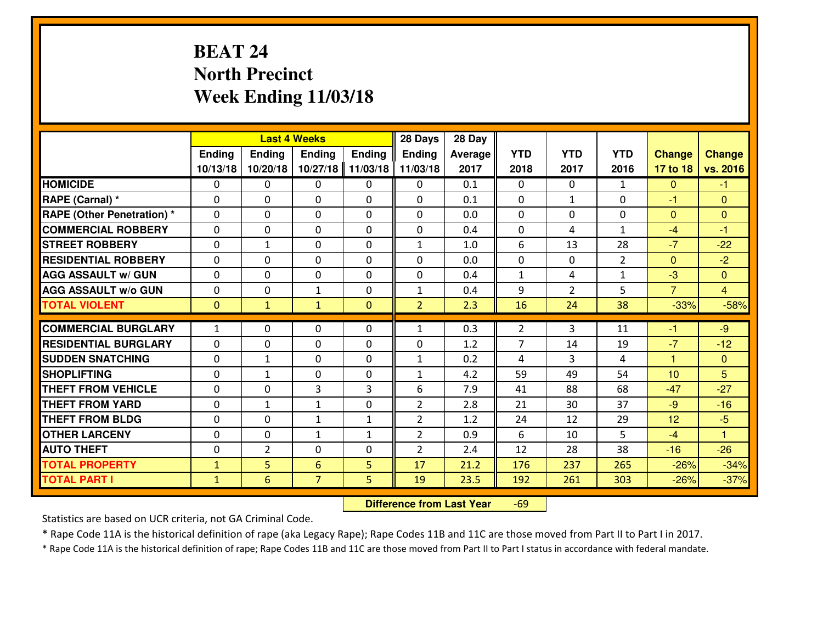# **BEAT 24 North PrecinctWeek Ending 11/03/18**

|                                  |              |                | <b>Last 4 Weeks</b> |              | 28 Days        | 28 Day  |                |                |                |                      |                |
|----------------------------------|--------------|----------------|---------------------|--------------|----------------|---------|----------------|----------------|----------------|----------------------|----------------|
|                                  | Ending       | Ending         | <b>Ending</b>       | Ending       | <b>Ending</b>  | Average | <b>YTD</b>     | <b>YTD</b>     | <b>YTD</b>     | <b>Change</b>        | <b>Change</b>  |
|                                  | 10/13/18     | 10/20/18       | 10/27/18            | 11/03/18     | 11/03/18       | 2017    | 2018           | 2017           | 2016           | 17 to 18             | vs. 2016       |
| <b>HOMICIDE</b>                  | $\Omega$     | 0              | 0                   | 0            | $\Omega$       | 0.1     | 0              | $\Omega$       | $\mathbf{1}$   | $\Omega$             | -1             |
| RAPE (Carnal) *                  | $\Omega$     | 0              | $\Omega$            | $\Omega$     | $\Omega$       | 0.1     | $\Omega$       | $\mathbf{1}$   | 0              | $-1$                 | $\Omega$       |
| <b>RAPE (Other Penetration)*</b> | 0            | 0              | $\mathbf 0$         | 0            | 0              | 0.0     | 0              | 0              | 0              | $\Omega$             | $\mathbf{0}$   |
| <b>COMMERCIAL ROBBERY</b>        | 0            | 0              | $\mathbf 0$         | 0            | 0              | 0.4     | 0              | 4              | $\mathbf{1}$   | $-4$                 | $-1$           |
| <b>STREET ROBBERY</b>            | $\mathbf{0}$ | $\mathbf{1}$   | $\mathbf 0$         | 0            | $\mathbf{1}$   | 1.0     | 6              | 13             | 28             | $-7$                 | $-22$          |
| <b>RESIDENTIAL ROBBERY</b>       | 0            | 0              | $\mathbf 0$         | 0            | 0              | 0.0     | 0              | $\mathbf{0}$   | $\overline{2}$ | $\mathbf{0}$         | $-2$           |
| <b>AGG ASSAULT w/ GUN</b>        | 0            | 0              | $\mathbf 0$         | 0            | 0              | 0.4     | $\mathbf{1}$   | 4              | $\mathbf{1}$   | $-3$                 | $\overline{0}$ |
| <b>AGG ASSAULT W/o GUN</b>       | 0            | 0              | 1                   | $\mathbf{0}$ | $\mathbf{1}$   | 0.4     | 9              | $\overline{2}$ | 5              | $\overline{7}$       | $\overline{4}$ |
| <b>TOTAL VIOLENT</b>             | $\mathbf{0}$ | $\mathbf{1}$   | $\mathbf{1}$        | $\mathbf{0}$ | $\overline{2}$ | 2.3     | 16             | 24             | 38             | $-33%$               | $-58%$         |
| <b>COMMERCIAL BURGLARY</b>       | $\mathbf{1}$ | 0              | $\mathbf{0}$        | 0            | $\mathbf{1}$   | 0.3     | 2              | 3              | 11             | $-1$                 | $-9$           |
| <b>RESIDENTIAL BURGLARY</b>      | $\mathbf{0}$ | 0              | 0                   | 0            | 0              | 1.2     | $\overline{7}$ | 14             | 19             | $-7$                 | $-12$          |
| <b>SUDDEN SNATCHING</b>          | $\mathbf{0}$ | 1              | 0                   | 0            | $\mathbf{1}$   | 0.2     | 4              | 3              | 4              | $\blacktriangleleft$ | $\mathbf{0}$   |
| <b>SHOPLIFTING</b>               | 0            | $\mathbf{1}$   | $\mathbf 0$         | 0            | $\mathbf{1}$   | 4.2     | 59             | 49             | 54             | 10                   | 5              |
| <b>THEFT FROM VEHICLE</b>        | 0            | 0              | 3                   | 3            | 6              | 7.9     | 41             | 88             | 68             | $-47$                | $-27$          |
| <b>THEFT FROM YARD</b>           | 0            | $\mathbf{1}$   | 1                   | 0            | $\overline{2}$ | 2.8     | 21             | 30             | 37             | $-9$                 | $-16$          |
| <b>THEFT FROM BLDG</b>           | 0            | 0              | $\mathbf{1}$        | $\mathbf{1}$ | $\overline{2}$ | 1.2     | 24             | 12             | 29             | 12                   | $-5$           |
| <b>OTHER LARCENY</b>             | 0            | 0              | $\mathbf{1}$        | $\mathbf{1}$ | $\overline{2}$ | 0.9     | 6              | 10             | 5              | $-4$                 | $\overline{1}$ |
| <b>AUTO THEFT</b>                | 0            | $\overline{2}$ | $\mathbf 0$         | 0            | $\overline{2}$ | 2.4     | 12             | 28             | 38             | $-16$                | $-26$          |
| <b>TOTAL PROPERTY</b>            | $\mathbf{1}$ | 5              | 6                   | 5            | 17             | 21.2    | 176            | 237            | 265            | $-26%$               | $-34%$         |
| <b>TOTAL PART I</b>              | $\mathbf{1}$ | 6              | $\overline{7}$      | 5            | 19             | 23.5    | 192            | 261            | 303            | $-26%$               | $-37%$         |
|                                  |              |                |                     |              |                |         |                |                |                |                      |                |

 **Difference from Last Year**-69

Statistics are based on UCR criteria, not GA Criminal Code.

\* Rape Code 11A is the historical definition of rape (aka Legacy Rape); Rape Codes 11B and 11C are those moved from Part II to Part I in 2017.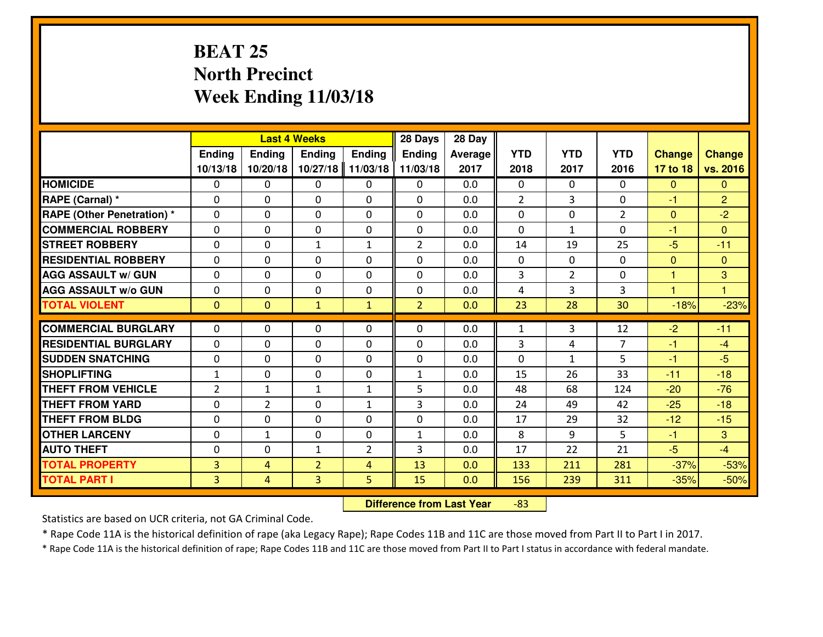# **BEAT 25 North PrecinctWeek Ending 11/03/18**

|                                   |                |                | <b>Last 4 Weeks</b> |                | 28 Days        | 28 Day  |                |                |                |                |                |
|-----------------------------------|----------------|----------------|---------------------|----------------|----------------|---------|----------------|----------------|----------------|----------------|----------------|
|                                   | Ending         | Ending         | <b>Ending</b>       | Ending         | <b>Ending</b>  | Average | <b>YTD</b>     | <b>YTD</b>     | <b>YTD</b>     | <b>Change</b>  | <b>Change</b>  |
|                                   | 10/13/18       | 10/20/18       | 10/27/18            | 11/03/18       | 11/03/18       | 2017    | 2018           | 2017           | 2016           | 17 to 18       | vs. 2016       |
| <b>HOMICIDE</b>                   | 0              | 0              | 0                   | 0              | 0              | 0.0     | $\Omega$       | 0              | 0              | $\mathbf{0}$   | $\overline{0}$ |
| RAPE (Carnal) *                   | 0              | $\Omega$       | $\mathbf 0$         | $\Omega$       | 0              | 0.0     | $\overline{2}$ | 3              | 0              | -1             | $\overline{2}$ |
| <b>RAPE (Other Penetration)</b> * | $\Omega$       | $\Omega$       | $\Omega$            | $\Omega$       | $\Omega$       | 0.0     | $\Omega$       | $\Omega$       | $\mathcal{P}$  | $\Omega$       | $-2$           |
| <b>COMMERCIAL ROBBERY</b>         | $\Omega$       | $\Omega$       | $\mathbf 0$         | $\Omega$       | $\Omega$       | 0.0     | $\Omega$       | $\mathbf{1}$   | $\Omega$       | $-1$           | $\Omega$       |
| <b>ISTREET ROBBERY</b>            | 0              | 0              | $\mathbf{1}$        | $\mathbf{1}$   | $\overline{2}$ | 0.0     | 14             | 19             | 25             | $-5$           | $-11$          |
| <b>RESIDENTIAL ROBBERY</b>        | 0              | $\mathbf 0$    | $\mathbf 0$         | $\Omega$       | 0              | 0.0     | $\mathbf 0$    | $\mathbf{0}$   | $\Omega$       | $\mathbf{0}$   | $\mathbf{0}$   |
| <b>AGG ASSAULT W/ GUN</b>         | 0              | $\mathbf 0$    | $\mathbf 0$         | $\Omega$       | 0              | 0.0     | 3              | $\overline{2}$ | 0              | $\mathbf{1}$   | $\mathbf{3}$   |
| <b>AGG ASSAULT W/o GUN</b>        | 0              | $\mathbf 0$    | $\mathbf 0$         | $\Omega$       | 0              | 0.0     | 4              | 3              | 3              | $\overline{1}$ | 1              |
| <b>TOTAL VIOLENT</b>              | $\mathbf{0}$   | $\overline{0}$ | $\mathbf{1}$        | $\mathbf{1}$   | $\overline{2}$ | 0.0     | 23             | 28             | 30             | $-18%$         | $-23%$         |
| <b>COMMERCIAL BURGLARY</b>        | $\Omega$       | $\Omega$       | $\mathbf{0}$        | $\Omega$       | 0              | 0.0     | $\mathbf{1}$   | 3              | 12             | $-2$           | $-11$          |
| <b>RESIDENTIAL BURGLARY</b>       | 0              | $\Omega$       | $\mathbf 0$         | $\Omega$       | $\Omega$       | 0.0     | 3              | 4              | $\overline{7}$ | $-1$           | $-4$           |
| <b>SUDDEN SNATCHING</b>           | 0              | $\Omega$       | $\mathbf 0$         | $\Omega$       | 0              | 0.0     | $\Omega$       | $\mathbf{1}$   | 5              | $-1$           | $-5$           |
| <b>SHOPLIFTING</b>                | $\mathbf{1}$   | $\mathbf 0$    | $\mathbf 0$         | 0              | $\mathbf{1}$   | 0.0     | 15             | 26             | 33             | $-11$          | $-18$          |
| <b>THEFT FROM VEHICLE</b>         | $\overline{2}$ | $\mathbf{1}$   | $\mathbf{1}$        | $\mathbf{1}$   | 5              | 0.0     | 48             | 68             | 124            | $-20$          | $-76$          |
| <b>THEFT FROM YARD</b>            | $\mathbf 0$    | $\overline{2}$ | $\mathbf 0$         | $\mathbf{1}$   | 3              | 0.0     | 24             | 49             | 42             | $-25$          | $-18$          |
| <b>THEFT FROM BLDG</b>            | $\mathbf 0$    | $\mathbf 0$    | $\mathbf{0}$        | $\Omega$       | 0              | 0.0     | 17             | 29             | 32             | $-12$          | $-15$          |
| <b>OTHER LARCENY</b>              | $\mathbf 0$    | $\mathbf{1}$   | 0                   | 0              | $\mathbf{1}$   | 0.0     | 8              | 9              | 5              | $-1$           | 3              |
| <b>AUTO THEFT</b>                 | 0              | $\mathbf 0$    | $\mathbf{1}$        | $\overline{2}$ | 3              | 0.0     | 17             | 22             | 21             | $-5$           | $-4$           |
| <b>TOTAL PROPERTY</b>             | 3              | $\overline{4}$ | $\overline{2}$      | 4              | 13             | 0.0     | 133            | 211            | 281            | $-37%$         | $-53%$         |
| <b>TOTAL PART I</b>               | 3              | $\overline{4}$ | $\overline{3}$      | 5              | 15             | 0.0     | 156            | 239            | 311            | $-35%$         | $-50%$         |

 **Difference from Last Year**-83

Statistics are based on UCR criteria, not GA Criminal Code.

\* Rape Code 11A is the historical definition of rape (aka Legacy Rape); Rape Codes 11B and 11C are those moved from Part II to Part I in 2017.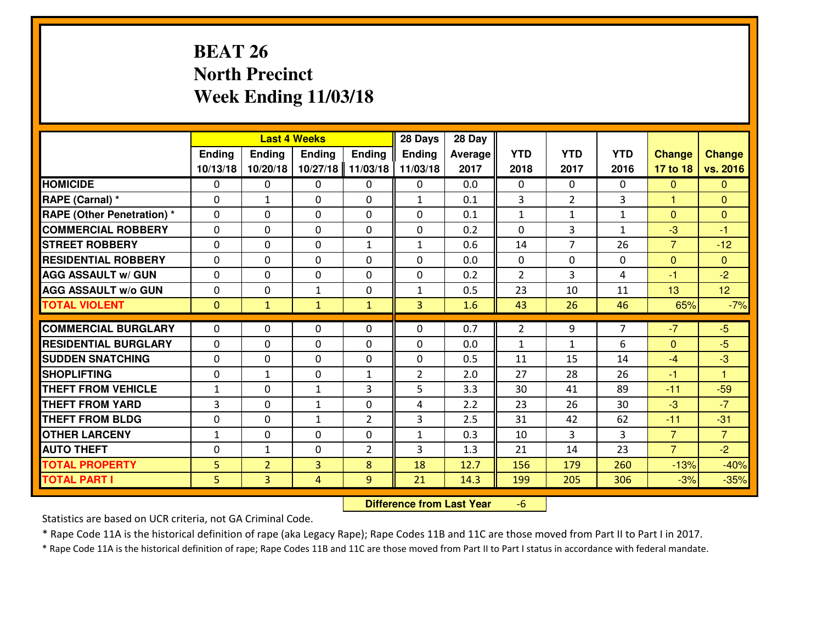# **BEAT 26 North PrecinctWeek Ending 11/03/18**

|                                   |              |                | <b>Last 4 Weeks</b> |                | 28 Days        | 28 Day  |                |                |              |                      |                 |
|-----------------------------------|--------------|----------------|---------------------|----------------|----------------|---------|----------------|----------------|--------------|----------------------|-----------------|
|                                   | Ending       | <b>Ending</b>  | <b>Ending</b>       | Ending         | Ending         | Average | <b>YTD</b>     | <b>YTD</b>     | <b>YTD</b>   | <b>Change</b>        | <b>Change</b>   |
|                                   | 10/13/18     | 10/20/18       | 10/27/18            | 11/03/18       | 11/03/18       | 2017    | 2018           | 2017           | 2016         | 17 to 18             | vs. 2016        |
| <b>HOMICIDE</b>                   | $\Omega$     | 0              | $\Omega$            | $\mathbf{0}$   | 0              | 0.0     | $\Omega$       | $\Omega$       | 0            | $\mathbf{0}$         | $\Omega$        |
| RAPE (Carnal) *                   | $\Omega$     | $\mathbf{1}$   | $\mathbf{0}$        | $\Omega$       | $\mathbf{1}$   | 0.1     | 3              | $\overline{2}$ | 3            | $\blacktriangleleft$ | $\mathbf{0}$    |
| <b>RAPE (Other Penetration) *</b> | $\Omega$     | 0              | 0                   | $\Omega$       | $\Omega$       | 0.1     | $\mathbf{1}$   | $\mathbf{1}$   | $\mathbf{1}$ | $\Omega$             | $\overline{0}$  |
| <b>COMMERCIAL ROBBERY</b>         | $\Omega$     | $\Omega$       | $\mathbf{0}$        | $\Omega$       | 0              | 0.2     | $\Omega$       | 3              | $\mathbf{1}$ | $-3$                 | $-1$            |
| <b>STREET ROBBERY</b>             | $\mathbf{0}$ | 0              | $\mathbf 0$         | $\mathbf{1}$   | $\mathbf{1}$   | 0.6     | 14             | $\overline{7}$ | 26           | $\overline{7}$       | $-12$           |
| <b>RESIDENTIAL ROBBERY</b>        | 0            | 0              | $\mathbf 0$         | 0              | 0              | 0.0     | $\mathbf{0}$   | 0              | 0            | $\mathbf{0}$         | $\mathbf{0}$    |
| <b>AGG ASSAULT w/ GUN</b>         | $\Omega$     | 0              | $\mathbf 0$         | $\Omega$       | 0              | 0.2     | $\overline{2}$ | 3              | 4            | $-1$                 | $-2$            |
| <b>AGG ASSAULT W/o GUN</b>        | 0            | 0              | $\mathbf{1}$        | 0              | $\mathbf{1}$   | 0.5     | 23             | 10             | 11           | 13                   | 12 <sup>°</sup> |
| <b>TOTAL VIOLENT</b>              | $\mathbf{0}$ | $\mathbf{1}$   | $\mathbf{1}$        | $\mathbf{1}$   | 3 <sup>1</sup> | 1.6     | 43             | 26             | 46           | 65%                  | $-7%$           |
| <b>COMMERCIAL BURGLARY</b>        | $\mathbf{0}$ | 0              | 0                   | $\mathbf{0}$   | $\Omega$       | 0.7     | $\overline{2}$ | 9              | 7            | $-7$                 | $-5$            |
| <b>RESIDENTIAL BURGLARY</b>       | $\Omega$     | 0              | $\mathbf{0}$        | 0              | $\Omega$       | 0.0     | $\mathbf{1}$   | $\mathbf{1}$   | 6            | $\mathbf{0}$         | $-5$            |
| <b>SUDDEN SNATCHING</b>           | $\mathbf{0}$ | 0              | $\mathbf{0}$        | 0              | 0              | 0.5     | 11             | 15             | 14           | $-4$                 | $-3$            |
| <b>SHOPLIFTING</b>                | 0            | 1              | $\mathbf 0$         | $\mathbf{1}$   | $\overline{2}$ | 2.0     | 27             | 28             | 26           | $-1$                 | $\mathbf{1}$    |
| <b>THEFT FROM VEHICLE</b>         | $\mathbf{1}$ | 0              | $\mathbf{1}$        | 3              | 5              | 3.3     | 30             | 41             | 89           | $-11$                | $-59$           |
| <b>THEFT FROM YARD</b>            | 3            | 0              | $\mathbf{1}$        | 0              | 4              | 2.2     | 23             | 26             | 30           | $-3$                 | $-7$            |
| <b>THEFT FROM BLDG</b>            | 0            | 0              | $\mathbf{1}$        | $\overline{2}$ | 3              | 2.5     | 31             | 42             | 62           | $-11$                | $-31$           |
| <b>OTHER LARCENY</b>              | $1\,$        | 0              | 0                   | 0              | $\mathbf{1}$   | 0.3     | 10             | 3              | 3            | $\overline{7}$       | $\overline{7}$  |
| <b>AUTO THEFT</b>                 | 0            | $\mathbf{1}$   | 0                   | $\overline{2}$ | 3              | 1.3     | 21             | 14             | 23           | $\overline{7}$       | $-2$            |
| <b>TOTAL PROPERTY</b>             | 5            | $\overline{2}$ | $\overline{3}$      | 8              | 18             | 12.7    | 156            | 179            | 260          | $-13%$               | $-40%$          |
| <b>TOTAL PART I</b>               | 5            | $\overline{3}$ | 4                   | 9              | 21             | 14.3    | 199            | 205            | 306          | $-3%$                | $-35%$          |

 **Difference from Last Year**-6

Statistics are based on UCR criteria, not GA Criminal Code.

\* Rape Code 11A is the historical definition of rape (aka Legacy Rape); Rape Codes 11B and 11C are those moved from Part II to Part I in 2017.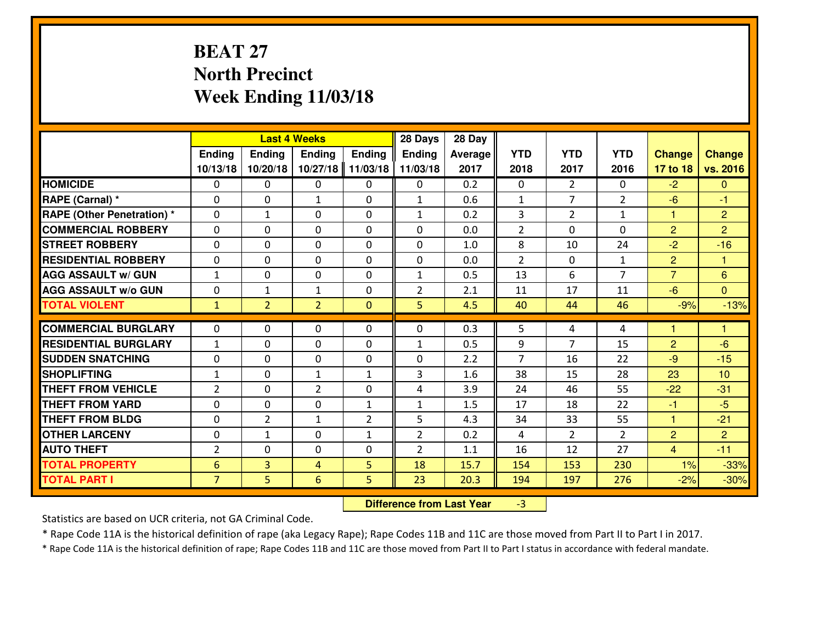# **BEAT 27 North PrecinctWeek Ending 11/03/18**

|                                   |                 |                | <b>Last 4 Weeks</b> |                | 28 Days        | 28 Day  |                |                |                |                |                      |
|-----------------------------------|-----------------|----------------|---------------------|----------------|----------------|---------|----------------|----------------|----------------|----------------|----------------------|
|                                   | Ending          | <b>Ending</b>  | Ending              | <b>Ending</b>  | <b>Ending</b>  | Average | <b>YTD</b>     | <b>YTD</b>     | <b>YTD</b>     | <b>Change</b>  | <b>Change</b>        |
|                                   | 10/13/18        | 10/20/18       | 10/27/18            | 11/03/18       | 11/03/18       | 2017    | 2018           | 2017           | 2016           | 17 to 18       | vs. 2016             |
| <b>HOMICIDE</b>                   | $\Omega$        | 0              | 0                   | $\Omega$       | 0              | 0.2     | 0              | $\overline{2}$ | 0              | $-2$           | $\Omega$             |
| RAPE (Carnal) *                   | $\mathbf{0}$    | 0              | $\mathbf{1}$        | 0              | $\mathbf{1}$   | 0.6     | $\mathbf{1}$   | 7              | $\overline{2}$ | $-6$           | $-1$                 |
| <b>RAPE (Other Penetration) *</b> | $\mathbf{0}$    | $\mathbf{1}$   | $\mathbf{0}$        | $\Omega$       | $\mathbf{1}$   | 0.2     | 3              | $\overline{2}$ | $\mathbf{1}$   | 1              | $\overline{2}$       |
| <b>COMMERCIAL ROBBERY</b>         | $\mathbf{0}$    | 0              | 0                   | $\Omega$       | $\Omega$       | 0.0     | $\overline{2}$ | 0              | 0              | $\overline{2}$ | $\overline{2}$       |
| <b>STREET ROBBERY</b>             | $\mathbf{0}$    | 0              | $\mathbf{0}$        | $\Omega$       | $\Omega$       | 1.0     | 8              | 10             | 24             | $-2$           | $-16$                |
| <b>RESIDENTIAL ROBBERY</b>        | $\Omega$        | 0              | $\mathbf 0$         | 0              | 0              | 0.0     | $\overline{2}$ | $\mathbf{0}$   | $\mathbf{1}$   | $\overline{2}$ | $\blacktriangleleft$ |
| <b>AGG ASSAULT W/ GUN</b>         | $\mathbf{1}$    | 0              | $\mathbf 0$         | 0              | $\mathbf{1}$   | 0.5     | 13             | 6              | $\overline{7}$ | $\overline{7}$ | $6\phantom{1}6$      |
| <b>AGG ASSAULT W/o GUN</b>        | 0               | $\mathbf{1}$   | $\mathbf{1}$        | 0              | $\overline{2}$ | 2.1     | 11             | 17             | 11             | $-6$           | $\overline{0}$       |
| <b>TOTAL VIOLENT</b>              | $\mathbf{1}$    | $\overline{2}$ | $\overline{2}$      | $\mathbf{0}$   | 5              | 4.5     | 40             | 44             | 46             | $-9%$          | $-13%$               |
| <b>COMMERCIAL BURGLARY</b>        | $\mathbf{0}$    | 0              | 0                   | 0              | $\Omega$       | 0.3     | 5              | 4              | 4              | 1              | 1                    |
| <b>RESIDENTIAL BURGLARY</b>       | $\mathbf{1}$    | 0              | $\mathbf{0}$        | 0              | 1              | 0.5     | 9              | 7              | 15             | $\overline{2}$ | $-6$                 |
| <b>SUDDEN SNATCHING</b>           | $\mathbf{0}$    | 0              | 0                   | 0              | $\Omega$       | 2.2     | $\overline{7}$ | 16             | 22             | $-9$           | $-15$                |
| <b>SHOPLIFTING</b>                | $\mathbf{1}$    | 0              | $\mathbf{1}$        | $\mathbf{1}$   | 3              | 1.6     | 38             | 15             | 28             | 23             | 10                   |
| <b>THEFT FROM VEHICLE</b>         | 2               | 0              | $\overline{2}$      | $\Omega$       | 4              | 3.9     | 24             | 46             | 55             | $-22$          | $-31$                |
| <b>THEFT FROM YARD</b>            | 0               | 0              | $\mathbf 0$         | $\mathbf{1}$   | $\mathbf{1}$   | 1.5     | 17             | 18             | 22             | $-1$           | $-5$                 |
| <b>THEFT FROM BLDG</b>            | $\mathbf{0}$    | $\overline{2}$ | 1                   | $\overline{2}$ | 5              | 4.3     | 34             | 33             | 55             | $\mathbf{1}$   | $-21$                |
| <b>OTHER LARCENY</b>              | 0               | $\mathbf{1}$   | $\mathbf 0$         | $\mathbf{1}$   | $\overline{2}$ | 0.2     | 4              | $\overline{2}$ | $\overline{2}$ | $\overline{2}$ | $\overline{2}$       |
| <b>AUTO THEFT</b>                 | $\overline{2}$  | 0              | 0                   | 0              | $\overline{2}$ | 1.1     | 16             | 12             | 27             | $\overline{4}$ | $-11$                |
| <b>TOTAL PROPERTY</b>             | $6\phantom{1}6$ | $\overline{3}$ | 4                   | 5              | 18             | 15.7    | 154            | 153            | 230            | 1%             | $-33%$               |
| <b>TOTAL PART I</b>               | $\overline{7}$  | 5              | 6                   | 5              | 23             | 20.3    | 194            | 197            | 276            | $-2%$          | $-30%$               |

 **Difference from Last Year**-3

Statistics are based on UCR criteria, not GA Criminal Code.

\* Rape Code 11A is the historical definition of rape (aka Legacy Rape); Rape Codes 11B and 11C are those moved from Part II to Part I in 2017.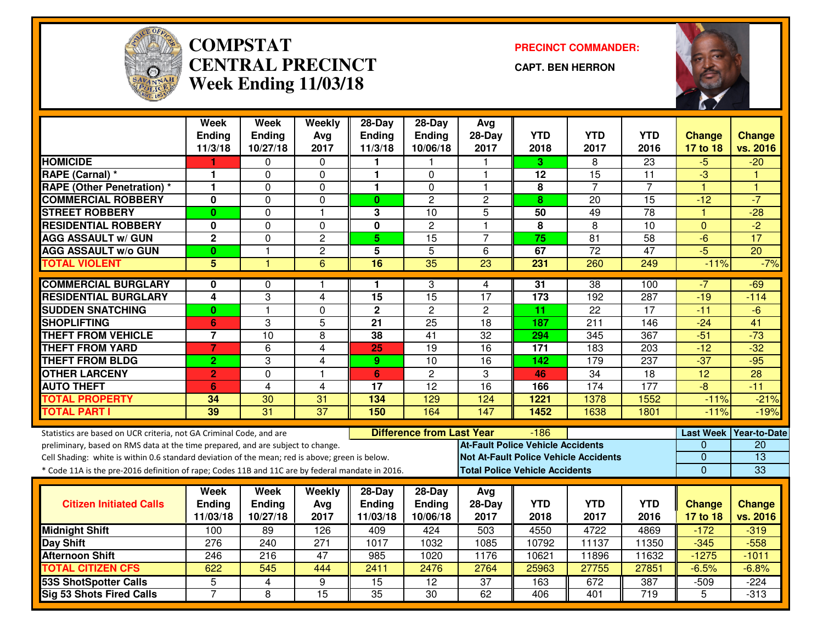

#### **COMPSTAT PRECINCT COMMANDER: CENTRAL PRECINCTWeek Ending 11/03/18**

**CAPT. BEN HERRON**



|                                                                                                  | <b>Week</b>      | <b>Week</b>      | Weekly                  | $28-Day$        | $28-Day$                         | Avg                                   |                         |                                              |                  |                       |                 |
|--------------------------------------------------------------------------------------------------|------------------|------------------|-------------------------|-----------------|----------------------------------|---------------------------------------|-------------------------|----------------------------------------------|------------------|-----------------------|-----------------|
|                                                                                                  | <b>Ending</b>    | <b>Ending</b>    | Avg                     | <b>Ending</b>   | <b>Ending</b>                    | 28-Day                                | <b>YTD</b>              | <b>YTD</b>                                   | <b>YTD</b>       | <b>Change</b>         | <b>Change</b>   |
|                                                                                                  | 11/3/18          | 10/27/18         | 2017                    | 11/3/18         | 10/06/18                         | 2017                                  | 2018                    | 2017                                         | 2016             | 17 to 18              | vs. 2016        |
| <b>HOMICIDE</b>                                                                                  |                  | 0                | 0                       | п.              |                                  |                                       | 3.                      | 8                                            | $\overline{23}$  | $-5$                  | $-20$           |
| RAPE (Carnal) *                                                                                  | 1                | 0                | $\mathbf 0$             | $\mathbf{1}$    | $\Omega$                         | 1                                     | 12                      | 15                                           | 11               | -3                    |                 |
| <b>RAPE (Other Penetration)</b> *                                                                | 1                | $\Omega$         | $\Omega$                | $\mathbf{1}$    | $\Omega$                         | $\blacktriangleleft$                  | $\overline{\mathbf{8}}$ | $\overline{7}$                               | $\overline{7}$   | $\overline{1}$        | 1               |
| <b>COMMERCIAL ROBBERY</b>                                                                        | 0                | 0                | $\mathbf 0$             | $\mathbf{0}$    | $\overline{c}$                   | $\overline{2}$                        | 8                       | 20                                           | 15               | $-12$                 | $-7$            |
| <b>STREET ROBBERY</b>                                                                            | $\mathbf{0}$     | $\overline{0}$   | $\overline{1}$          | 3               | 10                               | 5                                     | 50                      | 49                                           | $\overline{78}$  | $\mathbf{1}$          | $-28$           |
| <b>RESIDENTIAL ROBBERY</b>                                                                       | 0                | $\mathbf 0$      | $\Omega$                | $\mathbf 0$     | $\overline{c}$                   | $\overline{1}$                        | 8                       | 8                                            | 10               | $\Omega$              | $\overline{-2}$ |
| <b>AGG ASSAULT w/ GUN</b>                                                                        | $\overline{2}$   | $\overline{0}$   | $\overline{2}$          | $\overline{5}$  | 15                               | $\overline{7}$                        | $\overline{75}$         | $\overline{81}$                              | $\overline{58}$  | $-6$                  | 17              |
| <b>AGG ASSAULT w/o GUN</b>                                                                       | $\bf{0}$         | 1                | $\overline{c}$          | $\overline{5}$  | $\overline{5}$                   | 6                                     | 67                      | $\overline{72}$                              | $\overline{47}$  | $-5$                  | $\overline{20}$ |
| <b>TOTAL VIOLENT</b>                                                                             | 5                | 1                | $\overline{6}$          | $\overline{16}$ | $\overline{35}$                  | $\overline{23}$                       | 231                     | 260                                          | 249              | $-11%$                | $-7%$           |
| <b>COMMERCIAL BURGLARY</b>                                                                       | 0                | 0                |                         | 1               | 3                                | 4                                     | $\overline{31}$         | 38                                           | 100              | $-7$                  | $-69$           |
| <b>RESIDENTIAL BURGLARY</b>                                                                      | 4                | 3                | $\overline{4}$          | $\overline{15}$ | 15                               | $\overline{17}$                       | 173                     | $\overline{192}$                             | 287              | $-19$                 | $-114$          |
| <b>SUDDEN SNATCHING</b>                                                                          | $\bf{0}$         | $\overline{1}$   | $\mathbf 0$             | $\overline{2}$  | $\overline{2}$                   | $\overline{2}$                        | 11                      | $\overline{22}$                              | 17               | $-11$                 | $-6$            |
| <b>SHOPLIFTING</b>                                                                               | 6                | 3                | 5                       | 21              | $\overline{25}$                  | 18                                    | 187                     | 211                                          | 146              | $-24$                 | 41              |
| <b>THEFT FROM VEHICLE</b>                                                                        | $\overline{7}$   | $\overline{10}$  | 8                       | 38              | $\overline{41}$                  | $\overline{32}$                       | 294                     | 345                                          | 367              | $-51$                 | $-73$           |
| <b>THEFT FROM YARD</b>                                                                           | $\overline{7}$   | $\overline{6}$   | $\overline{4}$          | 25              | $\overline{19}$                  | $\overline{16}$                       | 171                     | 183                                          | $\overline{203}$ | $-12$                 | $-32$           |
| <b>THEFT FROM BLDG</b>                                                                           | $\overline{2}$   | 3                | $\overline{\mathbf{4}}$ | 9               | 10                               | 16                                    | 142                     | 179                                          | 237              | $-37$                 | $-95$           |
| <b>OTHER LARCENY</b>                                                                             | $\overline{2}$   | $\overline{0}$   | $\overline{1}$          | 6               | $\overline{2}$                   | 3                                     | 46                      | 34                                           | $\overline{18}$  | $\overline{12}$       | 28              |
| <b>AUTO THEFT</b>                                                                                | 6                | 4                | 4                       | 17              | 12                               | 16                                    | 166                     | 174                                          | 177              | $-\frac{1}{\sqrt{2}}$ | $-11$           |
| <b>TOTAL PROPERTY</b>                                                                            | 34               | 30               | 31                      | 134             | 129                              | 124                                   | 1221                    | 1378                                         | 1552             | $-11%$                | $-21%$          |
| <b>TOTAL PART I</b>                                                                              | 39               | $\overline{31}$  | $\overline{37}$         | 150             | 164                              | 147                                   | 1452                    | 1638                                         | 1801             | $-11%$                | $-19%$          |
| Statistics are based on UCR criteria, not GA Criminal Code, and are                              |                  |                  |                         |                 | <b>Difference from Last Year</b> |                                       | $-186$                  |                                              |                  | <b>Last Week</b>      | Year-to-Date    |
| preliminary, based on RMS data at the time prepared, and are subject to change.                  |                  |                  |                         |                 |                                  | At-Fault Police Vehicle Accidents     |                         |                                              |                  | $\Omega$              | 20              |
| Cell Shading: white is within 0.6 standard deviation of the mean; red is above; green is below.  |                  |                  |                         |                 |                                  |                                       |                         | <b>Not At-Fault Police Vehicle Accidents</b> |                  | $\mathbf{0}$          | $\overline{13}$ |
| * Code 11A is the pre-2016 definition of rape; Codes 11B and 11C are by federal mandate in 2016. |                  |                  |                         |                 |                                  | <b>Total Police Vehicle Accidents</b> |                         |                                              |                  | $\Omega$              | 33              |
|                                                                                                  | Week             | Week             | Weekly                  | $28$ -Day       | $28-Day$                         | Avg                                   |                         |                                              |                  |                       |                 |
| <b>Citizen Initiated Calls</b>                                                                   | <b>Ending</b>    | Ending           | Avg                     | <b>Ending</b>   | <b>Ending</b>                    | $28-Day$                              | <b>YTD</b>              | <b>YTD</b>                                   | <b>YTD</b>       | <b>Change</b>         | <b>Change</b>   |
|                                                                                                  | 11/03/18         | 10/27/18         | 2017                    | 11/03/18        | 10/06/18                         | 2017                                  | 2018                    | 2017                                         | 2016             | 17 to 18              | vs. 2016        |
| <b>Midnight Shift</b>                                                                            | 100              | 89               | 126                     | 409             | 424                              | 503                                   | 4550                    | 4722                                         | 4869             | $-172$                | $-319$          |
| Day Shift                                                                                        | $\overline{276}$ | $\overline{240}$ | $\overline{271}$        | 1017            | 1032                             | 1085                                  | 10792                   | 11137                                        | 11350            | $-345$                | $-558$          |
| <b>Afternoon Shift</b>                                                                           | 246              | 216              | 47                      | 985             | 1020                             | 1176                                  | 10621                   | 11896                                        | 11632            | $-1275$               | $-1011$         |
| <b>TOTAL CITIZEN CFS</b>                                                                         | 622              | 545              | 444                     | 2411            | 2476                             | 2764                                  | 25963                   | 27755                                        | 27851            | $-6.5%$               | $-6.8%$         |
| <b>53S ShotSpotter Calls</b>                                                                     | $\overline{5}$   | 4                | 9                       | $\overline{15}$ | $\overline{12}$                  | $\overline{37}$                       | 163                     | 672                                          | 387              | $-509$                | $-224$          |
| <b>Sig 53 Shots Fired Calls</b>                                                                  | $\overline{7}$   | $\overline{8}$   | 15                      | 35              | $\overline{30}$                  | 62                                    | 406                     | 401                                          | $\overline{719}$ | $\overline{5}$        | $-313$          |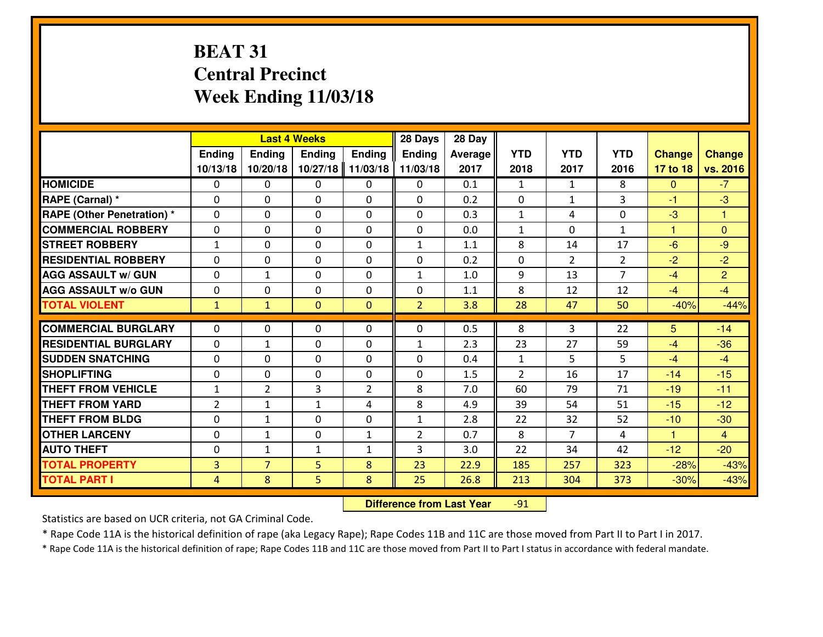# **BEAT 31 Central PrecinctWeek Ending 11/03/18**

|                                   |                |                | <b>Last 4 Weeks</b> |                | 28 Days        | 28 Day  |                |                |                |               |                |
|-----------------------------------|----------------|----------------|---------------------|----------------|----------------|---------|----------------|----------------|----------------|---------------|----------------|
|                                   | Ending         | Ending         | <b>Ending</b>       | <b>Ending</b>  | Ending         | Average | <b>YTD</b>     | <b>YTD</b>     | <b>YTD</b>     | <b>Change</b> | <b>Change</b>  |
|                                   | 10/13/18       | 10/20/18       | 10/27/18            | 11/03/18       | 11/03/18       | 2017    | 2018           | 2017           | 2016           | 17 to 18      | vs. 2016       |
| <b>HOMICIDE</b>                   | 0              | $\mathbf{0}$   | 0                   | 0              | 0              | 0.1     | $\mathbf{1}$   | $\mathbf{1}$   | 8              | $\mathbf{0}$  | $-7$           |
| RAPE (Carnal) *                   | 0              | $\mathbf{0}$   | $\mathbf{0}$        | 0              | 0              | 0.2     | $\mathbf{0}$   | $\mathbf{1}$   | 3              | $-1$          | $-3$           |
| <b>RAPE (Other Penetration) *</b> | 0              | 0              | $\mathbf{0}$        | $\Omega$       | 0              | 0.3     | $\mathbf{1}$   | 4              | 0              | $-3$          | 1              |
| <b>COMMERCIAL ROBBERY</b>         | 0              | 0              | $\mathbf{0}$        | $\Omega$       | $\mathbf{0}$   | 0.0     | $\mathbf{1}$   | $\mathbf{0}$   | $\mathbf{1}$   | 1             | $\mathbf{0}$   |
| <b>ISTREET ROBBERY</b>            | $\mathbf{1}$   | 0              | $\mathbf{0}$        | 0              | $\mathbf{1}$   | 1.1     | 8              | 14             | 17             | $-6$          | $-9$           |
| <b>RESIDENTIAL ROBBERY</b>        | 0              | $\mathbf 0$    | $\mathbf{0}$        | $\Omega$       | 0              | 0.2     | $\mathbf 0$    | $\overline{2}$ | $\overline{2}$ | $-2$          | $-2$           |
| <b>AGG ASSAULT W/ GUN</b>         | 0              | $\mathbf{1}$   | $\mathbf 0$         | $\Omega$       | $\mathbf{1}$   | 1.0     | 9              | 13             | $\overline{7}$ | $-4$          | $\overline{2}$ |
| <b>AGG ASSAULT W/o GUN</b>        | $\mathbf 0$    | $\mathbf 0$    | $\mathbf 0$         | $\Omega$       | 0              | 1.1     | 8              | 12             | 12             | $-4$          | $-4$           |
| <b>TOTAL VIOLENT</b>              | $\mathbf{1}$   | $\mathbf{1}$   | $\mathbf{0}$        | $\mathbf{0}$   | $\overline{2}$ | 3.8     | 28             | 47             | 50             | $-40%$        | $-44%$         |
|                                   |                |                |                     |                |                |         |                |                |                |               |                |
| <b>COMMERCIAL BURGLARY</b>        | $\Omega$       | $\Omega$       | $\mathbf 0$         | $\Omega$       | 0              | 0.5     | 8              | 3              | 22             | 5             | $-14$          |
| <b>RESIDENTIAL BURGLARY</b>       | 0              | $\mathbf{1}$   | $\mathbf 0$         | 0              | $\mathbf{1}$   | 2.3     | 23             | 27             | 59             | $-4$          | $-36$          |
| <b>SUDDEN SNATCHING</b>           | 0              | $\Omega$       | $\mathbf 0$         | $\Omega$       | 0              | 0.4     | $\mathbf 1$    | 5              | 5              | $-4$          | $-4$           |
| <b>SHOPLIFTING</b>                | $\mathbf 0$    | $\mathbf 0$    | $\mathbf 0$         | $\Omega$       | $\mathbf 0$    | 1.5     | $\overline{2}$ | 16             | 17             | $-14$         | $-15$          |
| <b>THEFT FROM VEHICLE</b>         | $\mathbf{1}$   | $\overline{2}$ | 3                   | $\overline{2}$ | 8              | 7.0     | 60             | 79             | 71             | $-19$         | $-11$          |
| <b>THEFT FROM YARD</b>            | $\overline{2}$ | $\mathbf{1}$   | $\mathbf{1}$        | 4              | 8              | 4.9     | 39             | 54             | 51             | $-15$         | $-12$          |
| <b>THEFT FROM BLDG</b>            | $\mathbf 0$    | $\mathbf{1}$   | $\mathbf 0$         | 0              | $\mathbf{1}$   | 2.8     | 22             | 32             | 52             | $-10$         | $-30$          |
| <b>OTHER LARCENY</b>              | $\mathbf 0$    | $\mathbf{1}$   | 0                   | $\mathbf{1}$   | $\overline{2}$ | 0.7     | 8              | $\overline{7}$ | 4              | $\mathbf{1}$  | $\overline{4}$ |
| <b>AUTO THEFT</b>                 | $\mathbf{0}$   | $\mathbf{1}$   | $\mathbf{1}$        | $\mathbf{1}$   | 3              | 3.0     | 22             | 34             | 42             | $-12$         | $-20$          |
| <b>TOTAL PROPERTY</b>             | 3              | $\overline{7}$ | 5                   | 8              | 23             | 22.9    | 185            | 257            | 323            | $-28%$        | $-43%$         |
| <b>TOTAL PART I</b>               | $\overline{4}$ | 8              | 5.                  | 8              | 25             | 26.8    | 213            | 304            | 373            | $-30%$        | $-43%$         |

 **Difference from Last Year**-91

Statistics are based on UCR criteria, not GA Criminal Code.

\* Rape Code 11A is the historical definition of rape (aka Legacy Rape); Rape Codes 11B and 11C are those moved from Part II to Part I in 2017.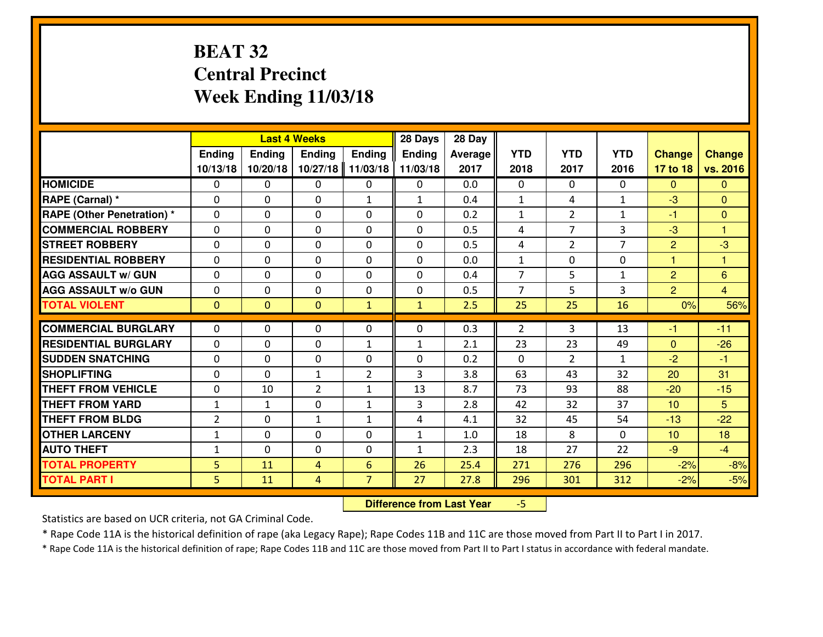# **BEAT 32 Central PrecinctWeek Ending 11/03/18**

|                                  |                |                | <b>Last 4 Weeks</b> |                | 28 Days       | 28 Day         |                |                |                |                |                |
|----------------------------------|----------------|----------------|---------------------|----------------|---------------|----------------|----------------|----------------|----------------|----------------|----------------|
|                                  | Ending         | Ending         | <b>Ending</b>       | <b>Ending</b>  | <b>Ending</b> | <b>Average</b> | <b>YTD</b>     | <b>YTD</b>     | <b>YTD</b>     | <b>Change</b>  | <b>Change</b>  |
|                                  | 10/13/18       | 10/20/18       | 10/27/18            | 11/03/18       | 11/03/18      | 2017           | 2018           | 2017           | 2016           | 17 to 18       | vs. 2016       |
| <b>HOMICIDE</b>                  | 0              | 0              | $\Omega$            | $\mathbf{0}$   | 0             | 0.0            | $\Omega$       | $\Omega$       | $\Omega$       | $\mathbf{0}$   | $\Omega$       |
| RAPE (Carnal) *                  | $\Omega$       | 0              | $\mathbf 0$         | $\mathbf{1}$   | 1             | 0.4            | $\mathbf{1}$   | 4              | $\mathbf{1}$   | $-3$           | $\mathbf{0}$   |
| <b>RAPE (Other Penetration)*</b> | $\Omega$       | 0              | $\Omega$            | $\Omega$       | $\Omega$      | 0.2            | $\mathbf{1}$   | $\overline{2}$ | $\mathbf{1}$   | $-1$           | $\Omega$       |
| <b>COMMERCIAL ROBBERY</b>        | $\Omega$       | $\Omega$       | $\mathbf 0$         | $\Omega$       | $\Omega$      | 0.5            | 4              | $\overline{7}$ | 3              | $-3$           | 1              |
| <b>ISTREET ROBBERY</b>           | $\mathbf{0}$   | 0              | $\mathbf{0}$        | 0              | $\Omega$      | 0.5            | 4              | $\overline{2}$ | $\overline{7}$ | 2              | $-3$           |
| <b>RESIDENTIAL ROBBERY</b>       | 0              | 0              | $\mathbf 0$         | 0              | 0             | 0.0            | $\mathbf{1}$   | 0              | 0              | 1              | $\mathbf{1}$   |
| <b>AGG ASSAULT w/ GUN</b>        | 0              | 0              | $\mathbf 0$         | 0              | 0             | 0.4            | $\overline{7}$ | 5              | $\mathbf{1}$   | $\overline{2}$ | 6              |
| <b>AGG ASSAULT W/o GUN</b>       | 0              | 0              | $\Omega$            | 0              | 0             | 0.5            | $\overline{7}$ | 5              | 3              | $\overline{2}$ | $\overline{4}$ |
| <b>TOTAL VIOLENT</b>             | $\mathbf{0}$   | $\overline{0}$ | $\mathbf{0}$        | $\mathbf{1}$   | $\mathbf{1}$  | 2.5            | 25             | 25             | 16             | 0%             | 56%            |
| <b>COMMERCIAL BURGLARY</b>       | $\Omega$       | 0              | $\mathbf{0}$        | 0              | $\Omega$      | 0.3            | $\overline{2}$ | 3              | 13             | -1             | $-11$          |
| <b>RESIDENTIAL BURGLARY</b>      | $\Omega$       | 0              | $\mathbf{0}$        | $\mathbf{1}$   | $\mathbf{1}$  | 2.1            | 23             | 23             | 49             | $\Omega$       | $-26$          |
| <b>SUDDEN SNATCHING</b>          | 0              | $\Omega$       | $\mathbf 0$         | 0              | 0             | 0.2            | $\Omega$       | $\overline{2}$ | $\mathbf{1}$   | $-2$           | $-1$           |
| <b>SHOPLIFTING</b>               | 0              | 0              | $\mathbf{1}$        | $\overline{2}$ | 3             | 3.8            | 63             | 43             | 32             | 20             | 31             |
| <b>THEFT FROM VEHICLE</b>        | 0              | 10             | $\overline{2}$      | $\mathbf{1}$   | 13            | 8.7            | 73             | 93             | 88             | $-20$          | $-15$          |
| <b>THEFT FROM YARD</b>           | $1\,$          | $\mathbf{1}$   | 0                   | $\mathbf{1}$   | 3             | 2.8            | 42             | 32             | 37             | 10             | 5              |
| <b>THEFT FROM BLDG</b>           | $\overline{2}$ | 0              | $\mathbf{1}$        | $\mathbf{1}$   | 4             | 4.1            | 32             | 45             | 54             | $-13$          | $-22$          |
| <b>OTHER LARCENY</b>             | $\mathbf{1}$   | 0              | 0                   | 0              | $\mathbf{1}$  | 1.0            | 18             | 8              | 0              | 10             | 18             |
| <b>AUTO THEFT</b>                | $\mathbf{1}$   | 0              | 0                   | 0              | $\mathbf{1}$  | 2.3            | 18             | 27             | 22             | $-9$           | $-4$           |
| <b>TOTAL PROPERTY</b>            | 5              | 11             | 4                   | $6\phantom{1}$ | 26            | 25.4           | 271            | 276            | 296            | $-2%$          | $-8%$          |
| <b>TOTAL PART I</b>              | 5              | 11             | 4                   | $\overline{7}$ | 27            | 27.8           | 296            | 301            | 312            | $-2%$          | $-5%$          |

 **Difference from Last Year**-5

Statistics are based on UCR criteria, not GA Criminal Code.

\* Rape Code 11A is the historical definition of rape (aka Legacy Rape); Rape Codes 11B and 11C are those moved from Part II to Part I in 2017.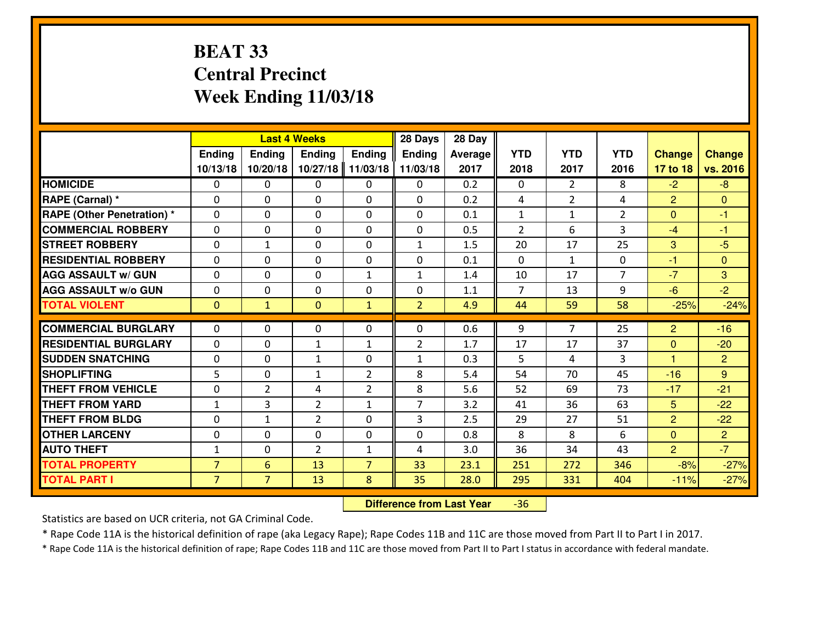# **BEAT 33 Central PrecinctWeek Ending 11/03/18**

|                                  |                |                | <b>Last 4 Weeks</b> |                | 28 Days        | 28 Day         |                |                |                |                |                |
|----------------------------------|----------------|----------------|---------------------|----------------|----------------|----------------|----------------|----------------|----------------|----------------|----------------|
|                                  | <b>Ending</b>  | <b>Ending</b>  | <b>Endina</b>       | <b>Ending</b>  | <b>Ending</b>  | <b>Average</b> | <b>YTD</b>     | <b>YTD</b>     | <b>YTD</b>     | <b>Change</b>  | <b>Change</b>  |
|                                  | 10/13/18       | 10/20/18       | 10/27/18            | 11/03/18       | 11/03/18       | 2017           | 2018           | 2017           | 2016           | 17 to 18       | vs. 2016       |
| <b>HOMICIDE</b>                  | $\Omega$       | 0              | $\Omega$            | $\Omega$       | 0              | 0.2            | $\Omega$       | $\overline{2}$ | 8              | $-2$           | $-8$           |
| RAPE (Carnal) *                  | $\Omega$       | 0              | $\mathbf{0}$        | $\Omega$       | $\Omega$       | 0.2            | 4              | $\overline{2}$ | 4              | $\overline{2}$ | $\Omega$       |
| <b>RAPE (Other Penetration)*</b> | $\Omega$       | $\Omega$       | $\mathbf 0$         | $\Omega$       | $\Omega$       | 0.1            | 1              | $\mathbf{1}$   | $\overline{2}$ | $\mathbf{0}$   | $-1$           |
| <b>COMMERCIAL ROBBERY</b>        | $\Omega$       | 0              | $\mathbf 0$         | 0              | 0              | 0.5            | $\overline{2}$ | 6              | 3              | $-4$           | $-1$           |
| <b>ISTREET ROBBERY</b>           | $\Omega$       | $\mathbf{1}$   | $\mathbf 0$         | $\Omega$       | $\mathbf{1}$   | 1.5            | 20             | 17             | 25             | 3              | $-5$           |
| <b>RESIDENTIAL ROBBERY</b>       | $\Omega$       | $\Omega$       | $\mathbf 0$         | $\Omega$       | 0              | 0.1            | $\Omega$       | $\mathbf{1}$   | 0              | $-1$           | $\Omega$       |
| <b>AGG ASSAULT w/ GUN</b>        | $\Omega$       | $\Omega$       | 0                   | $\mathbf{1}$   | $\mathbf{1}$   | 1.4            | 10             | 17             | $\overline{7}$ | $-7$           | 3              |
| <b>AGG ASSAULT w/o GUN</b>       | 0              | 0              | $\mathbf 0$         | 0              | 0              | 1.1            | $\overline{7}$ | 13             | 9              | $-6$           | $-2$           |
| <b>TOTAL VIOLENT</b>             | $\mathbf{0}$   | $\mathbf{1}$   | $\mathbf{0}$        | $\mathbf{1}$   | $\overline{2}$ | 4.9            | 44             | 59             | 58             | $-25%$         | $-24%$         |
| <b>COMMERCIAL BURGLARY</b>       | $\Omega$       | 0              | $\mathbf{0}$        | 0              | 0              | 0.6            | 9              | $\overline{7}$ | 25             | $\overline{2}$ | $-16$          |
| <b>RESIDENTIAL BURGLARY</b>      | 0              | 0              | $\mathbf{1}$        | $\mathbf{1}$   | $\overline{2}$ | 1.7            | 17             | 17             | 37             | $\mathbf{0}$   | $-20$          |
| <b>SUDDEN SNATCHING</b>          | 0              | 0              | $\mathbf{1}$        | 0              | $\mathbf{1}$   | 0.3            | 5              | 4              | 3              | $\mathbf{1}$   | $\overline{2}$ |
| <b>SHOPLIFTING</b>               | 5              | 0              | $\mathbf{1}$        | $\overline{2}$ | 8              | 5.4            | 54             | 70             | 45             | $-16$          | 9              |
| <b>THEFT FROM VEHICLE</b>        | $\Omega$       | $\overline{2}$ | 4                   | $\overline{2}$ | 8              | 5.6            | 52             | 69             | 73             | $-17$          | $-21$          |
| <b>THEFT FROM YARD</b>           | $1\,$          | 3              | $\overline{2}$      | $\mathbf{1}$   | $\overline{7}$ | 3.2            | 41             | 36             | 63             | $5\phantom{.}$ | $-22$          |
| <b>THEFT FROM BLDG</b>           | 0              | 1              | $\overline{2}$      | 0              | 3              | 2.5            | 29             | 27             | 51             | $\overline{2}$ | $-22$          |
| <b>OTHER LARCENY</b>             | 0              | 0              | 0                   | 0              | 0              | 0.8            | 8              | 8              | 6              | $\mathbf{0}$   | $\overline{2}$ |
| <b>AUTO THEFT</b>                | $1\,$          | 0              | $\overline{2}$      | $\mathbf{1}$   | 4              | 3.0            | 36             | 34             | 43             | $\overline{2}$ | $-7$           |
| <b>TOTAL PROPERTY</b>            | $\overline{7}$ | 6              | 13                  | $\overline{7}$ | 33             | 23.1           | 251            | 272            | 346            | $-8%$          | $-27%$         |
| <b>TOTAL PART I</b>              | $\overline{7}$ | $\overline{7}$ | 13                  | 8              | 35             | 28.0           | 295            | 331            | 404            | $-11%$         | $-27%$         |
|                                  |                |                |                     |                |                |                |                |                |                |                |                |

 **Difference from Last Year**-36

Statistics are based on UCR criteria, not GA Criminal Code.

\* Rape Code 11A is the historical definition of rape (aka Legacy Rape); Rape Codes 11B and 11C are those moved from Part II to Part I in 2017.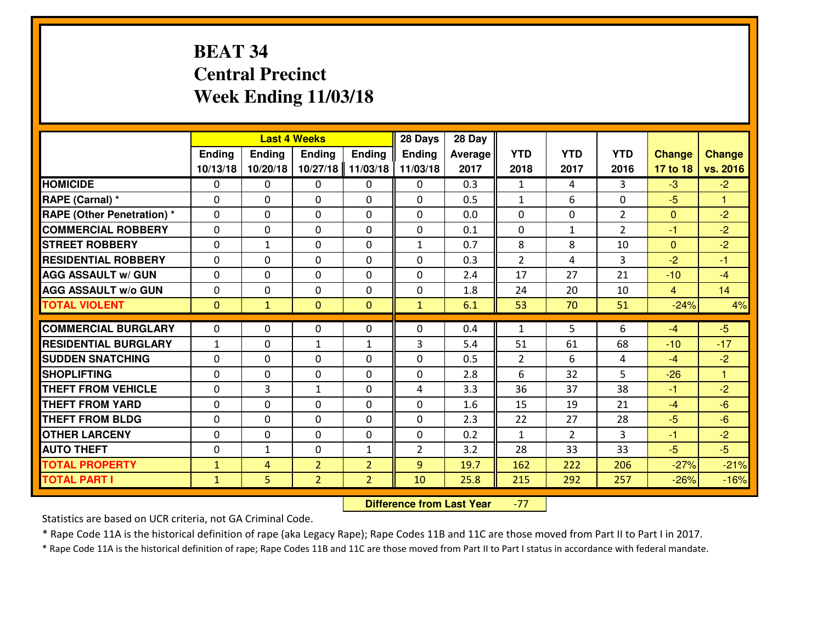# **BEAT 34 Central PrecinctWeek Ending 11/03/18**

|                                  |               |               | <b>Last 4 Weeks</b> |                | 28 Days        | 28 Day         |                |                |                |                |               |
|----------------------------------|---------------|---------------|---------------------|----------------|----------------|----------------|----------------|----------------|----------------|----------------|---------------|
|                                  | <b>Ending</b> | <b>Ending</b> | <b>Ending</b>       | <b>Ending</b>  | <b>Ending</b>  | <b>Average</b> | <b>YTD</b>     | <b>YTD</b>     | <b>YTD</b>     | <b>Change</b>  | <b>Change</b> |
|                                  | 10/13/18      | 10/20/18      | 10/27/18            | 11/03/18       | 11/03/18       | 2017           | 2018           | 2017           | 2016           | 17 to 18       | vs. 2016      |
| <b>HOMICIDE</b>                  | $\Omega$      | 0             | $\Omega$            | $\Omega$       | 0              | 0.3            | $\mathbf{1}$   | 4              | 3              | $-3$           | $-2$          |
| RAPE (Carnal) *                  | $\Omega$      | 0             | $\mathbf{0}$        | $\Omega$       | $\Omega$       | 0.5            | $\mathbf{1}$   | 6              | $\Omega$       | $-5$           | $\mathbf{1}$  |
| <b>RAPE (Other Penetration)*</b> | $\Omega$      | $\Omega$      | $\mathbf 0$         | $\Omega$       | $\Omega$       | 0.0            | $\Omega$       | $\Omega$       | $\overline{2}$ | $\mathbf{0}$   | $-2$          |
| <b>COMMERCIAL ROBBERY</b>        | $\Omega$      | 0             | $\mathbf 0$         | 0              | 0              | 0.1            | $\mathbf{0}$   | $\mathbf{1}$   | $\overline{2}$ | $-1$           | $-2$          |
| <b>STREET ROBBERY</b>            | $\Omega$      | $\mathbf{1}$  | $\mathbf 0$         | $\Omega$       | $\mathbf{1}$   | 0.7            | 8              | 8              | 10             | $\overline{0}$ | $-2$          |
| <b>RESIDENTIAL ROBBERY</b>       | $\Omega$      | $\Omega$      | $\mathbf 0$         | $\Omega$       | $\Omega$       | 0.3            | $\overline{2}$ | 4              | 3              | $-2$           | $-1$          |
| <b>AGG ASSAULT w/ GUN</b>        | $\Omega$      | $\Omega$      | $\Omega$            | $\Omega$       | 0              | 2.4            | 17             | 27             | 21             | $-10$          | $-4$          |
| <b>AGG ASSAULT w/o GUN</b>       | 0             | 0             | $\mathbf 0$         | 0              | 0              | 1.8            | 24             | 20             | 10             | $\overline{4}$ | 14            |
| <b>TOTAL VIOLENT</b>             | $\mathbf{0}$  | $\mathbf{1}$  | $\mathbf{0}$        | $\mathbf{0}$   | $\mathbf{1}$   | 6.1            | 53             | 70             | 51             | $-24%$         | 4%            |
| <b>COMMERCIAL BURGLARY</b>       | $\Omega$      | 0             | $\mathbf{0}$        | 0              | 0              | 0.4            | 1              | 5              | 6              | $-4$           | $-5$          |
| <b>RESIDENTIAL BURGLARY</b>      | $\mathbf{1}$  | 0             | $\mathbf{1}$        | $\mathbf{1}$   | 3              | 5.4            | 51             | 61             | 68             | $-10$          | $-17$         |
| <b>SUDDEN SNATCHING</b>          | 0             | 0             | $\mathbf 0$         | 0              | 0              | 0.5            | $\overline{2}$ | 6              | 4              | $-4$           | $-2$          |
| <b>SHOPLIFTING</b>               | 0             | 0             | $\mathbf 0$         | 0              | 0              | 2.8            | 6              | 32             | 5              | $-26$          | $\mathbf{1}$  |
| <b>THEFT FROM VEHICLE</b>        | $\Omega$      | 3             | $\mathbf{1}$        | $\Omega$       | 4              | 3.3            | 36             | 37             | 38             | $-1$           | $-2$          |
| <b>THEFT FROM YARD</b>           | $\mathbf 0$   | 0             | $\mathbf 0$         | 0              | 0              | 1.6            | 15             | 19             | 21             | $-4$           | $-6$          |
| <b>THEFT FROM BLDG</b>           | 0             | 0             | $\mathbf 0$         | 0              | 0              | 2.3            | 22             | 27             | 28             | $-5$           | $-6$          |
| <b>OTHER LARCENY</b>             | 0             | 0             | $\mathbf 0$         | 0              | 0              | 0.2            | $\mathbf{1}$   | $\overline{2}$ | 3              | $-1$           | $-2$          |
| <b>AUTO THEFT</b>                | 0             | 1             | $\mathbf 0$         | $\mathbf{1}$   | $\overline{2}$ | 3.2            | 28             | 33             | 33             | $-5$           | $-5$          |
| <b>TOTAL PROPERTY</b>            | $\mathbf{1}$  | 4             | $\overline{2}$      | $\overline{2}$ | 9              | 19.7           | 162            | 222            | 206            | $-27%$         | $-21%$        |
|                                  |               |               | $\overline{2}$      |                | 10             |                |                |                |                |                |               |
| <b>TOTAL PART I</b>              | $\mathbf{1}$  | 5.            |                     | $\overline{2}$ |                | 25.8           | 215            | 292            | 257            | $-26%$         | $-16%$        |

 **Difference from Last Year**-77

Statistics are based on UCR criteria, not GA Criminal Code.

\* Rape Code 11A is the historical definition of rape (aka Legacy Rape); Rape Codes 11B and 11C are those moved from Part II to Part I in 2017.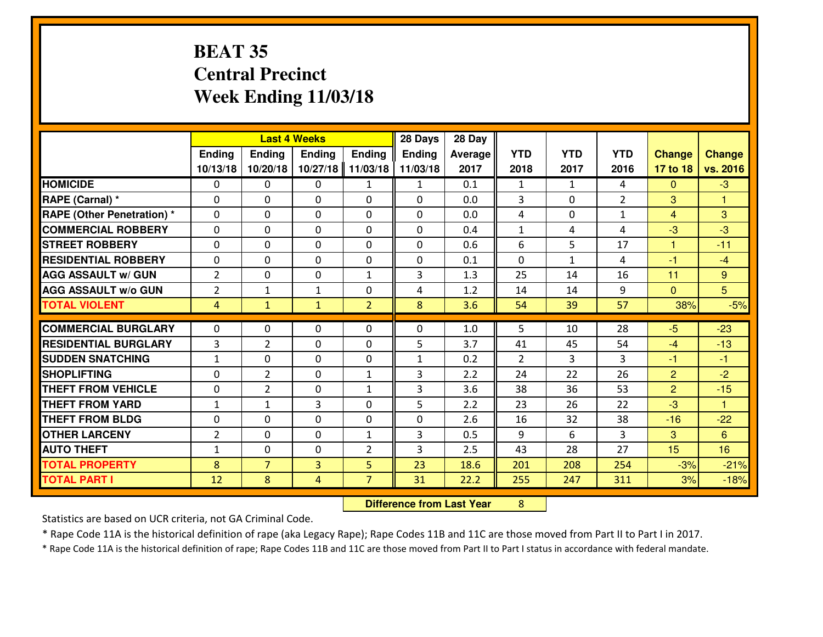# **BEAT 35 Central PrecinctWeek Ending 11/03/18**

|                             |                |                | <b>Last 4 Weeks</b> |                | 28 Days       | 28 Day  |              |              |                |                |                      |
|-----------------------------|----------------|----------------|---------------------|----------------|---------------|---------|--------------|--------------|----------------|----------------|----------------------|
|                             | Ending         | Ending         | <b>Ending</b>       | <b>Ending</b>  | <b>Ending</b> | Average | <b>YTD</b>   | <b>YTD</b>   | <b>YTD</b>     | <b>Change</b>  | <b>Change</b>        |
|                             | 10/13/18       | 10/20/18       | 10/27/18            | 11/03/18       | 11/03/18      | 2017    | 2018         | 2017         | 2016           | 17 to 18       | vs. 2016             |
| <b>HOMICIDE</b>             | $\Omega$       | 0              | 0                   | $\mathbf{1}$   | 1             | 0.1     | 1            | $\mathbf{1}$ | 4              | $\Omega$       | $-3$                 |
| RAPE (Carnal) *             | $\mathbf{0}$   | 0              | $\mathbf{0}$        | 0              | $\Omega$      | 0.0     | 3            | $\mathbf{0}$ | $\overline{2}$ | 3              | 1                    |
| RAPE (Other Penetration) *  | $\Omega$       | 0              | $\mathbf{0}$        | $\Omega$       | $\Omega$      | 0.0     | 4            | 0            | $\mathbf{1}$   | $\overline{4}$ | 3                    |
| <b>COMMERCIAL ROBBERY</b>   | $\mathbf{0}$   | 0              | 0                   | 0              | $\Omega$      | 0.4     | $\mathbf{1}$ | 4            | 4              | $-3$           | $-3$                 |
| <b>STREET ROBBERY</b>       | 0              | 0              | $\mathbf 0$         | $\Omega$       | 0             | 0.6     | 6            | 5            | 17             | 1              | $-11$                |
| <b>RESIDENTIAL ROBBERY</b>  | $\Omega$       | $\Omega$       | $\mathbf 0$         | $\Omega$       | 0             | 0.1     | 0            | $\mathbf{1}$ | 4              | $-1$           | $-4$                 |
| <b>AGG ASSAULT w/ GUN</b>   | $\overline{2}$ | 0              | $\mathbf 0$         | $\mathbf{1}$   | 3             | 1.3     | 25           | 14           | 16             | 11             | 9                    |
| <b>AGG ASSAULT W/o GUN</b>  | $\overline{2}$ | $\mathbf{1}$   | 1                   | 0              | 4             | 1.2     | 14           | 14           | 9              | $\mathbf{0}$   | $5\overline{)}$      |
| <b>TOTAL VIOLENT</b>        | 4              | $\mathbf{1}$   | $\mathbf{1}$        | $\overline{2}$ | 8             | 3.6     | 54           | 39           | 57             | 38%            | $-5%$                |
| <b>COMMERCIAL BURGLARY</b>  | $\Omega$       | 0              | $\mathbf{0}$        | $\Omega$       | $\Omega$      | 1.0     | 5.           | 10           | 28             | $-5$           | $-23$                |
| <b>RESIDENTIAL BURGLARY</b> | 3              | $\overline{2}$ | $\mathbf 0$         | 0              | 5             | 3.7     | 41           | 45           | 54             | $-4$           | $-13$                |
| <b>SUDDEN SNATCHING</b>     | $\mathbf{1}$   | 0              | $\mathbf 0$         | 0              | $\mathbf{1}$  | 0.2     | 2            | 3            | 3              | $-1$           | $-1$                 |
| <b>SHOPLIFTING</b>          | 0              | $\overline{2}$ | $\mathbf 0$         | $\mathbf{1}$   | 3             | 2.2     | 24           | 22           | 26             | $\overline{2}$ | $-2$                 |
| <b>THEFT FROM VEHICLE</b>   | 0              | $\overline{2}$ | $\mathbf 0$         | $\mathbf{1}$   | 3             | 3.6     | 38           | 36           | 53             | $\overline{2}$ | $-15$                |
| <b>THEFT FROM YARD</b>      | $1\,$          | $\mathbf{1}$   | 3                   | 0              | 5             | 2.2     | 23           | 26           | 22             | $-3$           | $\blacktriangleleft$ |
| <b>THEFT FROM BLDG</b>      | 0              | 0              | $\mathbf 0$         | 0              | 0             | 2.6     | 16           | 32           | 38             | $-16$          | $-22$                |
| <b>OTHER LARCENY</b>        | $\overline{2}$ | 0              | $\mathbf 0$         | $\mathbf{1}$   | 3             | 0.5     | 9            | 6            | 3              | 3              | 6                    |
| <b>AUTO THEFT</b>           | $\mathbf{1}$   | 0              | $\mathbf{0}$        | 2              | 3             | 2.5     | 43           | 28           | 27             | 15             | 16                   |
| <b>TOTAL PROPERTY</b>       | 8              | $\overline{7}$ | $\overline{3}$      | 5              | 23            | 18.6    | 201          | 208          | 254            | $-3%$          | $-21%$               |
| <b>TOTAL PART I</b>         | 12             | 8              | 4                   | $\overline{7}$ | 31            | 22.2    | 255          | 247          | 311            | 3%             | $-18%$               |

 **Difference from Last Year**<sup>8</sup>

Statistics are based on UCR criteria, not GA Criminal Code.

\* Rape Code 11A is the historical definition of rape (aka Legacy Rape); Rape Codes 11B and 11C are those moved from Part II to Part I in 2017.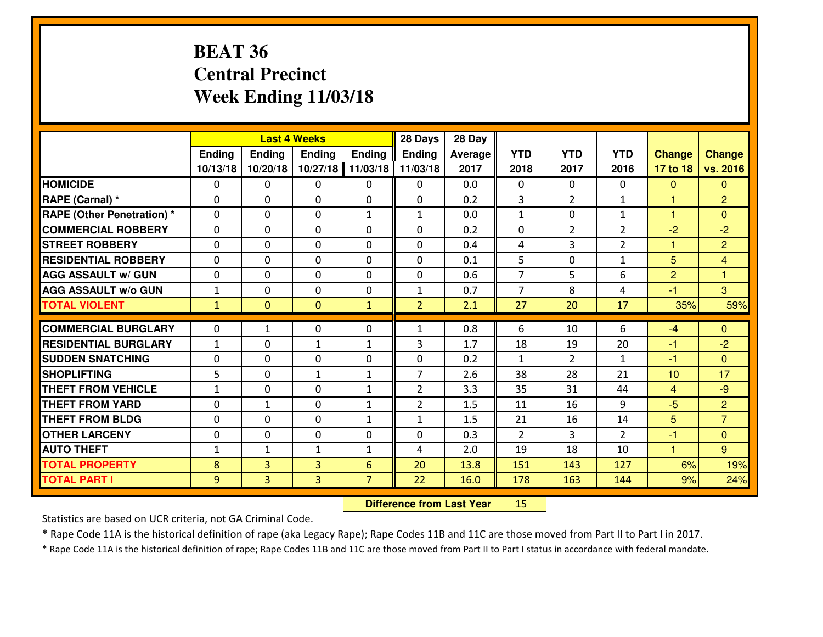# **BEAT 36 Central PrecinctWeek Ending 11/03/18**

|                             |              |                | <b>Last 4 Weeks</b> |                | 28 Days        | 28 Day         |                |                |                |                      |                |
|-----------------------------|--------------|----------------|---------------------|----------------|----------------|----------------|----------------|----------------|----------------|----------------------|----------------|
|                             | Ending       | <b>Ending</b>  | <b>Ending</b>       | Ending         | <b>Ending</b>  | <b>Average</b> | <b>YTD</b>     | <b>YTD</b>     | <b>YTD</b>     | <b>Change</b>        | <b>Change</b>  |
|                             | 10/13/18     | 10/20/18       | 10/27/18            | 11/03/18       | 11/03/18       | 2017           | 2018           | 2017           | 2016           | 17 to 18             | vs. 2016       |
| <b>HOMICIDE</b>             | $\Omega$     | 0              | $\Omega$            | $\Omega$       | 0              | 0.0            | $\Omega$       | $\Omega$       | $\Omega$       | $\mathbf{0}$         | $\Omega$       |
| RAPE (Carnal) *             | $\mathbf{0}$ | 0              | $\mathbf{0}$        | 0              | $\Omega$       | 0.2            | 3              | $\overline{2}$ | $\mathbf{1}$   | $\blacktriangleleft$ | $\overline{2}$ |
| RAPE (Other Penetration) *  | $\Omega$     | 0              | $\mathbf{0}$        | $\mathbf{1}$   | $\mathbf{1}$   | 0.0            | $\mathbf{1}$   | $\Omega$       | $\mathbf{1}$   | 1                    | $\Omega$       |
| <b>COMMERCIAL ROBBERY</b>   | $\mathbf{0}$ | 0              | 0                   | 0              | 0              | 0.2            | $\mathbf{0}$   | $\overline{2}$ | $\overline{2}$ | $-2$                 | $-2$           |
| <b>STREET ROBBERY</b>       | 0            | 0              | $\mathbf 0$         | 0              | 0              | 0.4            | 4              | 3              | $\overline{2}$ | $\mathbf{1}$         | $\overline{2}$ |
| <b>RESIDENTIAL ROBBERY</b>  | $\Omega$     | $\Omega$       | $\mathbf 0$         | $\Omega$       | $\Omega$       | 0.1            | 5              | $\Omega$       | $\mathbf{1}$   | 5                    | $\overline{4}$ |
| <b>AGG ASSAULT w/ GUN</b>   | 0            | $\Omega$       | $\mathbf 0$         | $\Omega$       | $\Omega$       | 0.6            | $\overline{7}$ | 5              | 6              | $\overline{2}$       | $\mathbf{1}$   |
| <b>AGG ASSAULT W/o GUN</b>  | $1\,$        | 0              | 0                   | 0              | $\mathbf{1}$   | 0.7            | $\overline{7}$ | 8              | 4              | $-1$                 | 3              |
| <b>TOTAL VIOLENT</b>        | $\mathbf{1}$ | $\mathbf{0}$   | $\mathbf{0}$        | $\mathbf{1}$   | $\overline{2}$ | 2.1            | 27             | 20             | 17             | 35%                  | 59%            |
| <b>COMMERCIAL BURGLARY</b>  | $\Omega$     | $\mathbf{1}$   | $\Omega$            | 0              | $\mathbf{1}$   | 0.8            | 6              | 10             | 6              | $-4$                 | $\Omega$       |
| <b>RESIDENTIAL BURGLARY</b> | $\mathbf{1}$ | 0              | $\mathbf{1}$        | $\mathbf{1}$   | 3              | 1.7            | 18             | 19             | 20             | -1                   | $-2$           |
| <b>SUDDEN SNATCHING</b>     | 0            | 0              | $\mathbf 0$         | 0              | 0              | 0.2            | $\mathbf{1}$   | $\overline{2}$ | $\mathbf{1}$   | $-1$                 | $\overline{0}$ |
| <b>SHOPLIFTING</b>          | 5            | 0              | $\mathbf{1}$        | $\mathbf{1}$   | $\overline{7}$ | 2.6            | 38             | 28             | 21             | 10                   | 17             |
| <b>THEFT FROM VEHICLE</b>   | $\mathbf{1}$ | 0              | $\mathbf 0$         | $\mathbf{1}$   | $\overline{2}$ | 3.3            | 35             | 31             | 44             | $\overline{4}$       | $-9$           |
| <b>THEFT FROM YARD</b>      | 0            | $\mathbf{1}$   | $\mathbf 0$         | $\mathbf{1}$   | $\overline{2}$ | 1.5            | 11             | 16             | 9              | $-5$                 | $\overline{2}$ |
| <b>THEFT FROM BLDG</b>      | 0            | 0              | $\mathbf 0$         | $\mathbf{1}$   | $\mathbf{1}$   | 1.5            | 21             | 16             | 14             | 5                    | $\overline{7}$ |
| <b>OTHER LARCENY</b>        | 0            | 0              | 0                   | 0              | 0              | 0.3            | $\overline{2}$ | 3              | $\overline{2}$ | $-1$                 | $\overline{0}$ |
| <b>AUTO THEFT</b>           | $\mathbf{1}$ | $\mathbf{1}$   | $\mathbf{1}$        | $\mathbf{1}$   | 4              | 2.0            | 19             | 18             | 10             | $\blacktriangleleft$ | 9 <sup>°</sup> |
| <b>TOTAL PROPERTY</b>       | 8            | 3              | 3                   | $6\phantom{1}$ | 20             | 13.8           | 151            | 143            | 127            | 6%                   | 19%            |
| <b>TOTAL PART I</b>         | 9            | $\overline{3}$ | 3                   | $\overline{7}$ | 22             | 16.0           | 178            | 163            | 144            | 9%                   | 24%            |

 **Difference from Last Year**<sup>15</sup>

Statistics are based on UCR criteria, not GA Criminal Code.

\* Rape Code 11A is the historical definition of rape (aka Legacy Rape); Rape Codes 11B and 11C are those moved from Part II to Part I in 2017.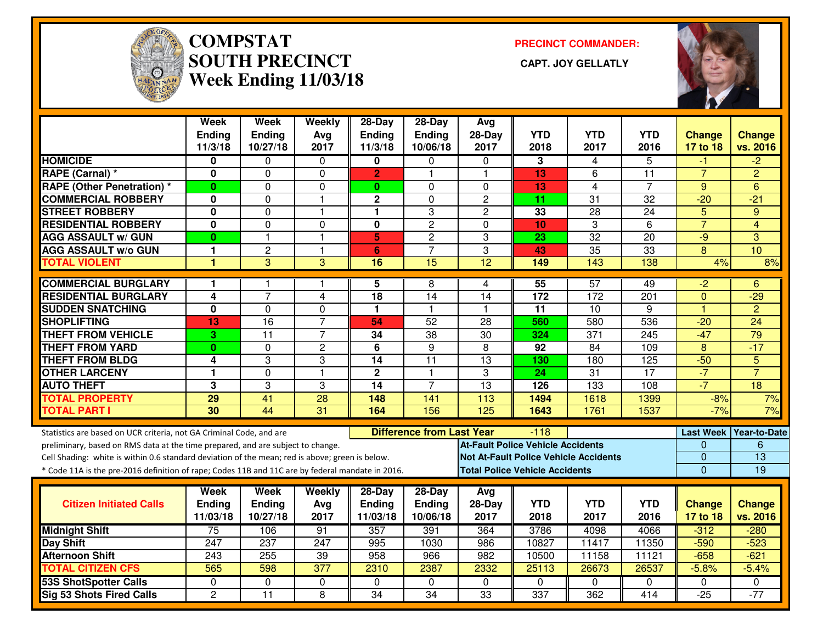

#### **COMPSTAT PRECINCT COMMANDER: SOUTH PRECINCT CAPT. JOY GELLATLYWeek Ending 11/03/18**



|                                                                                                  | Week<br><b>Ending</b><br>11/3/18 | Week<br>Ending<br>10/27/18 | Weekly<br>Avg<br>2017 | 28-Day<br><b>Ending</b><br>11/3/18 | 28-Day<br><b>Ending</b><br>10/06/18 | Avg<br>$28-Day$<br>2017                  | <b>YTD</b><br>2018 | <b>YTD</b><br>2017 | <b>YTD</b><br>2016 | <b>Change</b><br>17 to 18 | <b>Change</b><br>vs. 2016 |
|--------------------------------------------------------------------------------------------------|----------------------------------|----------------------------|-----------------------|------------------------------------|-------------------------------------|------------------------------------------|--------------------|--------------------|--------------------|---------------------------|---------------------------|
| <b>HOMICIDE</b>                                                                                  | 0                                | 0                          | $\Omega$              | 0                                  | $\Omega$                            | $\Omega$                                 | 3                  | 4                  | 5                  | -1                        | $-2$                      |
| RAPE (Carnal) *                                                                                  | $\mathbf 0$                      | 0                          | $\mathbf 0$           | $\overline{2}$                     | 1                                   | $\blacktriangleleft$                     | 13                 | 6                  | $\overline{11}$    | $\overline{7}$            | $\overline{2}$            |
| <b>RAPE (Other Penetration) *</b>                                                                | $\mathbf{0}$                     | $\Omega$                   | $\Omega$              | $\mathbf{0}$                       | $\Omega$                            | $\Omega$                                 | 13                 | $\overline{4}$     | $\overline{7}$     | 9                         | 6                         |
| <b>COMMERCIAL ROBBERY</b>                                                                        | 0                                | 0                          | $\mathbf{1}$          | $\mathbf{2}$                       | $\Omega$                            | $\overline{2}$                           | 11                 | 31                 | 32                 | $-20$                     | $-21$                     |
| <b>STREET ROBBERY</b>                                                                            | 0                                | 0                          | $\mathbf{1}$          | 1                                  | 3                                   | 2                                        | 33                 | 28                 | 24                 | 5                         | 9                         |
| <b>RESIDENTIAL ROBBERY</b>                                                                       | 0                                | 0                          | $\Omega$              | $\bf{0}$                           | $\overline{2}$                      | $\Omega$                                 | 10                 | 3                  | 6                  | $\overline{7}$            | 4                         |
| <b>AGG ASSAULT w/ GUN</b>                                                                        | 0                                | $\mathbf{1}$               | $\overline{1}$        | 5                                  | $\overline{c}$                      | 3                                        | 23                 | 32                 | 20                 | $-9$                      | 3                         |
| <b>AGG ASSAULT w/o GUN</b>                                                                       | 1                                | $\overline{c}$             | $\mathbf{1}$          | 6                                  | $\overline{7}$                      | 3                                        | 43                 | 35                 | 33                 | 8                         | 10                        |
| <b>TOTAL VIOLENT</b>                                                                             | 1                                | $\overline{3}$             | $\overline{3}$        | 16                                 | 15                                  | 12                                       | 149                | $\frac{143}{143}$  | 138                | 4%                        | 8%                        |
| <b>COMMERCIAL BURGLARY</b>                                                                       | 1                                | 1                          | 1                     | 5                                  | 8                                   | 4                                        | $\overline{55}$    | 57                 | 49                 | $\overline{2}$            | 6                         |
| <b>RESIDENTIAL BURGLARY</b>                                                                      | 4                                | $\overline{7}$             | 4                     | 18                                 | 14                                  | 14                                       | 172                | 172                | 201                | $\mathbf 0$               | $-29$                     |
| <b>SUDDEN SNATCHING</b>                                                                          | 0                                | 0                          | 0                     | 1                                  | $\mathbf{1}$                        | -1                                       | 11                 | 10                 | 9                  | $\overline{1}$            | $\overline{2}$            |
| <b>SHOPLIFTING</b>                                                                               | 13                               | 16                         | $\overline{7}$        | 54                                 | $\overline{52}$                     | 28                                       | 560                | 580                | 536                | $-20$                     | $\overline{24}$           |
| <b>THEFT FROM VEHICLE</b>                                                                        | 3                                | 11                         | $\overline{7}$        | 34                                 | 38                                  | 30                                       | 324                | 371                | 245                | $-47$                     | $\overline{79}$           |
| <b>THEFT FROM YARD</b>                                                                           | 0                                | 0                          | $\overline{c}$        | 6                                  | 9                                   | 8                                        | 92                 | 84                 | 109                | 8                         | $-17$                     |
| <b>THEFT FROM BLDG</b>                                                                           | 4                                | 3                          | 3                     | 14                                 | $\overline{11}$                     | $\overline{13}$                          | 130                | 180                | 125                | $-50$                     | $\overline{5}$            |
| <b>OTHER LARCENY</b>                                                                             | $\blacksquare$                   | 0                          | $\mathbf{1}$          | $\overline{2}$                     | $\mathbf{1}$                        | 3                                        | $\overline{24}$    | $\overline{31}$    | 17                 | $-7$                      | $\overline{7}$            |
| <b>AUTO THEFT</b>                                                                                | 3                                | 3                          | 3                     | $\overline{14}$                    | $\overline{7}$                      | $\overline{13}$                          | 126                | $\overline{133}$   | 108                | $-7$                      | $\overline{18}$           |
| <b>TOTAL PROPERTY</b>                                                                            | 29                               | $\overline{41}$            | 28                    | 148                                | 141                                 | 113                                      | 1494               | 1618               | 1399               | $-8%$                     | 7%                        |
| <b>TOTAL PART I</b>                                                                              | 30                               | $\overline{44}$            | 31                    | 164                                | 156                                 | 125                                      | 1643               | 1761               | 1537               | $-7%$                     | 7%                        |
| Statistics are based on UCR criteria, not GA Criminal Code, and are                              |                                  |                            |                       |                                    | <b>Difference from Last Year</b>    |                                          | $-118$             |                    |                    |                           | Last Week Year-to-Date    |
| preliminary, based on RMS data at the time prepared, and are subject to change.                  |                                  |                            |                       |                                    |                                     | <b>At-Fault Police Vehicle Accidents</b> |                    |                    |                    | 0                         | 6                         |
| Cell Shading: white is within 0.6 standard deviation of the mean; red is above; green is below.  |                                  |                            |                       |                                    |                                     | Not At-Fault Police Vehicle Accidents    |                    |                    |                    | $\overline{0}$            | $\overline{13}$           |
| * Code 11A is the pre-2016 definition of rape; Codes 11B and 11C are by federal mandate in 2016. |                                  |                            |                       |                                    |                                     | <b>Total Police Vehicle Accidents</b>    |                    |                    |                    | $\overline{0}$            | 19                        |
|                                                                                                  | Week                             | <b>Week</b>                | Weekly                | 28-Day                             | 28-Day                              | Avg                                      |                    |                    |                    |                           |                           |
| <b>Citizen Initiated Calls</b>                                                                   | <b>Ending</b>                    | Ending                     | Avg                   | Ending                             | <b>Ending</b>                       | 28-Day                                   | <b>YTD</b>         | <b>YTD</b>         | <b>YTD</b>         | Change                    | <b>Change</b>             |
|                                                                                                  | 11/03/18                         | 10/27/18                   | 2017                  | 11/03/18                           | 10/06/18                            | 2017                                     | 2018               | 2017               | 2016               | 17 to 18                  | vs. 2016                  |
| <b>Midnight Shift</b>                                                                            | 75                               | 106                        | 91                    | 357                                | 391                                 | 364                                      | 3786               | 4098               | 4066               | $-312$                    | $-280$                    |
| Day Shift                                                                                        | 247                              | 237                        | 247                   | 995                                | 1030                                | 986                                      | 10827              | 11417              | 11350              | $-590$                    | $-523$                    |
| <b>Afternoon Shift</b>                                                                           | 243                              | 255                        | 39                    | 958                                | 966                                 | 982                                      | 10500              | 11158              | 11121              | $-658$                    | $-621$                    |
| <b>TOTAL CITIZEN CFS</b>                                                                         | 565                              | 598                        | $\overline{377}$      | 2310                               | 2387                                | 2332                                     | 25113              | 26673              | 26537              | $-5.8%$                   | $-5.4%$                   |
| <b>53S ShotSpotter Calls</b>                                                                     | $\Omega$                         | 0                          | $\mathbf 0$           | $\Omega$                           | $\mathbf{0}$                        | $\Omega$                                 | 0                  | $\Omega$           | $\Omega$           | $\mathbf 0$               | 0                         |
| <b>Sig 53 Shots Fired Calls</b>                                                                  | $\overline{2}$                   | $\overline{11}$            | 8                     | $\overline{34}$                    | $\overline{34}$                     | 33                                       | 337                | 362                | 414                | $-25$                     | $-77$                     |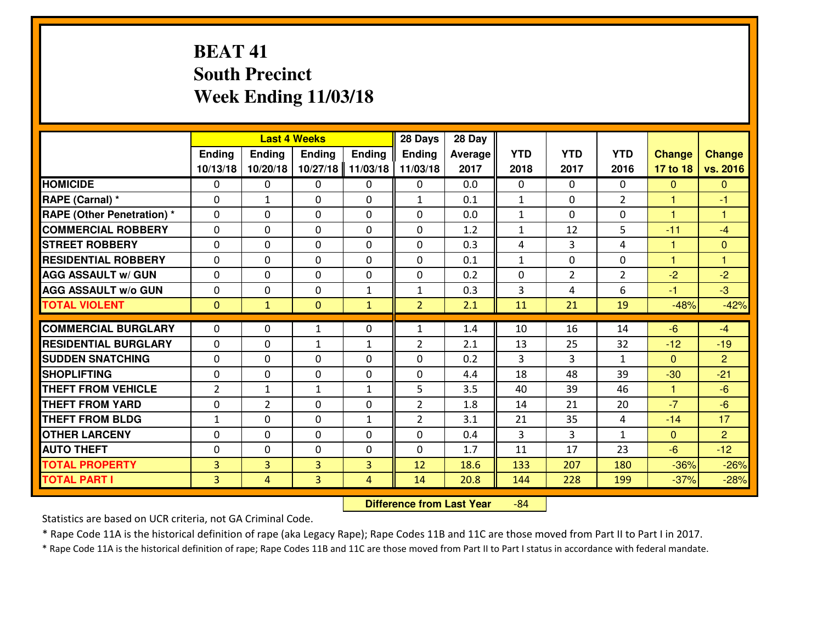# **BEAT 41 South PrecinctWeek Ending 11/03/18**

|                                  |                |                | <b>Last 4 Weeks</b> |               | 28 Days        | 28 Day  |                |                |                |               |                |
|----------------------------------|----------------|----------------|---------------------|---------------|----------------|---------|----------------|----------------|----------------|---------------|----------------|
|                                  | Ending         | Ending         | Ending              | <b>Ending</b> | <b>Ending</b>  | Average | <b>YTD</b>     | <b>YTD</b>     | <b>YTD</b>     | <b>Change</b> | <b>Change</b>  |
|                                  | 10/13/18       | 10/20/18       | 10/27/18            | 11/03/18      | 11/03/18       | 2017    | 2018           | 2017           | 2016           | 17 to 18      | vs. 2016       |
| <b>HOMICIDE</b>                  | 0              | 0              | 0                   | 0             | 0              | 0.0     | 0              | $\Omega$       | 0              | $\mathbf{0}$  | $\mathbf{0}$   |
| RAPE (Carnal) *                  | $\Omega$       | $\mathbf{1}$   | 0                   | $\Omega$      | 1              | 0.1     | $\mathbf{1}$   | 0              | $\overline{2}$ | $\mathbf{1}$  | -1             |
| <b>RAPE (Other Penetration)*</b> | $\Omega$       | $\Omega$       | $\Omega$            | $\Omega$      | $\Omega$       | 0.0     | $\mathbf{1}$   | $\Omega$       | $\Omega$       | 1             | 1              |
| <b>COMMERCIAL ROBBERY</b>        | $\Omega$       | $\Omega$       | $\mathbf 0$         | $\Omega$      | 0              | 1.2     | $\mathbf{1}$   | 12             | 5              | $-11$         | $-4$           |
| <b>ISTREET ROBBERY</b>           | $\mathbf{0}$   | 0              | $\mathbf{0}$        | 0             | $\Omega$       | 0.3     | 4              | 3              | 4              | 1             | $\mathbf{0}$   |
| <b>RESIDENTIAL ROBBERY</b>       | 0              | 0              | $\mathbf 0$         | 0             | 0              | 0.1     | $\mathbf{1}$   | $\mathbf{0}$   | 0              | $\mathbf{1}$  | $\overline{1}$ |
| <b>AGG ASSAULT w/ GUN</b>        | 0              | 0              | $\mathbf 0$         | 0             | 0              | 0.2     | 0              | $\overline{2}$ | $\overline{2}$ | $-2$          | $-2$           |
| <b>AGG ASSAULT W/o GUN</b>       | 0              | 0              | $\mathbf 0$         | $\mathbf{1}$  | $\mathbf{1}$   | 0.3     | 3              | 4              | 6              | $-1$          | $-3$           |
| <b>TOTAL VIOLENT</b>             | $\mathbf{0}$   | $\mathbf{1}$   | $\overline{0}$      | $\mathbf{1}$  | $\overline{2}$ | 2.1     | 11             | 21             | 19             | $-48%$        | $-42%$         |
| <b>COMMERCIAL BURGLARY</b>       | $\Omega$       | 0              | 1                   | 0             | $\mathbf{1}$   | 1.4     | 10             | 16             | 14             | $-6$          | $-4$           |
| <b>RESIDENTIAL BURGLARY</b>      | $\Omega$       | 0              | 1                   | $\mathbf{1}$  | $\overline{2}$ | 2.1     | 13             | 25             | 32             | $-12$         | $-19$          |
| <b>SUDDEN SNATCHING</b>          | 0              | $\Omega$       | $\mathbf 0$         | $\Omega$      | 0              | 0.2     | $\overline{3}$ | 3              | $\mathbf{1}$   | $\Omega$      | $\overline{2}$ |
| <b>SHOPLIFTING</b>               | 0              | 0              | $\mathbf 0$         | 0             | 0              | 4.4     | 18             | 48             | 39             | $-30$         | $-21$          |
| <b>THEFT FROM VEHICLE</b>        | 2              | $\mathbf{1}$   | $\mathbf{1}$        | $\mathbf{1}$  | 5              | 3.5     | 40             | 39             | 46             | $\mathbf{1}$  | $-6$           |
| <b>THEFT FROM YARD</b>           | 0              | $\overline{2}$ | $\mathbf 0$         | 0             | $\overline{2}$ | 1.8     | 14             | 21             | 20             | $-7$          | $-6$           |
| <b>THEFT FROM BLDG</b>           | $\mathbf{1}$   | 0              | 0                   | $\mathbf{1}$  | $\overline{2}$ | 3.1     | 21             | 35             | 4              | $-14$         | 17             |
| <b>OTHER LARCENY</b>             | 0              | 0              | $\mathbf 0$         | 0             | 0              | 0.4     | 3              | 3              | $\mathbf{1}$   | $\mathbf{0}$  | $\overline{2}$ |
| <b>AUTO THEFT</b>                | 0              | 0              | 0                   | 0             | $\mathbf 0$    | 1.7     | 11             | 17             | 23             | $-6$          | $-12$          |
| <b>TOTAL PROPERTY</b>            | $\overline{3}$ | $\overline{3}$ | 3                   | 3             | 12             | 18.6    | 133            | 207            | 180            | $-36%$        | $-26%$         |
| <b>TOTAL PART I</b>              | $\overline{3}$ | $\overline{4}$ | 3                   | 4             | 14             | 20.8    | 144            | 228            | 199            | $-37%$        | $-28%$         |
|                                  |                |                |                     |               |                |         |                |                |                |               |                |

 **Difference from Last Year**-84

Statistics are based on UCR criteria, not GA Criminal Code.

\* Rape Code 11A is the historical definition of rape (aka Legacy Rape); Rape Codes 11B and 11C are those moved from Part II to Part I in 2017.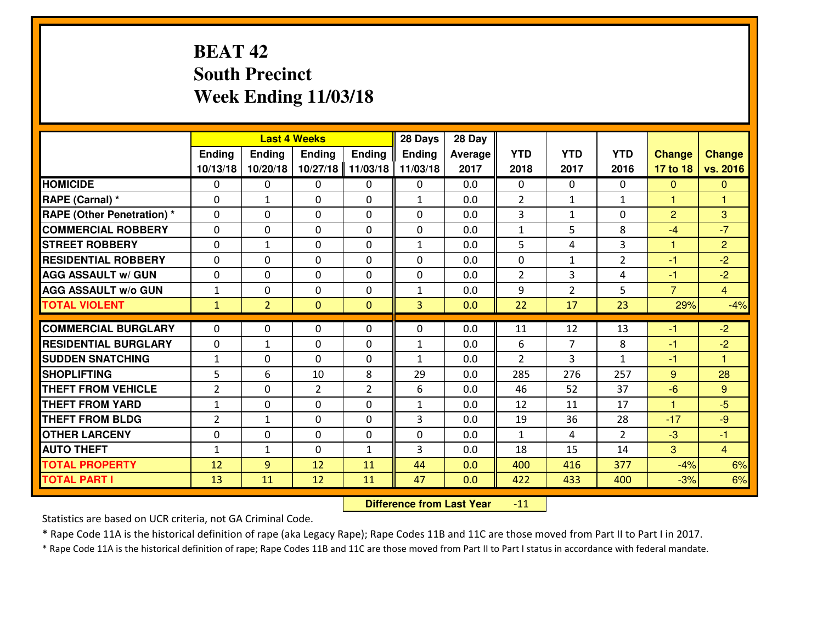# **BEAT 42 South PrecinctWeek Ending 11/03/18**

|                                  |              |                | <b>Last 4 Weeks</b> |                | 28 Days        | 28 Day  |                |                |                |                      |                |
|----------------------------------|--------------|----------------|---------------------|----------------|----------------|---------|----------------|----------------|----------------|----------------------|----------------|
|                                  | Ending       | Ending         | <b>Ending</b>       | <b>Ending</b>  | <b>Ending</b>  | Average | <b>YTD</b>     | <b>YTD</b>     | <b>YTD</b>     | <b>Change</b>        | <b>Change</b>  |
|                                  | 10/13/18     | 10/20/18       | 10/27/18            | 11/03/18       | 11/03/18       | 2017    | 2018           | 2017           | 2016           | 17 to 18             | vs. 2016       |
| <b>HOMICIDE</b>                  | $\mathbf{0}$ | 0              | $\mathbf{0}$        | 0              | 0              | 0.0     | $\mathbf{0}$   | $\Omega$       | $\Omega$       | $\mathbf{0}$         | $\mathbf{0}$   |
| RAPE (Carnal) *                  | $\Omega$     | $\mathbf{1}$   | $\mathbf{0}$        | 0              | $\mathbf{1}$   | 0.0     | $\overline{2}$ | $\mathbf{1}$   | $\mathbf{1}$   | 1                    | 1              |
| <b>RAPE (Other Penetration)*</b> | $\Omega$     | $\Omega$       | $\Omega$            | $\Omega$       | $\Omega$       | 0.0     | 3              | $\mathbf{1}$   | $\Omega$       | $\overline{2}$       | 3              |
| <b>COMMERCIAL ROBBERY</b>        | 0            | 0              | $\mathbf 0$         | 0              | 0              | 0.0     | $\mathbf{1}$   | 5              | 8              | $-4$                 | $-7$           |
| <b>ISTREET ROBBERY</b>           | $\Omega$     | $\mathbf{1}$   | $\mathbf{0}$        | $\Omega$       | $\mathbf{1}$   | 0.0     | 5              | 4              | 3              | 1                    | $\overline{2}$ |
| <b>RESIDENTIAL ROBBERY</b>       | $\Omega$     | $\Omega$       | $\mathbf 0$         | $\Omega$       | $\Omega$       | 0.0     | 0              | $\mathbf{1}$   | $\overline{2}$ | $-1$                 | $-2$           |
| <b>AGG ASSAULT w/ GUN</b>        | $\Omega$     | $\Omega$       | $\mathbf 0$         | $\Omega$       | $\Omega$       | 0.0     | 2              | 3              | 4              | $-1$                 | $-2$           |
| <b>AGG ASSAULT W/o GUN</b>       | $\mathbf{1}$ | 0              | $\mathbf 0$         | 0              | $\mathbf{1}$   | 0.0     | 9              | $\overline{2}$ | 5              | $\overline{7}$       | $\overline{4}$ |
| <b>TOTAL VIOLENT</b>             | $\mathbf{1}$ | 2 <sup>1</sup> | $\mathbf{0}$        | $\mathbf{0}$   | $\overline{3}$ | 0.0     | 22             | 17             | 23             | 29%                  | $-4%$          |
| <b>COMMERCIAL BURGLARY</b>       | $\mathbf{0}$ | 0              | 0                   | 0              | $\Omega$       | 0.0     | 11             | 12             | 13             | -1                   | $-2$           |
| <b>RESIDENTIAL BURGLARY</b>      | $\mathbf{0}$ | $\mathbf{1}$   | $\mathbf{0}$        | 0              | $\mathbf{1}$   | 0.0     | 6              | 7              | 8              | -1                   | $-2$           |
| <b>SUDDEN SNATCHING</b>          | 1            | 0              | $\Omega$            | 0              | $\mathbf{1}$   | 0.0     | $\mathcal{P}$  | 3              | $\mathbf{1}$   | $-1$                 | 1              |
| <b>SHOPLIFTING</b>               | 5            | 6              | 10                  | 8              | 29             | 0.0     | 285            | 276            | 257            | 9                    | 28             |
| <b>THEFT FROM VEHICLE</b>        | 2            | 0              | $\overline{2}$      | $\overline{2}$ | 6              | 0.0     | 46             | 52             | 37             | $-6$                 | 9              |
| <b>THEFT FROM YARD</b>           | $\mathbf{1}$ | 0              | $\mathbf 0$         | $\Omega$       | $\mathbf{1}$   | 0.0     | 12             | 11             | 17             | $\blacktriangleleft$ | $-5$           |
| <b>THEFT FROM BLDG</b>           | 2            | $\mathbf{1}$   | $\mathbf 0$         | 0              | $\mathbf{3}$   | 0.0     | 19             | 36             | 28             | $-17$                | $-9$           |
| <b>OTHER LARCENY</b>             | 0            | 0              | $\mathbf 0$         | 0              | 0              | 0.0     | $\mathbf{1}$   | 4              | $\overline{2}$ | $-3$                 | $-1$           |
| <b>AUTO THEFT</b>                | $\mathbf{1}$ | $\mathbf{1}$   | $\mathbf 0$         | $\mathbf{1}$   | 3              | 0.0     | 18             | 15             | 14             | 3                    | $\overline{4}$ |
| <b>TOTAL PROPERTY</b>            | 12           | 9              | 12                  | 11             | 44             | 0.0     | 400            | 416            | 377            | $-4%$                | 6%             |
| <b>TOTAL PART I</b>              | 13           | 11             | 12                  | 11             | 47             | 0.0     | 422            | 433            | 400            | $-3%$                | 6%             |

 **Difference from Last Year** $-11$  |

Statistics are based on UCR criteria, not GA Criminal Code.

\* Rape Code 11A is the historical definition of rape (aka Legacy Rape); Rape Codes 11B and 11C are those moved from Part II to Part I in 2017.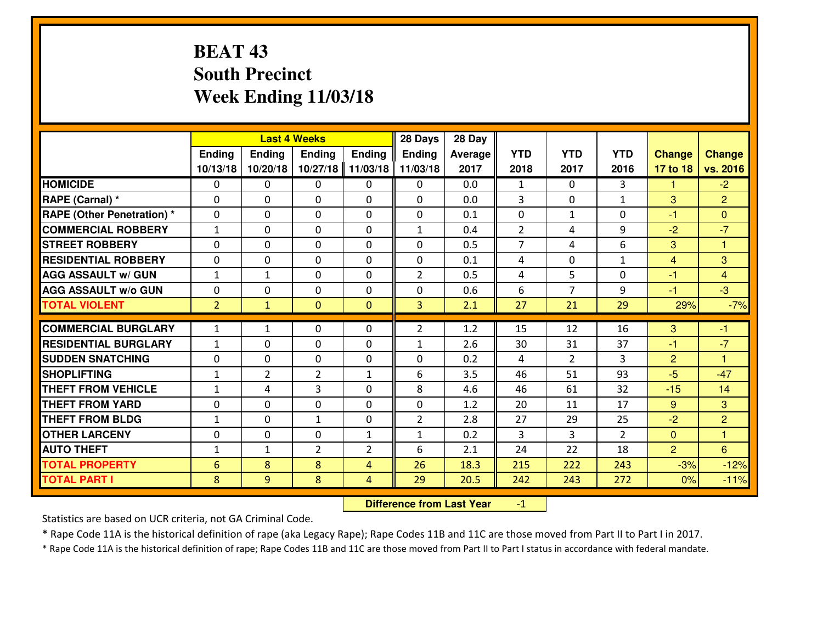# **BEAT 43 South PrecinctWeek Ending 11/03/18**

|                                  |                |                | <b>Last 4 Weeks</b> |                | 28 Days        | 28 Day  |                |                |                |                |                      |
|----------------------------------|----------------|----------------|---------------------|----------------|----------------|---------|----------------|----------------|----------------|----------------|----------------------|
|                                  | Ending         | <b>Ending</b>  | <b>Ending</b>       | <b>Ending</b>  | <b>Ending</b>  | Average | <b>YTD</b>     | <b>YTD</b>     | <b>YTD</b>     | <b>Change</b>  | <b>Change</b>        |
|                                  | 10/13/18       | 10/20/18       | 10/27/18            | 11/03/18       | 11/03/18       | 2017    | 2018           | 2017           | 2016           | 17 to 18       | vs. 2016             |
| <b>HOMICIDE</b>                  | $\Omega$       | 0              | 0                   | 0              | $\Omega$       | 0.0     | 1              | $\Omega$       | 3              | 1              | $-2$                 |
| RAPE (Carnal) *                  | $\Omega$       | 0              | $\Omega$            | $\Omega$       | $\Omega$       | 0.0     | 3              | $\Omega$       | $\mathbf{1}$   | 3              | $\overline{2}$       |
| <b>RAPE (Other Penetration)*</b> | 0              | 0              | $\mathbf 0$         | 0              | 0              | 0.1     | 0              | $\mathbf{1}$   | 0              | $-1$           | $\overline{0}$       |
| <b>COMMERCIAL ROBBERY</b>        | $\mathbf{1}$   | 0              | $\mathbf 0$         | 0              | $\mathbf{1}$   | 0.4     | $\overline{2}$ | 4              | 9              | $-2$           | $-7$                 |
| <b>STREET ROBBERY</b>            | 0              | 0              | $\mathbf 0$         | 0              | 0              | 0.5     | $\overline{7}$ | 4              | 6              | 3              | $\mathbf{1}$         |
| <b>RESIDENTIAL ROBBERY</b>       | 0              | 0              | $\mathbf 0$         | $\mathbf{0}$   | 0              | 0.1     | 4              | $\mathbf{0}$   | $\mathbf{1}$   | $\overline{4}$ | $\mathbf{3}$         |
| <b>AGG ASSAULT w/ GUN</b>        | $1\,$          | $\mathbf{1}$   | $\mathbf 0$         | 0              | $\overline{2}$ | 0.5     | 4              | 5              | 0              | $-1$           | $\overline{4}$       |
| <b>AGG ASSAULT W/o GUN</b>       | 0              | 0              | 0                   | 0              | 0              | 0.6     | 6              | 7              | 9              | $-1$           | $-3$                 |
| <b>TOTAL VIOLENT</b>             | $\overline{2}$ | $\mathbf{1}$   | $\mathbf{O}$        | $\mathbf{0}$   | 3              | 2.1     | 27             | 21             | 29             | 29%            | $-7%$                |
| <b>COMMERCIAL BURGLARY</b>       | $\mathbf{1}$   | $\mathbf{1}$   | $\mathbf{0}$        | 0              | $\overline{2}$ | 1.2     | 15             | 12             | 16             | 3              | $-1$                 |
| <b>RESIDENTIAL BURGLARY</b>      | $\mathbf{1}$   | 0              | 0                   | 0              | $\mathbf{1}$   | 2.6     | 30             | 31             | 37             | $-1$           | $-7$                 |
| <b>SUDDEN SNATCHING</b>          | 0              | 0              | $\mathbf 0$         | 0              | 0              | 0.2     | 4              | $\overline{2}$ | 3              | $\overline{2}$ | $\blacktriangleleft$ |
| <b>SHOPLIFTING</b>               | $\mathbf{1}$   | $\overline{2}$ | $\overline{2}$      | $\mathbf{1}$   | 6              | 3.5     | 46             | 51             | 93             | $-5$           | $-47$                |
| <b>THEFT FROM VEHICLE</b>        | $\mathbf{1}$   | 4              | 3                   | 0              | 8              | 4.6     | 46             | 61             | 32             | $-15$          | 14                   |
| <b>THEFT FROM YARD</b>           | 0              | 0              | $\mathbf 0$         | 0              | 0              | 1.2     | 20             | 11             | 17             | 9              | 3                    |
| <b>THEFT FROM BLDG</b>           | $\mathbf{1}$   | 0              | $\mathbf{1}$        | $\mathbf{0}$   | $\overline{2}$ | 2.8     | 27             | 29             | 25             | $-2$           | 2                    |
| <b>OTHER LARCENY</b>             | 0              | 0              | $\mathbf 0$         | $\mathbf 1$    | $\mathbf{1}$   | 0.2     | 3              | 3              | $\overline{2}$ | $\mathbf{0}$   | $\mathbf{1}$         |
| <b>AUTO THEFT</b>                | $\mathbf{1}$   | $\mathbf{1}$   | $\overline{2}$      | $\overline{2}$ | 6              | 2.1     | 24             | 22             | 18             | $\overline{2}$ | 6                    |
| <b>TOTAL PROPERTY</b>            | 6              | 8              | 8                   | $\overline{4}$ | 26             | 18.3    | 215            | 222            | 243            | $-3%$          | $-12%$               |
| <b>TOTAL PART I</b>              | 8              | 9              | 8                   | 4              | 29             | 20.5    | 242            | 243            | 272            | 0%             | $-11%$               |

 **Difference from Last Year**-1

Statistics are based on UCR criteria, not GA Criminal Code.

\* Rape Code 11A is the historical definition of rape (aka Legacy Rape); Rape Codes 11B and 11C are those moved from Part II to Part I in 2017.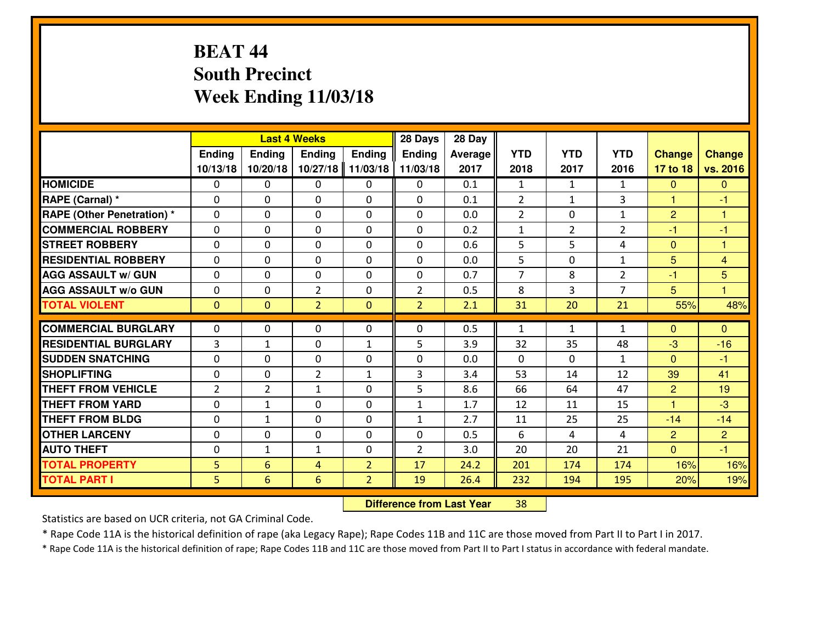# **BEAT 44 South PrecinctWeek Ending 11/03/18**

|                             |                |                | <b>Last 4 Weeks</b> |                | 28 Days        | 28 Day  |                |                |                |                |                |
|-----------------------------|----------------|----------------|---------------------|----------------|----------------|---------|----------------|----------------|----------------|----------------|----------------|
|                             | Ending         | Ending         | <b>Ending</b>       | <b>Ending</b>  | <b>Ending</b>  | Average | <b>YTD</b>     | <b>YTD</b>     | <b>YTD</b>     | <b>Change</b>  | <b>Change</b>  |
|                             | 10/13/18       | 10/20/18       | 10/27/18            | 11/03/18       | 11/03/18       | 2017    | 2018           | 2017           | 2016           | 17 to 18       | vs. 2016       |
| <b>HOMICIDE</b>             | $\Omega$       | 0              | 0                   | 0              | $\Omega$       | 0.1     | 1              | $\mathbf{1}$   | $\mathbf{1}$   | $\Omega$       | $\mathbf{0}$   |
| RAPE (Carnal) *             | $\mathbf{0}$   | 0              | $\mathbf{0}$        | 0              | $\Omega$       | 0.1     | 2              | $\mathbf{1}$   | 3              | $\mathbf{1}$   | $-1$           |
| RAPE (Other Penetration) *  | $\Omega$       | 0              | $\mathbf{0}$        | $\Omega$       | $\Omega$       | 0.0     | $\overline{2}$ | 0              | $\mathbf{1}$   | $\overline{2}$ | 1              |
| <b>COMMERCIAL ROBBERY</b>   | $\mathbf{0}$   | 0              | 0                   | 0              | $\Omega$       | 0.2     | $\mathbf{1}$   | $\overline{2}$ | $\overline{2}$ | $-1$           | $-1$           |
| <b>STREET ROBBERY</b>       | 0              | 0              | $\mathbf 0$         | $\Omega$       | 0              | 0.6     | 5              | 5              | 4              | $\mathbf{0}$   | 1              |
| <b>RESIDENTIAL ROBBERY</b>  | $\Omega$       | $\Omega$       | $\mathbf 0$         | $\Omega$       | 0              | 0.0     | 5              | $\Omega$       | $\mathbf{1}$   | 5              | $\overline{4}$ |
| <b>AGG ASSAULT w/ GUN</b>   | $\Omega$       | $\Omega$       | $\mathbf 0$         | 0              | 0              | 0.7     | $\overline{7}$ | 8              | $\overline{2}$ | $-1$           | 5              |
| <b>AGG ASSAULT W/o GUN</b>  | 0              | 0              | $\overline{2}$      | $\mathbf 0$    | $\overline{2}$ | 0.5     | 8              | 3              | $\overline{7}$ | 5              | $\overline{1}$ |
| <b>TOTAL VIOLENT</b>        | $\mathbf{0}$   | $\mathbf{0}$   | $\overline{2}$      | $\mathbf{0}$   | $\overline{2}$ | 2.1     | 31             | 20             | 21             | 55%            | 48%            |
| <b>COMMERCIAL BURGLARY</b>  | $\Omega$       | 0              | $\mathbf{0}$        | $\Omega$       | $\Omega$       | 0.5     | $\mathbf{1}$   | $\mathbf{1}$   | $\mathbf{1}$   | $\Omega$       | $\Omega$       |
| <b>RESIDENTIAL BURGLARY</b> | 3              | $\mathbf{1}$   | 0                   | $\mathbf{1}$   | 5              | 3.9     | 32             | 35             | 48             | -3             | $-16$          |
| <b>SUDDEN SNATCHING</b>     | 0              | 0              | $\mathbf 0$         | 0              | 0              | 0.0     | 0              | $\mathbf{0}$   | $\mathbf{1}$   | $\overline{0}$ | $-1$           |
| <b>SHOPLIFTING</b>          | 0              | 0              | $\overline{2}$      | $\mathbf{1}$   | 3              | 3.4     | 53             | 14             | 12             | 39             | 41             |
| <b>THEFT FROM VEHICLE</b>   | $\overline{2}$ | $\overline{2}$ | 1                   | 0              | 5              | 8.6     | 66             | 64             | 47             | $\overline{2}$ | 19             |
| <b>THEFT FROM YARD</b>      | 0              | $\mathbf{1}$   | $\mathbf 0$         | 0              | $\mathbf{1}$   | 1.7     | 12             | 11             | 15             | $\overline{1}$ | $-3$           |
| <b>THEFT FROM BLDG</b>      | 0              | $\mathbf{1}$   | $\mathbf 0$         | 0              | $\mathbf{1}$   | 2.7     | 11             | 25             | 25             | $-14$          | $-14$          |
| <b>OTHER LARCENY</b>        | 0              | 0              | $\mathbf 0$         | 0              | 0              | 0.5     | 6              | 4              | 4              | $\overline{2}$ | $\overline{2}$ |
| <b>AUTO THEFT</b>           | $\mathbf{0}$   | $\mathbf{1}$   | $\mathbf{1}$        | 0              | $\overline{2}$ | 3.0     | 20             | 20             | 21             | $\Omega$       | $-1$           |
| <b>TOTAL PROPERTY</b>       | 5              | 6              | 4                   | $\overline{2}$ | 17             | 24.2    | 201            | 174            | 174            | 16%            | 16%            |
| <b>TOTAL PART I</b>         | 5              | 6              | 6                   | $\overline{2}$ | 19             | 26.4    | 232            | 194            | 195            | 20%            | 19%            |

 **Difference from Last Year**<sup>38</sup>

Statistics are based on UCR criteria, not GA Criminal Code.

\* Rape Code 11A is the historical definition of rape (aka Legacy Rape); Rape Codes 11B and 11C are those moved from Part II to Part I in 2017.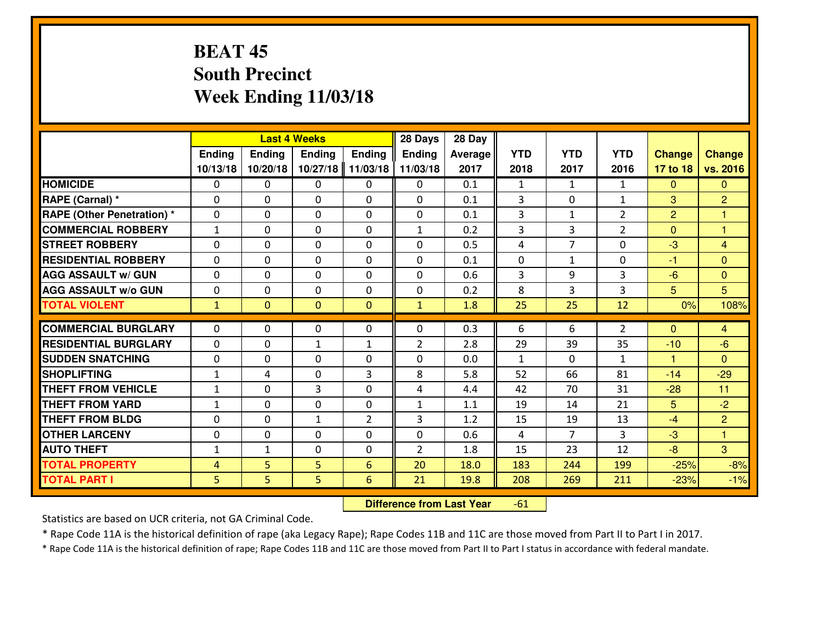# **BEAT 45 South PrecinctWeek Ending 11/03/18**

|                                  |                |                | <b>Last 4 Weeks</b> |                | 28 Days        | 28 Day  |              |                |                |                |                |
|----------------------------------|----------------|----------------|---------------------|----------------|----------------|---------|--------------|----------------|----------------|----------------|----------------|
|                                  | Ending         | Ending         | <b>Ending</b>       | <b>Ending</b>  | <b>Ending</b>  | Average | <b>YTD</b>   | <b>YTD</b>     | <b>YTD</b>     | <b>Change</b>  | <b>Change</b>  |
|                                  | 10/13/18       | 10/20/18       | 10/27/18            | 11/03/18       | 11/03/18       | 2017    | 2018         | 2017           | 2016           | 17 to 18       | vs. 2016       |
| <b>HOMICIDE</b>                  | 0              | 0              | $\Omega$            | $\mathbf{0}$   | 0              | 0.1     | 1            | $\mathbf{1}$   | $\mathbf{1}$   | $\mathbf{0}$   | $\Omega$       |
| RAPE (Carnal) *                  | $\Omega$       | 0              | $\mathbf 0$         | 0              | $\Omega$       | 0.1     | 3            | $\Omega$       | $\mathbf{1}$   | 3              | $\overline{2}$ |
| <b>RAPE (Other Penetration)*</b> | $\Omega$       | 0              | $\Omega$            | $\Omega$       | $\Omega$       | 0.1     | 3            | $\mathbf{1}$   | $\overline{2}$ | $\overline{2}$ | 1.             |
| <b>COMMERCIAL ROBBERY</b>        | $\mathbf{1}$   | $\Omega$       | $\mathbf 0$         | $\Omega$       | $\mathbf{1}$   | 0.2     | 3            | 3              | $\overline{2}$ | $\Omega$       | 1              |
| <b>ISTREET ROBBERY</b>           | $\mathbf{0}$   | 0              | $\mathbf{0}$        | 0              | $\Omega$       | 0.5     | 4            | $\overline{7}$ | $\Omega$       | $-3$           | $\overline{4}$ |
| <b>RESIDENTIAL ROBBERY</b>       | 0              | 0              | $\mathbf 0$         | 0              | 0              | 0.1     | $\mathbf 0$  | $\mathbf{1}$   | 0              | $-1$           | $\mathbf{0}$   |
| <b>AGG ASSAULT w/ GUN</b>        | 0              | 0              | $\mathbf 0$         | 0              | 0              | 0.6     | 3            | 9              | 3              | $-6$           | $\overline{0}$ |
| <b>AGG ASSAULT W/o GUN</b>       | 0              | 0              | $\mathbf{0}$        | 0              | 0              | 0.2     | 8            | 3              | 3              | 5              | 5              |
| <b>TOTAL VIOLENT</b>             | $\mathbf{1}$   | $\overline{0}$ | $\mathbf{0}$        | $\overline{0}$ | $\mathbf{1}$   | 1.8     | 25           | 25             | 12             | 0%             | 108%           |
| <b>COMMERCIAL BURGLARY</b>       | $\Omega$       | 0              | $\mathbf{0}$        | 0              | $\Omega$       | 0.3     | 6            | 6              | $\overline{2}$ | $\Omega$       | $\overline{4}$ |
| <b>RESIDENTIAL BURGLARY</b>      | $\Omega$       | 0              | $\mathbf{1}$        | $\mathbf{1}$   | $\overline{2}$ | 2.8     | 29           | 39             | 35             | $-10$          | $-6$           |
| <b>SUDDEN SNATCHING</b>          | 0              | $\Omega$       | $\mathbf 0$         | 0              | 0              | 0.0     | $\mathbf{1}$ | $\Omega$       | $\mathbf{1}$   | $\mathbf{1}$   | $\Omega$       |
| <b>SHOPLIFTING</b>               | $\mathbf{1}$   | 4              | 0                   | 3              | 8              | 5.8     | 52           | 66             | 81             | $-14$          | $-29$          |
| <b>THEFT FROM VEHICLE</b>        | $\mathbf{1}$   | 0              | 3                   | 0              | 4              | 4.4     | 42           | 70             | 31             | $-28$          | 11             |
| <b>THEFT FROM YARD</b>           | $1\,$          | 0              | 0                   | 0              | $\mathbf{1}$   | 1.1     | 19           | 14             | 21             | 5              | $-2$           |
| <b>THEFT FROM BLDG</b>           | $\mathbf{0}$   | 0              | $\mathbf{1}$        | 2              | 3              | 1.2     | 15           | 19             | 13             | $-4$           | $\overline{2}$ |
| <b>OTHER LARCENY</b>             | 0              | 0              | 0                   | 0              | 0              | 0.6     | 4            | $\overline{7}$ | 3              | $-3$           | $\mathbf{1}$   |
| <b>AUTO THEFT</b>                | $\mathbf{1}$   | 1              | 0                   | 0              | $\overline{2}$ | 1.8     | 15           | 23             | 12             | $-8$           | 3              |
| <b>TOTAL PROPERTY</b>            | $\overline{4}$ | 5              | 5                   | $6\phantom{1}$ | 20             | 18.0    | 183          | 244            | 199            | $-25%$         | $-8%$          |
| <b>TOTAL PART I</b>              | 5              | 5              | 5                   | $6\phantom{1}$ | 21             | 19.8    | 208          | 269            | 211            | $-23%$         | $-1%$          |

 **Difference from Last Year**-61

Statistics are based on UCR criteria, not GA Criminal Code.

\* Rape Code 11A is the historical definition of rape (aka Legacy Rape); Rape Codes 11B and 11C are those moved from Part II to Part I in 2017.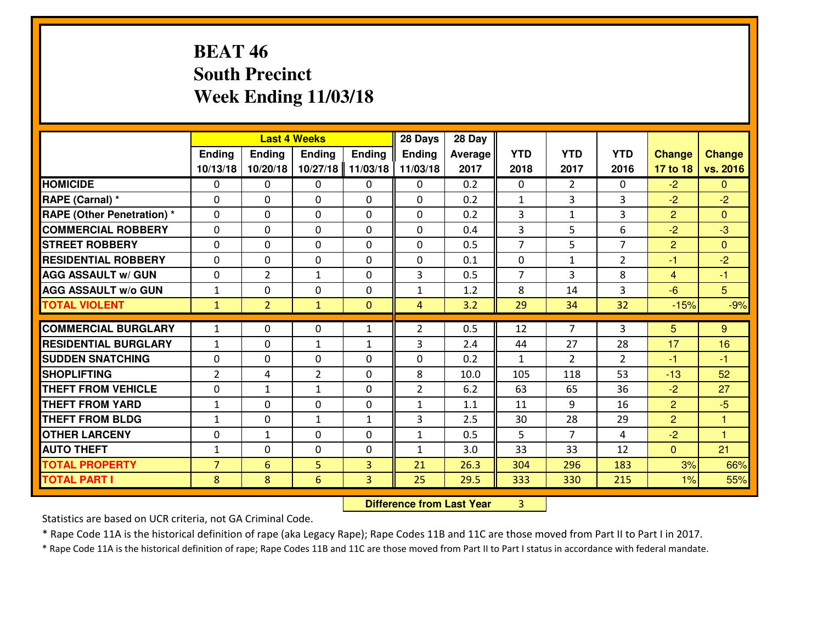# **BEAT 46 South PrecinctWeek Ending 11/03/18**

|                                   |                |                   | <b>Last 4 Weeks</b> |                   | 28 Days        | 28 Day  |                |                      |                |                |                |
|-----------------------------------|----------------|-------------------|---------------------|-------------------|----------------|---------|----------------|----------------------|----------------|----------------|----------------|
|                                   | Ending         | <b>Ending</b>     | <b>Ending</b>       | Ending            | Ending         | Average | <b>YTD</b>     | <b>YTD</b>           | <b>YTD</b>     | <b>Change</b>  | <b>Change</b>  |
|                                   | 10/13/18       | 10/20/18          | 10/27/18            | 11/03/18          | 11/03/18       | 2017    | 2018           | 2017                 | 2016           | 17 to 18       | vs. 2016       |
| <b>HOMICIDE</b>                   | $\Omega$       | 0                 | $\Omega$            | 0                 | $\Omega$       | 0.2     | $\Omega$       | $\overline{2}$       | 0              | $-2$           | $\Omega$       |
| RAPE (Carnal) *                   | 0              | 0                 | $\mathbf{0}$        | 0                 | $\Omega$       | 0.2     | $\mathbf{1}$   | 3                    | 3              | $-2$           | $-2$           |
| <b>RAPE (Other Penetration) *</b> | $\Omega$       | 0                 | $\mathbf{0}$        | $\Omega$          | $\Omega$       | 0.2     | 3              | $\mathbf{1}$         | 3              | $\overline{2}$ | $\Omega$       |
| <b>COMMERCIAL ROBBERY</b>         | 0              | 0                 | 0                   | 0                 | 0              | 0.4     | 3              | 5                    | 6              | $-2$           | $-3$           |
| <b>STREET ROBBERY</b>             | $\Omega$       | 0                 | $\mathbf 0$         | 0                 | 0              | 0.5     | $\overline{7}$ | 5                    | $\overline{7}$ | $\overline{2}$ | $\mathbf{0}$   |
| <b>RESIDENTIAL ROBBERY</b>        | $\Omega$       | 0                 | $\mathbf 0$         | $\Omega$          | 0              | 0.1     | $\mathbf 0$    | $\mathbf{1}$         | $\overline{2}$ | $-1$           | $-2$           |
| <b>AGG ASSAULT W/ GUN</b>         | 0              | $\overline{2}$    | $\mathbf{1}$        | 0                 | 3              | 0.5     | $\overline{7}$ | 3                    | 8              | $\overline{4}$ | $-1$           |
| <b>AGG ASSAULT W/o GUN</b>        | $\mathbf{1}$   | 0                 | $\mathbf 0$         | 0                 | $\mathbf{1}$   | 1.2     | 8              | 14                   | 3              | $-6$           | 5 <sup>5</sup> |
| <b>TOTAL VIOLENT</b>              | $\mathbf{1}$   | $\overline{2}$    | $\mathbf{1}$        | $\mathbf{0}$      | $\overline{4}$ | 3.2     | 29             | 34                   | 32             | $-15%$         | $-9%$          |
| <b>COMMERCIAL BURGLARY</b>        | $\mathbf{1}$   | 0                 | $\mathbf{0}$        | $\mathbf{1}$      | $\overline{2}$ | 0.5     | 12             | $\overline{7}$       | 3              | 5              | 9              |
| <b>RESIDENTIAL BURGLARY</b>       | $\mathbf{1}$   | 0                 | $\mathbf{1}$        |                   | 3              | 2.4     | 44             | 27                   | 28             | 17             | 16             |
| <b>SUDDEN SNATCHING</b>           | 0              | 0                 | $\mathbf 0$         | $\mathbf{1}$<br>0 | 0              | 0.2     | $\mathbf{1}$   | $\overline{2}$       | $\overline{2}$ | $-1$           | $-1$           |
| <b>SHOPLIFTING</b>                | $\overline{2}$ |                   | $\overline{2}$      | 0                 | 8              | 10.0    | 105            | 118                  | 53             | $-13$          | 52             |
| <b>THEFT FROM VEHICLE</b>         | 0              | 4<br>$\mathbf{1}$ |                     | 0                 | $\overline{2}$ | 6.2     | 63             | 65                   | 36             | $-2$           | 27             |
| <b>THEFT FROM YARD</b>            |                | 0                 | 1<br>$\mathbf 0$    | 0                 |                | 1.1     | 11             | 9                    | 16             | $\overline{2}$ | $-5$           |
| <b>THEFT FROM BLDG</b>            | $\mathbf 1$    |                   |                     |                   | $\mathbf{1}$   |         |                |                      | 29             | $\overline{2}$ |                |
|                                   | $\mathbf{1}$   | 0                 | 1                   | $\mathbf{1}$      | 3              | 2.5     | 30             | 28<br>$\overline{7}$ |                |                | $\mathbf{1}$   |
| <b>OTHER LARCENY</b>              | 0              | 1                 | $\mathbf 0$         | 0                 | $\mathbf{1}$   | 0.5     | 5              |                      | 4              | $-2$           | $\overline{1}$ |
| <b>AUTO THEFT</b>                 | $\mathbf{1}$   | 0                 | $\mathbf{0}$        | 0                 | $\mathbf{1}$   | 3.0     | 33             | 33                   | 12             | $\mathbf{0}$   | 21             |
| <b>TOTAL PROPERTY</b>             | $\overline{7}$ | 6                 | 5                   | 3                 | 21             | 26.3    | 304            | 296                  | 183            | 3%             | 66%            |
| <b>TOTAL PART I</b>               | 8              | 8                 | 6                   | 3                 | 25             | 29.5    | 333            | 330                  | 215            | 1%             | 55%            |

 **Difference from Last Year**<sup>3</sup>

Statistics are based on UCR criteria, not GA Criminal Code.

\* Rape Code 11A is the historical definition of rape (aka Legacy Rape); Rape Codes 11B and 11C are those moved from Part II to Part I in 2017.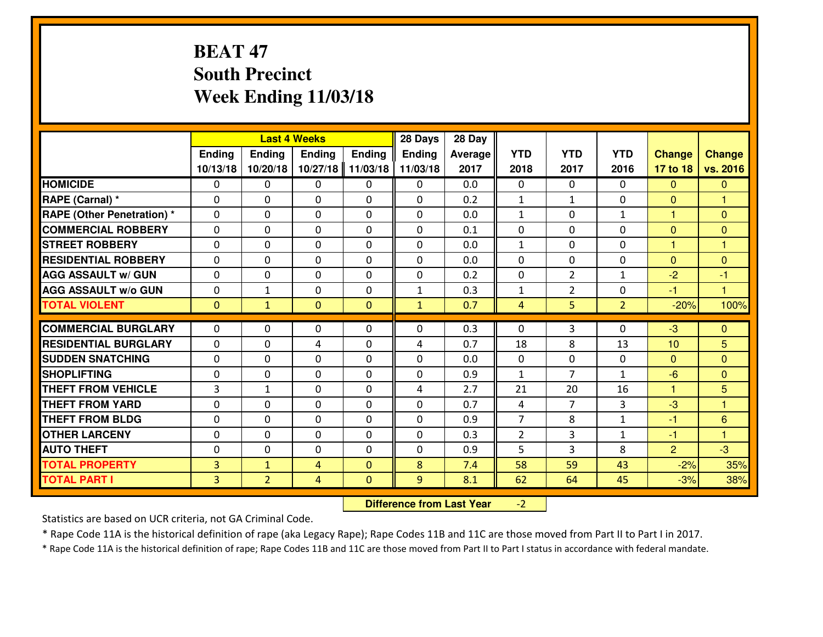# **BEAT 47 South PrecinctWeek Ending 11/03/18**

|                                   |                |                | <b>Last 4 Weeks</b> |                | 28 Days       | 28 Day  |                |                |                |                |                      |
|-----------------------------------|----------------|----------------|---------------------|----------------|---------------|---------|----------------|----------------|----------------|----------------|----------------------|
|                                   | Ending         | <b>Ending</b>  | Ending              | <b>Ending</b>  | <b>Ending</b> | Average | <b>YTD</b>     | <b>YTD</b>     | <b>YTD</b>     | <b>Change</b>  | <b>Change</b>        |
|                                   | 10/13/18       | 10/20/18       | 10/27/18            | 11/03/18       | 11/03/18      | 2017    | 2018           | 2017           | 2016           | 17 to 18       | vs. 2016             |
| <b>HOMICIDE</b>                   | $\Omega$       | 0              | 0                   | 0              | 0             | 0.0     | $\Omega$       | $\Omega$       | $\Omega$       | $\Omega$       | $\mathbf{0}$         |
| RAPE (Carnal) *                   | $\mathbf{0}$   | 0              | $\mathbf{0}$        | 0              | 0             | 0.2     | $\mathbf{1}$   | $\mathbf{1}$   | 0              | $\Omega$       | 1                    |
| <b>RAPE (Other Penetration) *</b> | $\mathbf{0}$   | 0              | $\mathbf{0}$        | 0              | $\Omega$      | 0.0     | $\mathbf{1}$   | 0              | $\mathbf{1}$   | $\mathbf{1}$   | $\mathbf{0}$         |
| <b>COMMERCIAL ROBBERY</b>         | $\mathbf{0}$   | 0              | 0                   | 0              | $\Omega$      | 0.1     | $\mathbf{0}$   | 0              | 0              | $\mathbf{0}$   | $\mathbf{0}$         |
| <b>STREET ROBBERY</b>             | $\mathbf{0}$   | 0              | $\mathbf 0$         | 0              | $\Omega$      | 0.0     | $\mathbf{1}$   | 0              | 0              | 1              | 1                    |
| <b>RESIDENTIAL ROBBERY</b>        | $\Omega$       | 0              | $\mathbf 0$         | 0              | 0             | 0.0     | 0              | 0              | 0              | $\overline{0}$ | $\mathbf{0}$         |
| <b>AGG ASSAULT W/ GUN</b>         | 0              | 0              | $\mathbf 0$         | 0              | 0             | 0.2     | 0              | $\overline{2}$ | $\mathbf{1}$   | $-2$           | $-1$                 |
| <b>AGG ASSAULT W/o GUN</b>        | 0              | $\mathbf{1}$   | $\mathbf 0$         | 0              | $\mathbf{1}$  | 0.3     | $\mathbf 1$    | $\overline{2}$ | 0              | $-1$           | $\blacktriangleleft$ |
| <b>TOTAL VIOLENT</b>              | $\mathbf{0}$   | $\mathbf{1}$   | $\overline{0}$      | $\overline{0}$ | $\mathbf{1}$  | 0.7     | 4              | 5              | $\overline{2}$ | $-20%$         | 100%                 |
| <b>COMMERCIAL BURGLARY</b>        | $\mathbf{0}$   | 0              | 0                   | 0              | $\Omega$      | 0.3     | $\Omega$       | 3              | 0              | -3             | $\mathbf{0}$         |
| <b>RESIDENTIAL BURGLARY</b>       | $\Omega$       | 0              | 4                   | $\Omega$       | 4             | 0.7     | 18             | 8              | 13             | 10             | $\overline{5}$       |
| <b>SUDDEN SNATCHING</b>           | $\mathbf{0}$   | 0              | $\mathbf 0$         | 0              | 0             | 0.0     | $\mathbf{0}$   | 0              | 0              | $\Omega$       | $\Omega$             |
| <b>SHOPLIFTING</b>                | 0              | 0              | $\mathbf 0$         | $\Omega$       | 0             | 0.9     | $\mathbf{1}$   | $\overline{7}$ | $\mathbf{1}$   | $-6$           | $\overline{0}$       |
| <b>THEFT FROM VEHICLE</b>         | 3              | $\mathbf{1}$   | $\mathbf 0$         | $\Omega$       | 4             | 2.7     | 21             | 20             | 16             | $\mathbf{1}$   | 5                    |
| <b>THEFT FROM YARD</b>            | 0              | 0              | $\mathbf 0$         | 0              | 0             | 0.7     | $\overline{4}$ | 7              | 3              | $-3$           | $\overline{1}$       |
| <b>THEFT FROM BLDG</b>            | $\mathbf{0}$   | 0              | $\mathbf 0$         | 0              | 0             | 0.9     | $\overline{7}$ | 8              | $\mathbf{1}$   | $-1$           | $6\phantom{1}6$      |
| <b>OTHER LARCENY</b>              | 0              | 0              | $\mathbf 0$         | 0              | 0             | 0.3     | $\overline{2}$ | 3              | $\mathbf{1}$   | $-1$           | 1                    |
| <b>AUTO THEFT</b>                 | 0              | 0              | 0                   | 0              | 0             | 0.9     | 5              | 3              | 8              | $\overline{2}$ | $-3$                 |
| <b>TOTAL PROPERTY</b>             | $\overline{3}$ | $\mathbf{1}$   | 4                   | $\mathbf{0}$   | 8             | 7.4     | 58             | 59             | 43             | $-2%$          | 35%                  |
| <b>TOTAL PART I</b>               | $\overline{3}$ | $\overline{2}$ | 4                   | $\mathbf{0}$   | 9             | 8.1     | 62             | 64             | 45             | $-3%$          | 38%                  |

 **Difference from Last Year** $-2$  |

Statistics are based on UCR criteria, not GA Criminal Code.

\* Rape Code 11A is the historical definition of rape (aka Legacy Rape); Rape Codes 11B and 11C are those moved from Part II to Part I in 2017.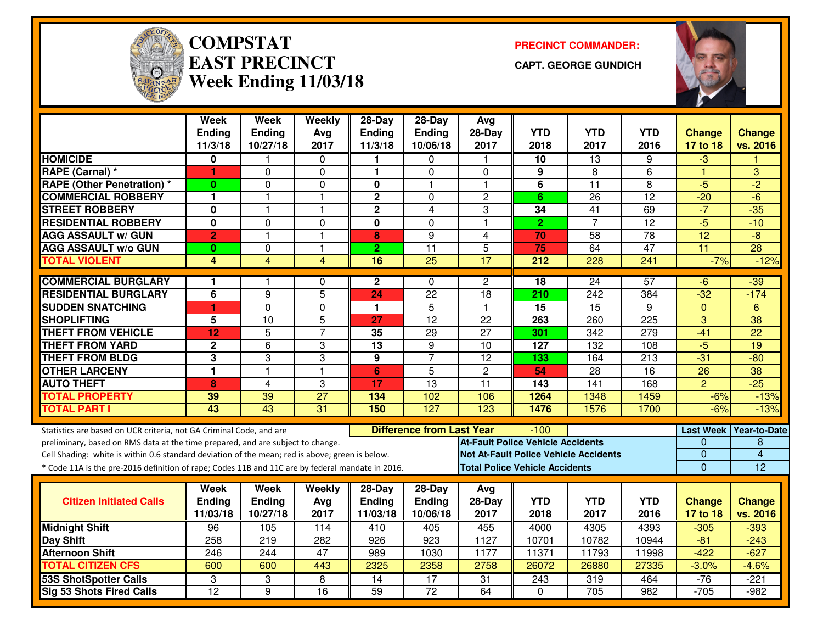

#### **COMPSTATEAST PRECINCTWeek Ending 11/03/18**

**PRECINCT COMMANDER:**

**CAPT. GEORGE GUNDICH**



|                                                                                                  | <b>Week</b><br>Ending   | <b>Week</b><br><b>Ending</b> | Weekly<br>Avg   | $28-Day$<br><b>Ending</b>                  | $28-Day$<br>Ending | Avg<br>28-Day                                | <b>YTD</b>                            | <b>YTD</b>       | <b>YTD</b>      | <b>Change</b>    | <b>Change</b>   |
|--------------------------------------------------------------------------------------------------|-------------------------|------------------------------|-----------------|--------------------------------------------|--------------------|----------------------------------------------|---------------------------------------|------------------|-----------------|------------------|-----------------|
|                                                                                                  | 11/3/18                 | 10/27/18                     | 2017            | 11/3/18                                    | 10/06/18           | 2017                                         | 2018                                  | 2017             | 2016            | 17 to 18         | vs. 2016        |
| <b>HOMICIDE</b>                                                                                  | 0                       | 1                            | 0               | 1                                          | 0                  | $\mathbf{1}$                                 | 10                                    | $\overline{13}$  | 9               | $-3$             |                 |
| RAPE (Carnal) *                                                                                  | 1                       | 0                            | 0               | 1                                          | $\Omega$           | $\Omega$                                     | 9                                     | 8                | 6               | $\mathbf{1}$     | 3               |
| <b>RAPE (Other Penetration) *</b>                                                                | 0                       | 0                            | 0               | 0                                          | 1                  | $\mathbf 1$                                  | 6                                     | $\overline{11}$  | 8               | $-5$             | $\overline{2}$  |
| <b>COMMERCIAL ROBBERY</b>                                                                        | $\mathbf{1}$            | $\mathbf{1}$                 | $\overline{1}$  | $\mathbf 2$                                | $\mathbf 0$        | $\overline{c}$                               | 6                                     | 26               | 12              | $-20$            | $-6$            |
| <b>STREET ROBBERY</b>                                                                            | 0                       | 1                            | $\mathbf{1}$    | $\mathbf{2}$                               | $\overline{4}$     | 3                                            | 34                                    | $\overline{41}$  | 69              | $-7$             | $-35$           |
| <b>RESIDENTIAL ROBBERY</b>                                                                       | $\overline{\mathbf{0}}$ | $\overline{0}$               | $\mathbf 0$     | $\overline{\mathbf{0}}$                    | $\mathbf 0$        | $\overline{1}$                               | $\overline{2}$                        | $\overline{7}$   | $\overline{12}$ | $-5$             | $-10$           |
| <b>AGG ASSAULT w/ GUN</b>                                                                        | $\overline{2}$          | $\mathbf{1}$                 | $\mathbf{1}$    | 8                                          | 9                  | $\overline{4}$                               | 70                                    | 58               | $\overline{78}$ | 12               | $-8$            |
| <b>AGG ASSAULT w/o GUN</b>                                                                       | $\bf{0}$                | 0                            | $\mathbf{1}$    | $\overline{2}$                             | $\overline{11}$    | 5                                            | 75                                    | 64               | $\overline{47}$ | $\overline{11}$  | 28              |
| <b>TOTAL VIOLENT</b>                                                                             | 4                       | $\overline{4}$               | 4               | 16                                         | $\overline{25}$    | 17                                           | 212                                   | 228              | 241             | $-7%$            | $-12%$          |
| <b>COMMERCIAL BURGLARY</b>                                                                       | 1                       | 1                            | $\Omega$        | $\mathbf{2}$                               | $\Omega$           | $\overline{c}$                               | 18                                    | $\overline{24}$  | 57              | $-6$             | $-39$           |
| <b>RESIDENTIAL BURGLARY</b>                                                                      | 6                       | 9                            | 5               | 24                                         | $\overline{22}$    | $\overline{18}$                              | 210                                   | $\overline{242}$ | 384             | $-32$            | $-174$          |
| <b>SUDDEN SNATCHING</b>                                                                          | 1                       | 0                            | $\mathbf 0$     | $\mathbf{1}$                               | $\overline{5}$     | $\overline{1}$                               | 15                                    | 15               | 9               | $\mathbf{0}$     | 6               |
| <b>SHOPLIFTING</b>                                                                               | 5                       | 10                           | 5               | 27                                         | 12                 | 22                                           | 263                                   | 260              | 225             | 3                | 38              |
| <b>THEFT FROM VEHICLE</b>                                                                        | $\overline{12}$         | $\overline{5}$               | $\overline{7}$  | 35                                         | 29                 | $\overline{27}$                              | 301                                   | 342              | 279             | $-41$            | $\overline{22}$ |
| <b>THEFT FROM YARD</b>                                                                           | $\mathbf 2$             | $\overline{6}$               | 3               | $\overline{13}$                            | 9                  | 10                                           | 127                                   | 132              | 108             | $-5$             | 19              |
| <b>THEFT FROM BLDG</b>                                                                           | 3                       | 3                            | 3               | 9                                          | $\overline{7}$     | $\overline{12}$                              | 133                                   | 164              | 213             | $-31$            | $-80$           |
| <b>OTHER LARCENY</b>                                                                             | 1                       | $\mathbf{1}$                 | $\overline{1}$  | 6                                          | 5                  | $\mathbf{2}$                                 | 54                                    | $\overline{28}$  | $\overline{16}$ | $\overline{26}$  | $\overline{38}$ |
| <b>AUTO THEFT</b>                                                                                | 8                       | 4                            | 3               | 17                                         | 13                 | 11                                           | 143                                   | 141              | 168             | $\overline{2}$   | $-25$           |
| <b>TOTAL PROPERTY</b>                                                                            | 39                      | 39                           | $\overline{27}$ | 134                                        | 102                | 106                                          | 1264                                  | 1348             | 1459            | $-6%$            | $-13%$          |
| <b>TOTAL PART I</b>                                                                              | 43                      | 43                           | 31              | 150                                        | 127                | 123                                          | 1476                                  | 1576             | 1700            | $-6%$            | $-13%$          |
| Statistics are based on UCR criteria, not GA Criminal Code, and are                              |                         |                              |                 | <b>Difference from Last Year</b><br>$-100$ |                    |                                              |                                       |                  |                 | <b>Last Week</b> | Year-to-Date    |
| preliminary, based on RMS data at the time prepared, and are subject to change.                  |                         |                              |                 |                                            |                    | <b>At-Fault Police Vehicle Accidents</b>     |                                       |                  |                 | 0                | 8               |
| Cell Shading: white is within 0.6 standard deviation of the mean; red is above; green is below.  |                         |                              |                 |                                            |                    | <b>Not At-Fault Police Vehicle Accidents</b> |                                       |                  |                 | 0                | $\overline{4}$  |
| * Code 11A is the pre-2016 definition of rape; Codes 11B and 11C are by federal mandate in 2016. |                         |                              |                 |                                            |                    |                                              | <b>Total Police Vehicle Accidents</b> |                  |                 | $\overline{0}$   | $\overline{12}$ |
|                                                                                                  | Week                    | <b>Week</b>                  | Weekly          | 28-Day                                     | $28$ -Day          | Avg                                          |                                       |                  |                 |                  |                 |
| <b>Citizen Initiated Calls</b>                                                                   | <b>Ending</b>           | <b>Ending</b>                | Avg             | Ending                                     | <b>Ending</b>      | $28-Day$                                     | <b>YTD</b>                            | <b>YTD</b>       | <b>YTD</b>      | <b>Change</b>    | <b>Change</b>   |
|                                                                                                  | 11/03/18                | 10/27/18                     | 2017            | 11/03/18                                   | 10/06/18           | 2017                                         | 2018                                  | 2017             | 2016            | 17 to 18         | vs. 2016        |
| <b>Midnight Shift</b>                                                                            | 96                      | 105                          | 114             | 410                                        | 405                | 455                                          | 4000                                  | 4305             | 4393            | $-305$           | $-393$          |
| Day Shift                                                                                        | 258                     | $\overline{219}$             | 282             | $\overline{926}$                           | $\overline{923}$   | 1127                                         | 10701                                 | 10782            | 10944           | $-81$            | $-243$          |
| <b>Afternoon Shift</b>                                                                           | 246                     | 244                          | 47              | 989                                        | 1030               | 1177                                         | 11371                                 | 11793            | 11998           | $-422$           | $-627$          |
| <b>TOTAL CITIZEN CFS</b>                                                                         | 600                     | 600                          | 443             | 2325                                       | 2358               | 2758                                         | 26072                                 | 26880            | 27335           | $-3.0%$          | $-4.6%$         |
| <b>53S ShotSpotter Calls</b>                                                                     | 3                       | 3                            | 8               | $\overline{14}$                            | 17                 | 31                                           | 243                                   | 319              | 464             | $-76$            | $-221$          |
| <b>Sig 53 Shots Fired Calls</b>                                                                  | $\overline{12}$         | $\overline{9}$               | $\overline{16}$ | $\overline{59}$                            | $\overline{72}$    | 64                                           | $\Omega$                              | $\overline{705}$ | 982             | $-705$           | $-982$          |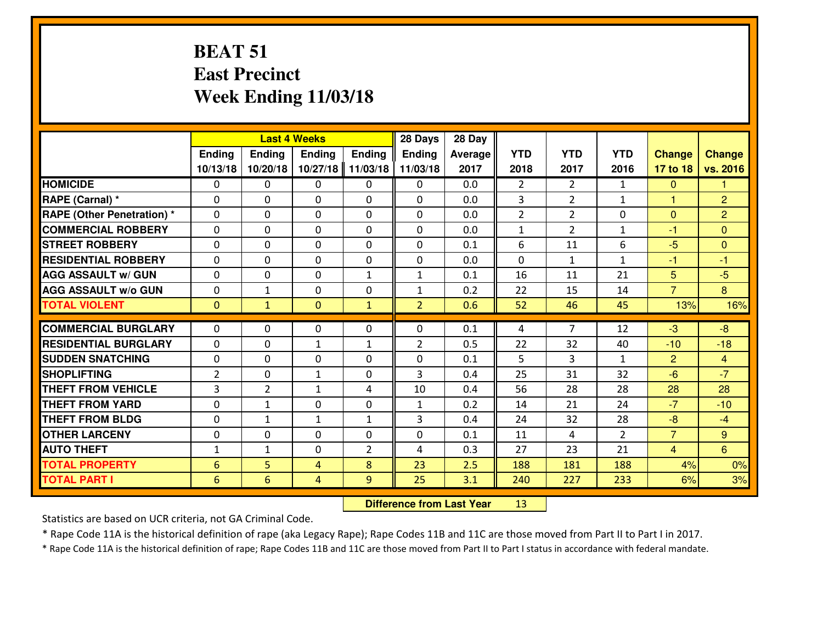## **BEAT 51 East PrecinctWeek Ending 11/03/18**

|                                   | <b>Last 4 Weeks</b> |                |               |               | 28 Days        | 28 Day  |                |                |                |                |                |
|-----------------------------------|---------------------|----------------|---------------|---------------|----------------|---------|----------------|----------------|----------------|----------------|----------------|
|                                   | Ending              | Ending         | <b>Ending</b> | <b>Ending</b> | <b>Ending</b>  | Average | <b>YTD</b>     | <b>YTD</b>     | <b>YTD</b>     | <b>Change</b>  | <b>Change</b>  |
|                                   | 10/13/18            | 10/20/18       | 10/27/18      | 11/03/18      | 11/03/18       | 2017    | 2018           | 2017           | 2016           | 17 to 18       | vs. 2016       |
| <b>HOMICIDE</b>                   | $\Omega$            | 0              | 0             | 0             | $\Omega$       | 0.0     | $\overline{2}$ | $\overline{2}$ | $\mathbf{1}$   | $\Omega$       | 1              |
| RAPE (Carnal) *                   | $\mathbf{0}$        | 0              | $\mathbf{0}$  | 0             | $\Omega$       | 0.0     | 3              | $\overline{2}$ | $\mathbf{1}$   | $\mathbf{1}$   | $\overline{2}$ |
| <b>RAPE (Other Penetration) *</b> | $\Omega$            | 0              | $\mathbf{0}$  | $\Omega$      | $\Omega$       | 0.0     | $\overline{2}$ | $\overline{2}$ | 0              | $\mathbf{0}$   | $\overline{2}$ |
| <b>COMMERCIAL ROBBERY</b>         | $\mathbf{0}$        | 0              | 0             | 0             | $\Omega$       | 0.0     | $\mathbf{1}$   | $\overline{2}$ | $\mathbf{1}$   | $-1$           | $\mathbf{0}$   |
| <b>STREET ROBBERY</b>             | 0                   | 0              | $\mathbf 0$   | $\Omega$      | 0              | 0.1     | 6              | 11             | 6              | $-5$           | $\overline{0}$ |
| <b>RESIDENTIAL ROBBERY</b>        | $\Omega$            | $\Omega$       | $\mathbf 0$   | $\Omega$      | 0              | 0.0     | $\Omega$       | $\mathbf{1}$   | $\mathbf{1}$   | $-1$           | $-1$           |
| <b>AGG ASSAULT w/ GUN</b>         | $\Omega$            | 0              | $\mathbf 0$   | $\mathbf{1}$  | $\mathbf{1}$   | 0.1     | 16             | 11             | 21             | 5              | $-5$           |
| <b>AGG ASSAULT W/o GUN</b>        | 0                   | $\mathbf{1}$   | $\mathbf 0$   | 0             | $\mathbf{1}$   | 0.2     | 22             | 15             | 14             | $\overline{7}$ | 8              |
| <b>TOTAL VIOLENT</b>              | $\mathbf{0}$        | $\mathbf{1}$   | $\mathbf{O}$  | $\mathbf{1}$  | $\overline{2}$ | 0.6     | 52             | 46             | 45             | 13%            | 16%            |
| <b>COMMERCIAL BURGLARY</b>        | $\Omega$            | 0              | $\mathbf{0}$  | $\Omega$      | $\Omega$       | 0.1     | 4              | $\overline{7}$ | 12             | -3             | $-8$           |
| <b>RESIDENTIAL BURGLARY</b>       | 0                   | 0              | $\mathbf{1}$  | $\mathbf{1}$  | $\overline{2}$ | 0.5     | 22             | 32             | 40             | $-10$          | $-18$          |
| <b>SUDDEN SNATCHING</b>           | 0                   | 0              | 0             | 0             | 0              | 0.1     | 5              | 3              | $\mathbf{1}$   | 2              | $\overline{4}$ |
| <b>SHOPLIFTING</b>                | $\overline{2}$      | 0              | 1             | 0             | 3              | 0.4     | 25             | 31             | 32             | $-6$           | $-7$           |
| <b>THEFT FROM VEHICLE</b>         | $\overline{3}$      | $\overline{2}$ | $\mathbf{1}$  | 4             | 10             | 0.4     | 56             | 28             | 28             | 28             | 28             |
| <b>THEFT FROM YARD</b>            | 0                   | $\mathbf{1}$   | $\mathbf 0$   | 0             | $\mathbf{1}$   | 0.2     | 14             | 21             | 24             | $-7$           | $-10$          |
| <b>THEFT FROM BLDG</b>            | 0                   | $\mathbf{1}$   | 1             | $\mathbf{1}$  | 3              | 0.4     | 24             | 32             | 28             | $-8$           | $-4$           |
| <b>OTHER LARCENY</b>              | 0                   | 0              | $\mathbf 0$   | 0             | 0              | 0.1     | 11             | 4              | $\overline{2}$ | $\overline{7}$ | 9              |
| <b>AUTO THEFT</b>                 | $\mathbf{1}$        | $\mathbf{1}$   | $\mathbf{0}$  | 2             | 4              | 0.3     | 27             | 23             | 21             | $\overline{4}$ | 6              |
| <b>TOTAL PROPERTY</b>             | $6\phantom{1}6$     | 5              | 4             | 8             | 23             | 2.5     | 188            | 181            | 188            | 4%             | 0%             |
| <b>TOTAL PART I</b>               | $6\phantom{1}6$     | 6              | 4             | 9             | 25             | 3.1     | 240            | 227            | 233            | 6%             | 3%             |

 **Difference from Last Year**<sup>13</sup>

Statistics are based on UCR criteria, not GA Criminal Code.

\* Rape Code 11A is the historical definition of rape (aka Legacy Rape); Rape Codes 11B and 11C are those moved from Part II to Part I in 2017.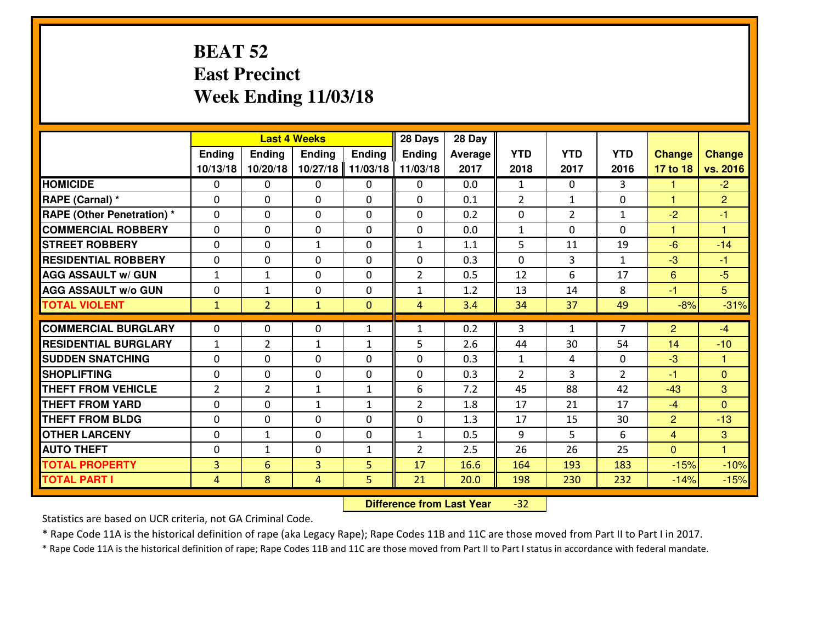#### **BEAT 52 East PrecinctWeek Ending 11/03/18**

|                                  | <b>Last 4 Weeks</b> |                |                |               | 28 Days        | 28 Day  |                |                |                |                |                |
|----------------------------------|---------------------|----------------|----------------|---------------|----------------|---------|----------------|----------------|----------------|----------------|----------------|
|                                  | Ending              | <b>Ending</b>  | <b>Ending</b>  | <b>Ending</b> | <b>Ending</b>  | Average | <b>YTD</b>     | <b>YTD</b>     | <b>YTD</b>     | <b>Change</b>  | <b>Change</b>  |
|                                  | 10/13/18            | 10/20/18       | 10/27/18       | 11/03/18      | 11/03/18       | 2017    | 2018           | 2017           | 2016           | 17 to 18       | vs. 2016       |
| <b>HOMICIDE</b>                  | $\Omega$            | 0              | 0              | 0             | $\Omega$       | 0.0     | 1              | $\Omega$       | 3              | -1             | $-2$           |
| RAPE (Carnal) *                  | $\Omega$            | 0              | $\Omega$       | $\Omega$      | $\Omega$       | 0.1     | 2              | $\mathbf{1}$   | 0              | $\mathbf{1}$   | $\overline{2}$ |
| <b>RAPE (Other Penetration)*</b> | 0                   | 0              | $\mathbf 0$    | 0             | 0              | 0.2     | 0              | $\overline{2}$ | $\mathbf{1}$   | $-2$           | $-1$           |
| <b>COMMERCIAL ROBBERY</b>        | 0                   | 0              | $\mathbf 0$    | 0             | 0              | 0.0     | $\mathbf{1}$   | 0              | 0              | $\mathbf{1}$   | $\overline{1}$ |
| <b>STREET ROBBERY</b>            | 0                   | 0              | 1              | 0             | $\mathbf{1}$   | 1.1     | 5              | 11             | 19             | $-6$           | $-14$          |
| <b>RESIDENTIAL ROBBERY</b>       | 0                   | 0              | $\mathbf 0$    | 0             | 0              | 0.3     | 0              | 3              | $\mathbf{1}$   | $-3$           | $-1$           |
| <b>AGG ASSAULT w/ GUN</b>        | $1\,$               | $\mathbf{1}$   | $\mathbf 0$    | 0             | $\overline{2}$ | 0.5     | 12             | 6              | 17             | $6\phantom{1}$ | $-5$           |
| <b>AGG ASSAULT W/o GUN</b>       | 0                   | 1              | 0              | $\mathbf{0}$  | $\mathbf{1}$   | 1.2     | 13             | 14             | 8              | $-1$           | 5              |
| <b>TOTAL VIOLENT</b>             | $\mathbf{1}$        | $\overline{2}$ | $\mathbf{1}$   | $\mathbf{0}$  | $\overline{4}$ | 3.4     | 34             | 37             | 49             | $-8%$          | $-31%$         |
| <b>COMMERCIAL BURGLARY</b>       | $\mathbf{0}$        | 0              | $\mathbf{0}$   | $\mathbf{1}$  | $\mathbf{1}$   | 0.2     | 3              | $\mathbf{1}$   | $\overline{7}$ | 2              | $-4$           |
| <b>RESIDENTIAL BURGLARY</b>      | $\mathbf{1}$        | $\overline{2}$ | 1              | $\mathbf{1}$  | 5              | 2.6     | 44             | 30             | 54             | 14             | $-10$          |
| <b>SUDDEN SNATCHING</b>          | $\mathbf{0}$        | 0              | $\mathbf 0$    | 0             | 0              | 0.3     | $\mathbf{1}$   | 4              | 0              | $-3$           | $\mathbf{1}$   |
| <b>SHOPLIFTING</b>               | 0                   | 0              | $\mathbf 0$    | 0             | 0              | 0.3     | $\overline{2}$ | 3              | $\overline{2}$ | $-1$           | $\overline{0}$ |
| <b>THEFT FROM VEHICLE</b>        | $\overline{2}$      | $\overline{2}$ | 1              | $\mathbf{1}$  | 6              | 7.2     | 45             | 88             | 42             | $-43$          | $\mathbf{3}$   |
| <b>THEFT FROM YARD</b>           | 0                   | 0              | 1              | $\mathbf{1}$  | $\overline{2}$ | 1.8     | 17             | 21             | 17             | $-4$           | $\Omega$       |
| <b>THEFT FROM BLDG</b>           | 0                   | 0              | $\mathbf 0$    | $\mathbf{0}$  | 0              | 1.3     | 17             | 15             | 30             | $\overline{2}$ | $-13$          |
| <b>OTHER LARCENY</b>             | 0                   | $\mathbf{1}$   | $\mathbf 0$    | $\mathbf 0$   | $\mathbf{1}$   | 0.5     | 9              | 5              | 6              | $\overline{4}$ | 3              |
| <b>AUTO THEFT</b>                | 0                   | $\mathbf{1}$   | $\mathbf 0$    | $\mathbf{1}$  | $\overline{2}$ | 2.5     | 26             | 26             | 25             | $\overline{0}$ | $\overline{1}$ |
| <b>TOTAL PROPERTY</b>            | $\overline{3}$      | 6              | $\overline{3}$ | 5             | 17             | 16.6    | 164            | 193            | 183            | $-15%$         | $-10%$         |
| <b>TOTAL PART I</b>              | $\overline{4}$      | 8              | 4              | 5             | 21             | 20.0    | 198            | 230            | 232            | $-14%$         | $-15%$         |

 **Difference from Last Year** $-32$ 

Statistics are based on UCR criteria, not GA Criminal Code.

\* Rape Code 11A is the historical definition of rape (aka Legacy Rape); Rape Codes 11B and 11C are those moved from Part II to Part I in 2017.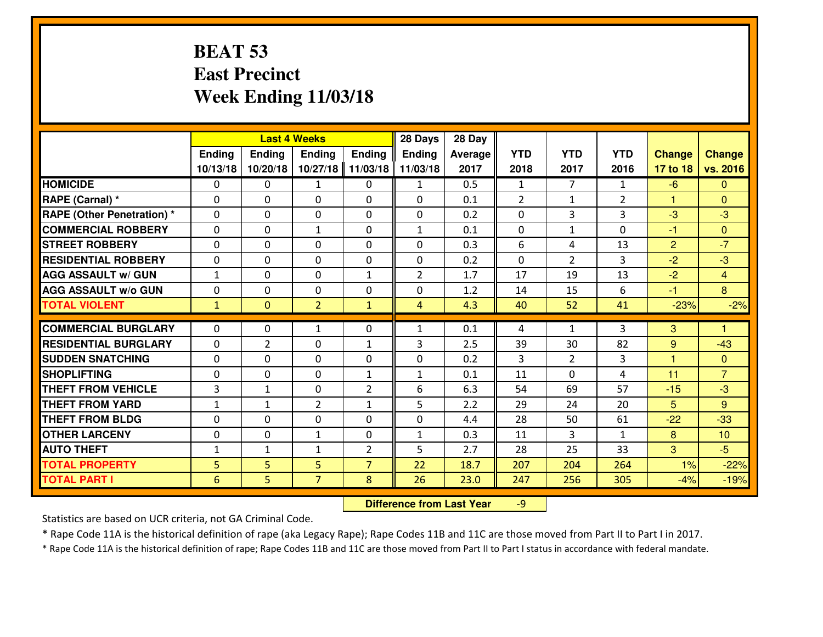#### **BEAT 53 East PrecinctWeek Ending 11/03/18**

|                                  | <b>Last 4 Weeks</b> |                |                |                | 28 Days        | 28 Day  |                |                |                |                      |                |
|----------------------------------|---------------------|----------------|----------------|----------------|----------------|---------|----------------|----------------|----------------|----------------------|----------------|
|                                  | <b>Ending</b>       | <b>Ending</b>  | <b>Ending</b>  | <b>Ending</b>  | <b>Ending</b>  | Average | <b>YTD</b>     | <b>YTD</b>     | <b>YTD</b>     | <b>Change</b>        | <b>Change</b>  |
|                                  | 10/13/18            | 10/20/18       | 10/27/18       | 11/03/18       | 11/03/18       | 2017    | 2018           | 2017           | 2016           | 17 to 18             | vs. 2016       |
| <b>HOMICIDE</b>                  | $\Omega$            | 0              | 1              | 0              | $\mathbf{1}$   | 0.5     | 1              | $\overline{7}$ | $\mathbf{1}$   | $-6$                 | $\mathbf{0}$   |
| RAPE (Carnal) *                  | $\Omega$            | 0              | $\mathbf{0}$   | 0              | $\Omega$       | 0.1     | 2              | $\mathbf{1}$   | $\overline{2}$ | $\blacktriangleleft$ | $\Omega$       |
| <b>RAPE (Other Penetration)*</b> | $\Omega$            | $\Omega$       | $\mathbf 0$    | $\Omega$       | 0              | 0.2     | $\Omega$       | 3              | 3              | -3                   | $-3$           |
| <b>COMMERCIAL ROBBERY</b>        | $\Omega$            | 0              | $\mathbf{1}$   | $\Omega$       | $\mathbf{1}$   | 0.1     | 0              | $\mathbf{1}$   | 0              | $-1$                 | $\Omega$       |
| <b>STREET ROBBERY</b>            | $\Omega$            | $\Omega$       | $\mathbf 0$    | $\Omega$       | $\Omega$       | 0.3     | 6              | 4              | 13             | $\overline{2}$       | $-7$           |
| <b>RESIDENTIAL ROBBERY</b>       | $\Omega$            | $\Omega$       | $\mathbf 0$    | $\Omega$       | 0              | 0.2     | 0              | $\mathcal{L}$  | 3              | $-2$                 | $-3$           |
| <b>AGG ASSAULT w/ GUN</b>        | $1\,$               | $\Omega$       | $\mathbf 0$    | $\mathbf{1}$   | $\overline{2}$ | 1.7     | 17             | 19             | 13             | $-2$                 | $\overline{4}$ |
| <b>AGG ASSAULT w/o GUN</b>       | 0                   | 0              | $\mathbf 0$    | 0              | 0              | 1.2     | 14             | 15             | 6              | $-1$                 | 8              |
| <b>TOTAL VIOLENT</b>             | $\mathbf{1}$        | $\mathbf{0}$   | $\overline{2}$ | $\mathbf{1}$   | $\overline{4}$ | 4.3     | 40             | 52             | 41             | $-23%$               | $-2%$          |
| <b>COMMERCIAL BURGLARY</b>       | $\Omega$            | 0              | 1              | 0              | $\mathbf{1}$   | 0.1     | 4              | $\mathbf{1}$   | 3              | 3                    | 1              |
| <b>RESIDENTIAL BURGLARY</b>      | 0                   | $\overline{2}$ | $\mathbf 0$    | $\mathbf{1}$   | 3              | 2.5     | 39             | 30             | 82             | 9                    | $-43$          |
| <b>SUDDEN SNATCHING</b>          | 0                   | 0              | $\mathbf 0$    | 0              | 0              | 0.2     | $\overline{3}$ | $\overline{2}$ | 3              | $\overline{1}$       | $\mathbf{0}$   |
| <b>SHOPLIFTING</b>               | 0                   | 0              | $\mathbf 0$    | $\mathbf{1}$   | $\mathbf{1}$   | 0.1     | 11             | $\Omega$       | 4              | 11                   | $\overline{7}$ |
| <b>THEFT FROM VEHICLE</b>        | 3                   | $\mathbf{1}$   | $\mathbf 0$    | $\overline{2}$ | 6              | 6.3     | 54             | 69             | 57             | $-15$                | $-3$           |
| <b>THEFT FROM YARD</b>           | $\mathbf{1}$        | 1              | $\overline{2}$ | $\mathbf{1}$   | 5              | 2.2     | 29             | 24             | 20             | 5                    | 9              |
| <b>THEFT FROM BLDG</b>           | 0                   | 0              | $\mathbf 0$    | 0              | 0              | 4.4     | 28             | 50             | 61             | $-22$                | $-33$          |
| <b>OTHER LARCENY</b>             | 0                   | 0              | $\mathbf{1}$   | $\mathbf 0$    | $\mathbf{1}$   | 0.3     | 11             | 3              | $\mathbf{1}$   | 8                    | 10             |
| <b>AUTO THEFT</b>                | $\mathbf{1}$        | $\mathbf{1}$   | $\mathbf{1}$   | $\overline{2}$ | 5              | 2.7     | 28             | 25             | 33             | 3                    | $-5$           |
| <b>TOTAL PROPERTY</b>            | 5                   | 5              | 5              | $\overline{7}$ | 22             | 18.7    | 207            | 204            | 264            | 1%                   | $-22%$         |
|                                  |                     |                | $\overline{7}$ |                | 26             |         |                |                |                |                      |                |
| <b>TOTAL PART I</b>              | 6                   | 5.             |                | 8              |                | 23.0    | 247            | 256            | 305            | $-4%$                | $-19%$         |

 **Difference from Last Year**-9

Statistics are based on UCR criteria, not GA Criminal Code.

\* Rape Code 11A is the historical definition of rape (aka Legacy Rape); Rape Codes 11B and 11C are those moved from Part II to Part I in 2017.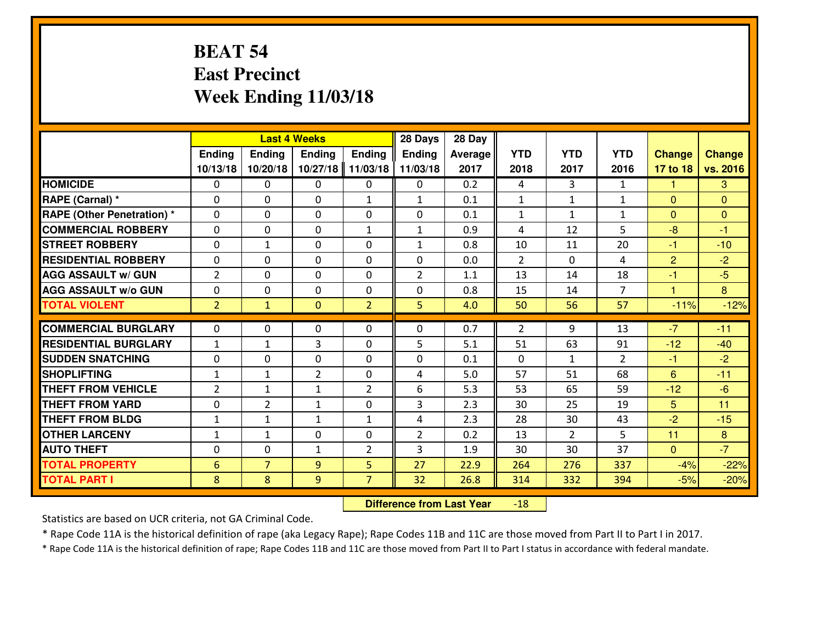## **BEAT 54 East PrecinctWeek Ending 11/03/18**

|                                   | <b>Last 4 Weeks</b> |                |                |                | 28 Days        | 28 Day  |                |                |                |                |               |
|-----------------------------------|---------------------|----------------|----------------|----------------|----------------|---------|----------------|----------------|----------------|----------------|---------------|
|                                   | <b>Ending</b>       | Ending         | <b>Endina</b>  | <b>Ending</b>  | <b>Ending</b>  | Average | <b>YTD</b>     | <b>YTD</b>     | <b>YTD</b>     | <b>Change</b>  | <b>Change</b> |
|                                   | 10/13/18            | 10/20/18       | 10/27/18       | 11/03/18       | 11/03/18       | 2017    | 2018           | 2017           | 2016           | 17 to 18       | vs. 2016      |
| <b>HOMICIDE</b>                   | $\Omega$            | 0              | $\mathbf{0}$   | 0              | 0              | 0.2     | 4              | 3              | $\mathbf{1}$   | -1             | 3             |
| RAPE (Carnal) *                   | $\Omega$            | 0              | $\mathbf{0}$   | $\mathbf{1}$   | $\mathbf{1}$   | 0.1     | 1              | $\mathbf{1}$   | $\mathbf{1}$   | $\Omega$       | $\Omega$      |
| <b>RAPE (Other Penetration) *</b> | $\Omega$            | 0              | $\mathbf 0$    | $\Omega$       | $\Omega$       | 0.1     | 1              | $\mathbf{1}$   | $\mathbf{1}$   | $\Omega$       | $\Omega$      |
| <b>COMMERCIAL ROBBERY</b>         | 0                   | 0              | $\mathbf 0$    | $\mathbf{1}$   | $\mathbf{1}$   | 0.9     | 4              | 12             | 5              | $-8$           | $-1$          |
| <b>STREET ROBBERY</b>             | 0                   | $\mathbf{1}$   | $\mathbf 0$    | 0              | $\mathbf{1}$   | 0.8     | 10             | 11             | 20             | $-1$           | $-10$         |
| <b>RESIDENTIAL ROBBERY</b>        | 0                   | 0              | $\mathbf 0$    | $\Omega$       | 0              | 0.0     | $\overline{2}$ | $\Omega$       | 4              | $\overline{2}$ | $-2$          |
| <b>AGG ASSAULT w/ GUN</b>         | $\overline{2}$      | 0              | $\mathbf 0$    | 0              | $\overline{2}$ | 1.1     | 13             | 14             | 18             | $-1$           | $-5$          |
| <b>AGG ASSAULT W/o GUN</b>        | 0                   | 0              | $\mathbf 0$    | $\mathbf{0}$   | 0              | 0.8     | 15             | 14             | $\overline{7}$ | $\mathbf{1}$   | 8             |
| <b>TOTAL VIOLENT</b>              | $\overline{2}$      | $\mathbf{1}$   | $\mathbf{0}$   | $\overline{2}$ | 5              | 4.0     | 50             | 56             | 57             | $-11%$         | $-12%$        |
| <b>COMMERCIAL BURGLARY</b>        | $\Omega$            | $\Omega$       | $\mathbf{0}$   | $\Omega$       | 0              | 0.7     | 2              | 9              | 13             | $-7$           | $-11$         |
| <b>RESIDENTIAL BURGLARY</b>       | $1\,$               | $\mathbf{1}$   | 3              | 0              | 5              | 5.1     | 51             | 63             | 91             | $-12$          | $-40$         |
| <b>SUDDEN SNATCHING</b>           | 0                   | 0              | $\mathbf 0$    | $\Omega$       | 0              | 0.1     | $\mathbf{0}$   | $\mathbf{1}$   | $\overline{2}$ | $-1$           | $-2$          |
| <b>SHOPLIFTING</b>                | $1\,$               | $\mathbf{1}$   | $\overline{2}$ | $\Omega$       | 4              | 5.0     | 57             | 51             | 68             | 6              | $-11$         |
| <b>THEFT FROM VEHICLE</b>         | $\overline{2}$      | $\mathbf{1}$   | $\mathbf{1}$   | $\overline{2}$ | 6              | 5.3     | 53             | 65             | 59             | $-12$          | $-6$          |
| <b>THEFT FROM YARD</b>            | $\mathbf 0$         | $\overline{2}$ | $\mathbf{1}$   | 0              | 3              | 2.3     | 30             | 25             | 19             | 5              | 11            |
| <b>THEFT FROM BLDG</b>            | $\mathbf{1}$        | $\mathbf{1}$   | 1              | $\mathbf{1}$   | 4              | 2.3     | 28             | 30             | 43             | $-2$           | $-15$         |
| <b>OTHER LARCENY</b>              | $\mathbf{1}$        | 1              | $\mathbf 0$    | $\Omega$       | $\overline{2}$ | 0.2     | 13             | $\overline{2}$ | 5              | 11             | 8             |
| <b>AUTO THEFT</b>                 | $\mathbf{0}$        | 0              | 1              | $\overline{2}$ | 3              | 1.9     | 30             | 30             | 37             | $\mathbf{0}$   | $-7$          |
| <b>TOTAL PROPERTY</b>             | $6\phantom{1}6$     | $\overline{7}$ | 9              | 5              | 27             | 22.9    | 264            | 276            | 337            | $-4%$          | $-22%$        |
| <b>TOTAL PART I</b>               | 8                   | 8              | 9              | $\overline{7}$ | 32             | 26.8    | 314            | 332            | 394            | $-5%$          | $-20%$        |
|                                   |                     |                |                |                |                |         |                |                |                |                |               |

 **Difference from Last Year**-18

Statistics are based on UCR criteria, not GA Criminal Code.

\* Rape Code 11A is the historical definition of rape (aka Legacy Rape); Rape Codes 11B and 11C are those moved from Part II to Part I in 2017.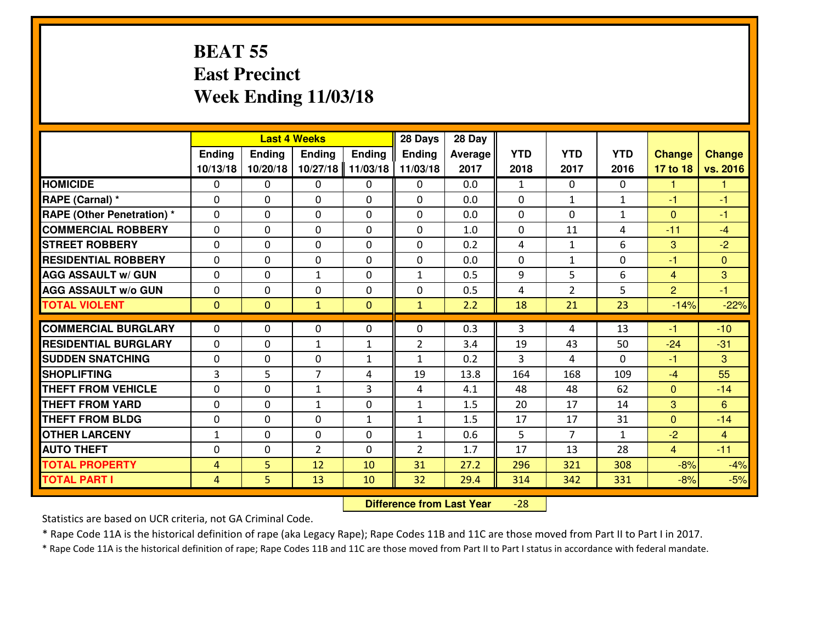#### **BEAT 55 East PrecinctWeek Ending 11/03/18**

|                                              |                     |                | <b>Last 4 Weeks</b> |               | 28 Days        | 28 Day       |              |                |              |                |                |
|----------------------------------------------|---------------------|----------------|---------------------|---------------|----------------|--------------|--------------|----------------|--------------|----------------|----------------|
|                                              | Ending              | Ending         | <b>Ending</b>       | <b>Ending</b> | <b>Ending</b>  | Average      | <b>YTD</b>   | <b>YTD</b>     | <b>YTD</b>   | <b>Change</b>  | <b>Change</b>  |
|                                              | 10/13/18            | 10/20/18       | 10/27/18            | 11/03/18      | 11/03/18       | 2017         | 2018         | 2017           | 2016         | 17 to 18       | vs. 2016       |
| <b>HOMICIDE</b>                              | $\Omega$            | 0              | 0                   | 0             | $\Omega$       | 0.0          | $\mathbf{1}$ | $\Omega$       | 0            | 1              | 1              |
| RAPE (Carnal) *                              | $\mathbf{0}$        | 0              | $\mathbf{0}$        | 0             | $\Omega$       | 0.0          | $\mathbf{0}$ | $\mathbf{1}$   | $\mathbf{1}$ | $-1$           | $-1$           |
| RAPE (Other Penetration) *                   | $\Omega$            | 0              | $\mathbf{0}$        | $\Omega$      | $\Omega$       | 0.0          | $\Omega$     | 0              | $\mathbf{1}$ | $\Omega$       | $-1$           |
| <b>COMMERCIAL ROBBERY</b>                    | $\mathbf{0}$        | 0              | 0                   | 0             | $\Omega$       | 1.0          | $\mathbf{0}$ | 11             | 4            | $-11$          | $-4$           |
| <b>STREET ROBBERY</b>                        | 0                   | 0              | $\mathbf 0$         | 0             | 0              | 0.2          | 4            | $\mathbf{1}$   | 6            | 3              | $-2$           |
| <b>RESIDENTIAL ROBBERY</b>                   | $\Omega$            | $\Omega$       | $\mathbf 0$         | $\Omega$      | 0              | 0.0          | 0            | $\mathbf{1}$   | 0            | $-1$           | $\Omega$       |
| <b>AGG ASSAULT w/ GUN</b>                    | 0                   | 0              | $\mathbf{1}$        | 0             | $\mathbf{1}$   | 0.5          | 9            | 5              | 6            | $\overline{4}$ | 3              |
| <b>AGG ASSAULT W/o GUN</b>                   | 0                   | 0              | $\mathbf 0$         | $\mathbf 0$   | 0              | 0.5          | 4            | $\overline{2}$ | 5            | 2              | $-1$           |
| <b>TOTAL VIOLENT</b>                         | $\mathbf{0}$        | $\overline{0}$ | $\mathbf{1}$        | $\mathbf{0}$  | $\mathbf{1}$   | 2.2          | 18           | 21             | 23           | $-14%$         | $-22%$         |
| <b>COMMERCIAL BURGLARY</b>                   | $\Omega$            | 0              | $\mathbf{0}$        | $\Omega$      | $\Omega$       | 0.3          | 3            | 4              | 13           | -1             | $-10$          |
| <b>RESIDENTIAL BURGLARY</b>                  | 0                   | 0              | $\mathbf{1}$        | $\mathbf{1}$  | $\overline{2}$ | 3.4          | 19           | 43             | 50           | $-24$          | $-31$          |
| <b>SUDDEN SNATCHING</b>                      | 0                   | 0              | $\mathbf 0$         | $\mathbf{1}$  | $\mathbf{1}$   | 0.2          | 3            | 4              | 0            | $-1$           | 3              |
| <b>SHOPLIFTING</b>                           | $\overline{3}$      | 5              | $\overline{7}$      | 4             | 19             | 13.8         | 164          | 168            | 109          | $-4$           | 55             |
| <b>THEFT FROM VEHICLE</b>                    | $\Omega$            | 0              | 1                   | 3             | 4              | 4.1          | 48           | 48             | 62           | $\mathbf{0}$   | $-14$          |
|                                              |                     |                |                     |               |                |              |              |                |              |                |                |
|                                              |                     |                |                     |               |                |              |              |                |              |                |                |
| <b>THEFT FROM YARD</b>                       | 0                   | 0              | 1                   | 0             | $\mathbf{1}$   | 1.5          | 20           | 17             | 14           | 3              | 6              |
| <b>THEFT FROM BLDG</b>                       | 0                   | 0              | $\mathbf 0$         | $\mathbf{1}$  | $\mathbf{1}$   | 1.5          | 17           | 17             | 31           | $\overline{0}$ | $-14$          |
| <b>OTHER LARCENY</b>                         | $1\,$               | 0              | $\mathbf 0$         | 0             | $\mathbf{1}$   | 0.6          | 5            | $\overline{7}$ | $\mathbf{1}$ | $-2$           | $\overline{4}$ |
| <b>AUTO THEFT</b>                            | $\mathbf{0}$        | 0              | $\overline{2}$      | 0             | $\overline{2}$ | 1.7          | 17           | 13             | 28           | $\overline{4}$ | $-11$          |
| <b>TOTAL PROPERTY</b><br><b>TOTAL PART I</b> | 4<br>$\overline{4}$ | 5<br>5         | 12<br>13            | 10<br>10      | 31<br>32       | 27.2<br>29.4 | 296<br>314   | 321<br>342     | 308<br>331   | $-8%$<br>$-8%$ | $-4%$<br>$-5%$ |

 **Difference from Last Year**-28

Statistics are based on UCR criteria, not GA Criminal Code.

\* Rape Code 11A is the historical definition of rape (aka Legacy Rape); Rape Codes 11B and 11C are those moved from Part II to Part I in 2017.